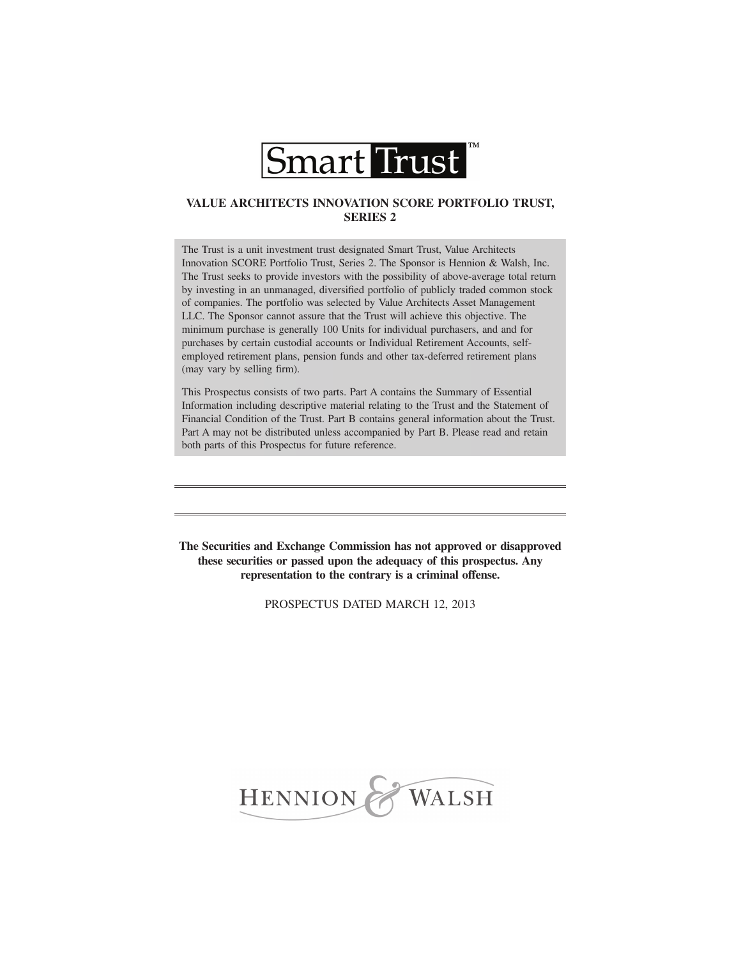

# **VALUE ARCHITECTS INNOVATION SCORE PORTFOLIO TRUST, SERIES 2**

The Trust is a unit investment trust designated Smart Trust, Value Architects Innovation SCORE Portfolio Trust, Series 2. The Sponsor is Hennion & Walsh, Inc. The Trust seeks to provide investors with the possibility of above-average total return by investing in an unmanaged, diversified portfolio of publicly traded common stock of companies. The portfolio was selected by Value Architects Asset Management LLC. The Sponsor cannot assure that the Trust will achieve this objective. The minimum purchase is generally 100 Units for individual purchasers, and and for purchases by certain custodial accounts or Individual Retirement Accounts, selfemployed retirement plans, pension funds and other tax-deferred retirement plans (may vary by selling firm).

This Prospectus consists of two parts. Part A contains the Summary of Essential Information including descriptive material relating to the Trust and the Statement of Financial Condition of the Trust. Part B contains general information about the Trust. Part A may not be distributed unless accompanied by Part B. Please read and retain both parts of this Prospectus for future reference.

**The Securities and Exchange Commission has not approved or disapproved these securities or passed upon the adequacy of this prospectus. Any representation to the contrary is a criminal offense.**

PROSPECTUS DATED MARCH 12, 2013

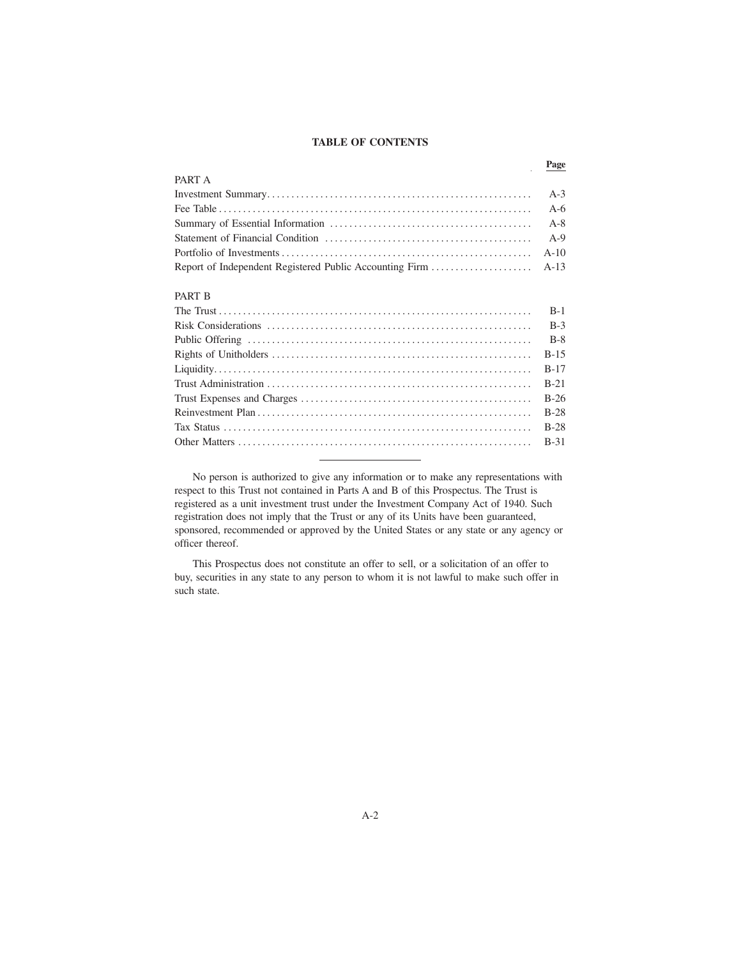### **TABLE OF CONTENTS**

**Page**

| PART A        |  |
|---------------|--|
|               |  |
|               |  |
|               |  |
|               |  |
|               |  |
|               |  |
| <b>PART B</b> |  |
|               |  |
|               |  |

No person is authorized to give any information or to make any representations with respect to this Trust not contained in Parts A and B of this Prospectus. The Trust is registered as a unit investment trust under the Investment Company Act of 1940. Such registration does not imply that the Trust or any of its Units have been guaranteed, sponsored, recommended or approved by the United States or any state or any agency or officer thereof.

This Prospectus does not constitute an offer to sell, or a solicitation of an offer to buy, securities in any state to any person to whom it is not lawful to make such offer in such state.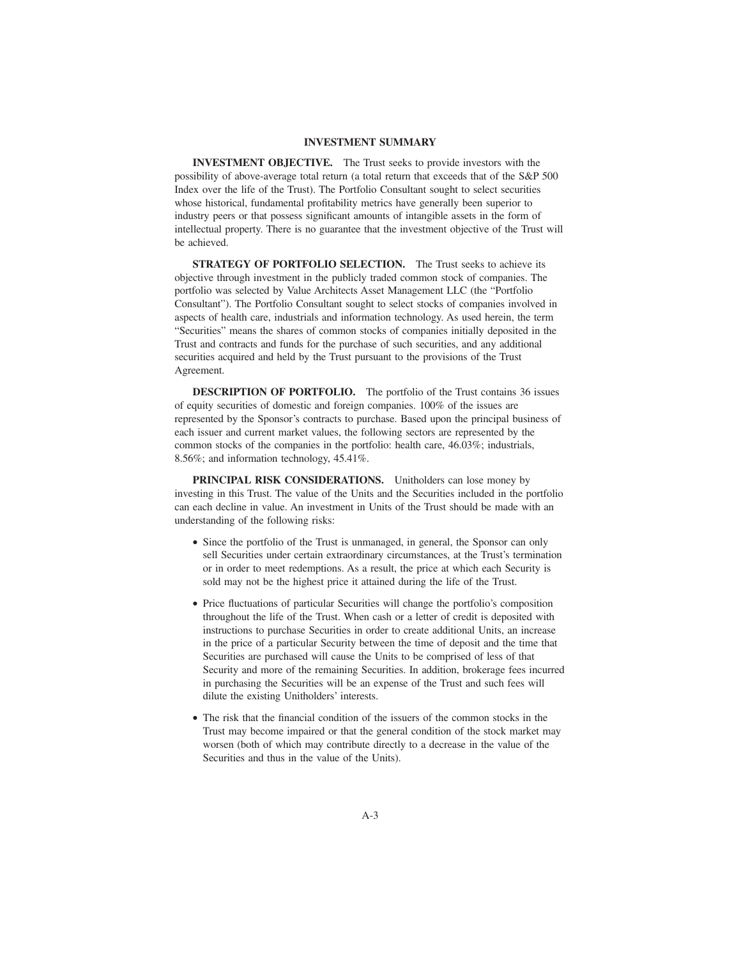### **INVESTMENT SUMMARY**

**INVESTMENT OBJECTIVE.** The Trust seeks to provide investors with the possibility of above-average total return (a total return that exceeds that of the S&P 500 Index over the life of the Trust). The Portfolio Consultant sought to select securities whose historical, fundamental profitability metrics have generally been superior to industry peers or that possess significant amounts of intangible assets in the form of intellectual property. There is no guarantee that the investment objective of the Trust will be achieved.

**STRATEGY OF PORTFOLIO SELECTION.** The Trust seeks to achieve its objective through investment in the publicly traded common stock of companies. The portfolio was selected by Value Architects Asset Management LLC (the "Portfolio Consultant"). The Portfolio Consultant sought to select stocks of companies involved in aspects of health care, industrials and information technology. As used herein, the term "Securities" means the shares of common stocks of companies initially deposited in the Trust and contracts and funds for the purchase of such securities, and any additional securities acquired and held by the Trust pursuant to the provisions of the Trust Agreement.

**DESCRIPTION OF PORTFOLIO.** The portfolio of the Trust contains 36 issues of equity securities of domestic and foreign companies. 100% of the issues are represented by the Sponsor's contracts to purchase. Based upon the principal business of each issuer and current market values, the following sectors are represented by the common stocks of the companies in the portfolio: health care, 46.03%; industrials, 8.56%; and information technology, 45.41%.

PRINCIPAL RISK CONSIDERATIONS. Unitholders can lose money by investing in this Trust. The value of the Units and the Securities included in the portfolio can each decline in value. An investment in Units of the Trust should be made with an understanding of the following risks:

- Since the portfolio of the Trust is unmanaged, in general, the Sponsor can only sell Securities under certain extraordinary circumstances, at the Trust's termination or in order to meet redemptions. As a result, the price at which each Security is sold may not be the highest price it attained during the life of the Trust.
- Price fluctuations of particular Securities will change the portfolio's composition throughout the life of the Trust. When cash or a letter of credit is deposited with instructions to purchase Securities in order to create additional Units, an increase in the price of a particular Security between the time of deposit and the time that Securities are purchased will cause the Units to be comprised of less of that Security and more of the remaining Securities. In addition, brokerage fees incurred in purchasing the Securities will be an expense of the Trust and such fees will dilute the existing Unitholders' interests.
- The risk that the financial condition of the issuers of the common stocks in the Trust may become impaired or that the general condition of the stock market may worsen (both of which may contribute directly to a decrease in the value of the Securities and thus in the value of the Units).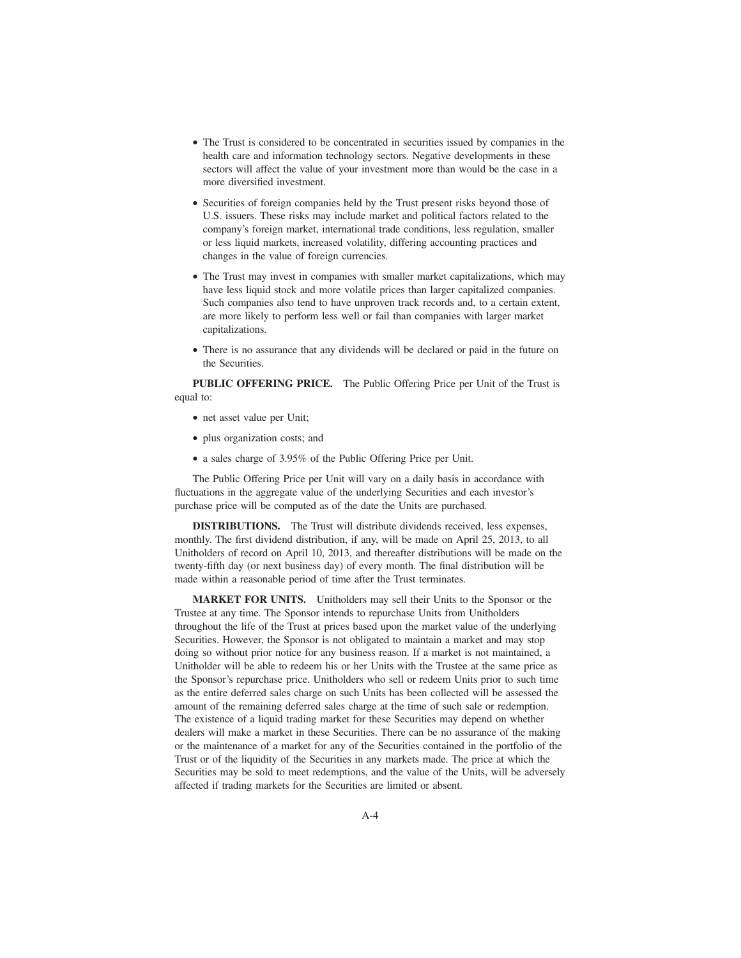- The Trust is considered to be concentrated in securities issued by companies in the health care and information technology sectors. Negative developments in these sectors will affect the value of your investment more than would be the case in a more diversified investment.
- Securities of foreign companies held by the Trust present risks beyond those of U.S. issuers. These risks may include market and political factors related to the company's foreign market, international trade conditions, less regulation, smaller or less liquid markets, increased volatility, differing accounting practices and changes in the value of foreign currencies.
- The Trust may invest in companies with smaller market capitalizations, which may have less liquid stock and more volatile prices than larger capitalized companies. Such companies also tend to have unproven track records and, to a certain extent, are more likely to perform less well or fail than companies with larger market capitalizations.
- There is no assurance that any dividends will be declared or paid in the future on the Securities.

**PUBLIC OFFERING PRICE.** The Public Offering Price per Unit of the Trust is equal to:

- net asset value per Unit;
- plus organization costs; and
- a sales charge of 3.95% of the Public Offering Price per Unit.

The Public Offering Price per Unit will vary on a daily basis in accordance with fluctuations in the aggregate value of the underlying Securities and each investor's purchase price will be computed as of the date the Units are purchased.

**DISTRIBUTIONS.** The Trust will distribute dividends received, less expenses, monthly. The first dividend distribution, if any, will be made on April 25, 2013, to all Unitholders of record on April 10, 2013, and thereafter distributions will be made on the twenty-fifth day (or next business day) of every month. The final distribution will be made within a reasonable period of time after the Trust terminates.

**MARKET FOR UNITS.** Unitholders may sell their Units to the Sponsor or the Trustee at any time. The Sponsor intends to repurchase Units from Unitholders throughout the life of the Trust at prices based upon the market value of the underlying Securities. However, the Sponsor is not obligated to maintain a market and may stop doing so without prior notice for any business reason. If a market is not maintained, a Unitholder will be able to redeem his or her Units with the Trustee at the same price as the Sponsor's repurchase price. Unitholders who sell or redeem Units prior to such time as the entire deferred sales charge on such Units has been collected will be assessed the amount of the remaining deferred sales charge at the time of such sale or redemption. The existence of a liquid trading market for these Securities may depend on whether dealers will make a market in these Securities. There can be no assurance of the making or the maintenance of a market for any of the Securities contained in the portfolio of the Trust or of the liquidity of the Securities in any markets made. The price at which the Securities may be sold to meet redemptions, and the value of the Units, will be adversely affected if trading markets for the Securities are limited or absent.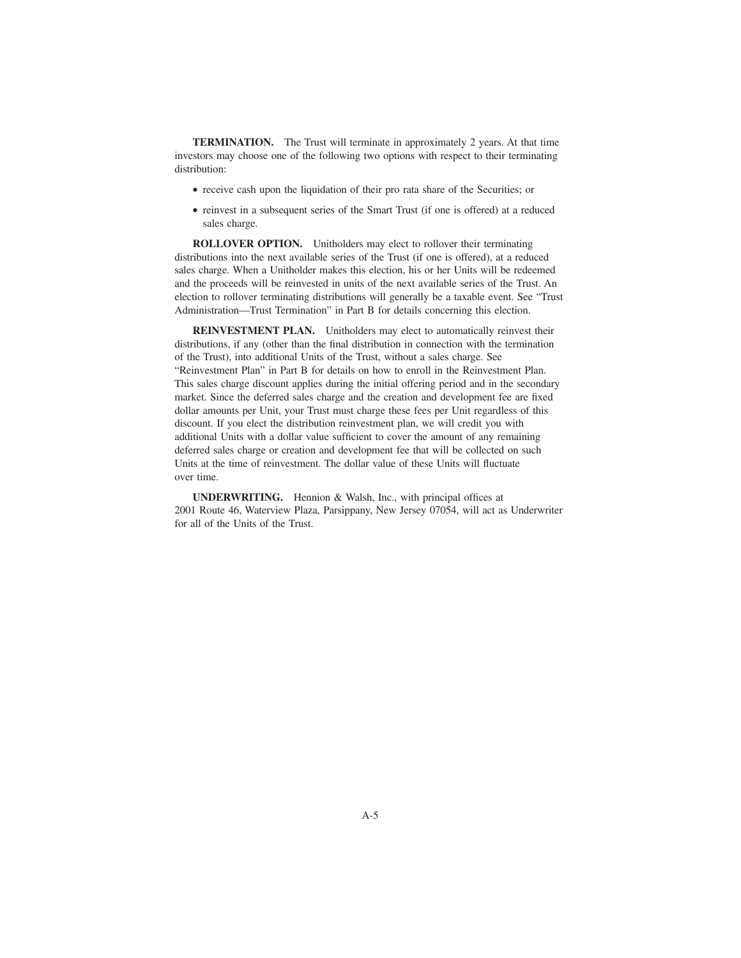**TERMINATION.** The Trust will terminate in approximately 2 years. At that time investors may choose one of the following two options with respect to their terminating distribution:

- receive cash upon the liquidation of their pro rata share of the Securities; or
- reinvest in a subsequent series of the Smart Trust (if one is offered) at a reduced sales charge.

**ROLLOVER OPTION.** Unitholders may elect to rollover their terminating distributions into the next available series of the Trust (if one is offered), at a reduced sales charge. When a Unitholder makes this election, his or her Units will be redeemed and the proceeds will be reinvested in units of the next available series of the Trust. An election to rollover terminating distributions will generally be a taxable event. See "Trust Administration—Trust Termination" in Part B for details concerning this election.

**REINVESTMENT PLAN.** Unitholders may elect to automatically reinvest their distributions, if any (other than the final distribution in connection with the termination of the Trust), into additional Units of the Trust, without a sales charge. See "Reinvestment Plan" in Part B for details on how to enroll in the Reinvestment Plan. This sales charge discount applies during the initial offering period and in the secondary market. Since the deferred sales charge and the creation and development fee are fixed dollar amounts per Unit, your Trust must charge these fees per Unit regardless of this discount. If you elect the distribution reinvestment plan, we will credit you with additional Units with a dollar value sufficient to cover the amount of any remaining deferred sales charge or creation and development fee that will be collected on such Units at the time of reinvestment. The dollar value of these Units will fluctuate over time.

**UNDERWRITING.** Hennion & Walsh, Inc., with principal offices at 2001 Route 46, Waterview Plaza, Parsippany, New Jersey 07054, will act as Underwriter for all of the Units of the Trust.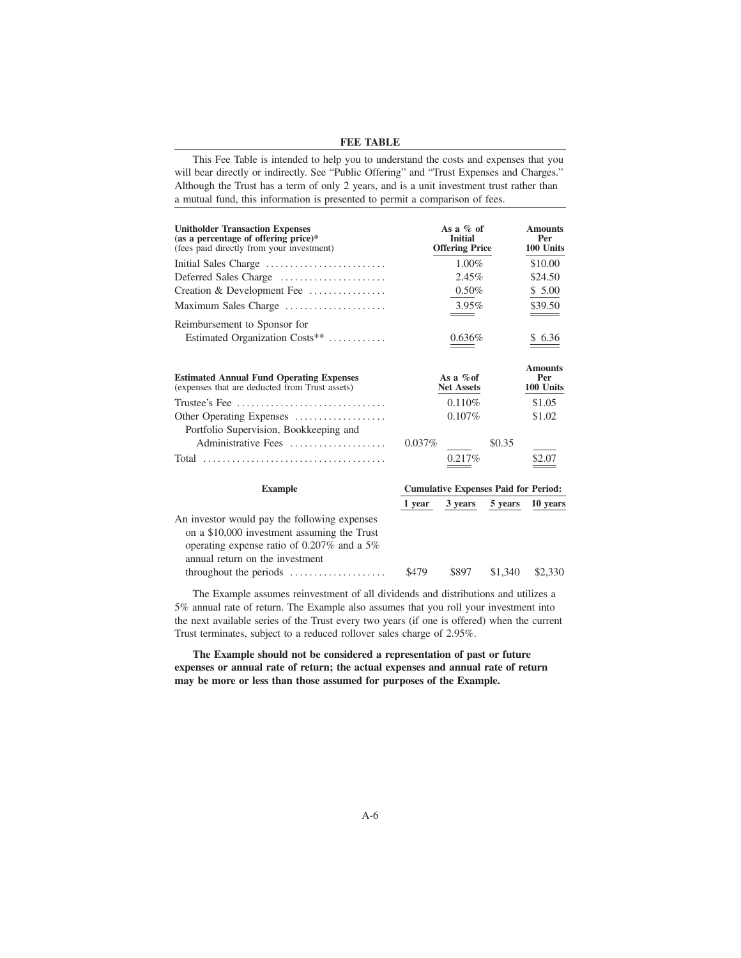### **FEE TABLE**

This Fee Table is intended to help you to understand the costs and expenses that you will bear directly or indirectly. See "Public Offering" and "Trust Expenses and Charges." Although the Trust has a term of only 2 years, and is a unit investment trust rather than a mutual fund, this information is presented to permit a comparison of fees.

| <b>Unitholder Transaction Expenses</b><br>(as a percentage of offering price)*<br>(fees paid directly from your investment) | As a $\%$ of<br><b>Initial</b><br><b>Offering Price</b> |                                             |         | <b>Amounts</b><br>Per<br>100 Units |
|-----------------------------------------------------------------------------------------------------------------------------|---------------------------------------------------------|---------------------------------------------|---------|------------------------------------|
| Initial Sales Charge                                                                                                        |                                                         | $1.00\%$                                    |         | \$10.00                            |
| Deferred Sales Charge                                                                                                       |                                                         | 2.45%                                       |         | \$24.50                            |
| Creation & Development Fee                                                                                                  |                                                         | $0.50\%$                                    |         | \$5.00                             |
| Maximum Sales Charge                                                                                                        |                                                         | 3.95%                                       |         | \$39.50                            |
| Reimbursement to Sponsor for                                                                                                |                                                         |                                             |         |                                    |
| Estimated Organization Costs**                                                                                              |                                                         | 0.636%                                      |         | \$ 6.36                            |
| <b>Estimated Annual Fund Operating Expenses</b><br>(expenses that are deducted from Trust assets)                           |                                                         | As a $\%$ of<br><b>Net Assets</b>           |         | <b>Amounts</b><br>Per<br>100 Units |
| Trustee's Fee $\ldots \ldots \ldots \ldots \ldots \ldots \ldots \ldots \ldots$                                              |                                                         | 0.110%                                      |         | \$1.05                             |
| Other Operating Expenses                                                                                                    |                                                         | $0.107\%$                                   |         | \$1.02                             |
| Portfolio Supervision, Bookkeeping and<br>Administrative Fees                                                               | $0.037\%$                                               |                                             | \$0.35  |                                    |
|                                                                                                                             |                                                         | 0.217%                                      |         | \$2.07                             |
| <b>Example</b>                                                                                                              |                                                         | <b>Cumulative Expenses Paid for Period:</b> |         |                                    |
|                                                                                                                             | 1 year                                                  | 3 years                                     | 5 years | 10 years                           |
| An investor would pay the following expenses<br>on a \$10,000 investment assuming the Trust                                 |                                                         |                                             |         |                                    |

throughout the periods .................... \$479 \$897 \$1,340 \$2,330 The Example assumes reinvestment of all dividends and distributions and utilizes a 5% annual rate of return. The Example also assumes that you roll your investment into the next available series of the Trust every two years (if one is offered) when the current

operating expense ratio of 0.207% and a 5%

annual return on the investment

**The Example should not be considered a representation of past or future expenses or annual rate of return; the actual expenses and annual rate of return may be more or less than those assumed for purposes of the Example.**

Trust terminates, subject to a reduced rollover sales charge of 2.95%.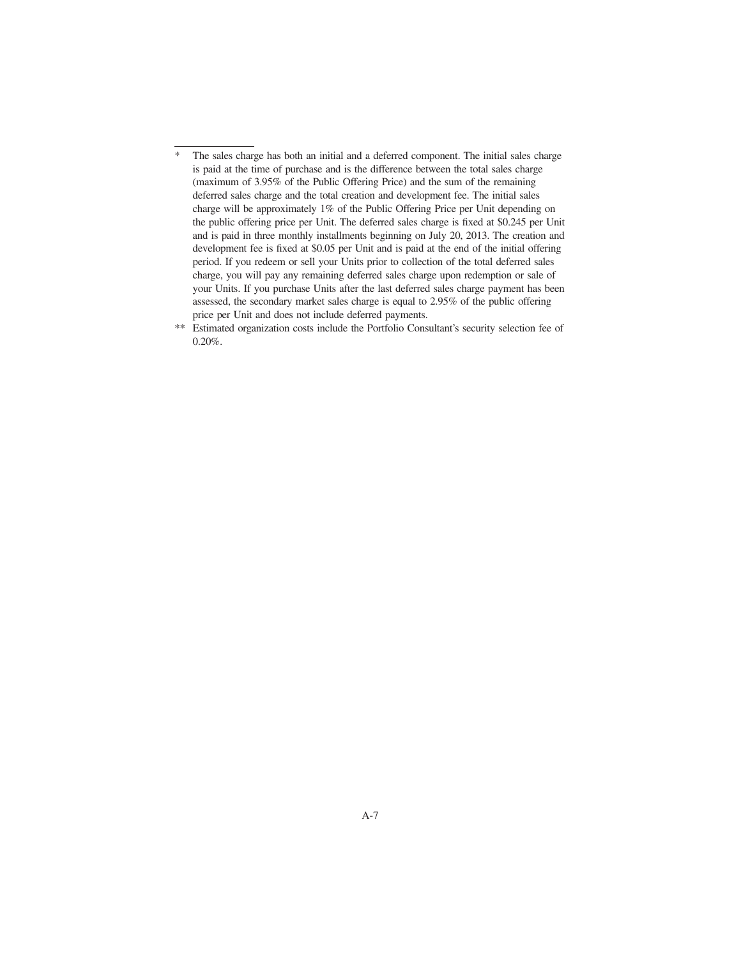- \* The sales charge has both an initial and a deferred component. The initial sales charge is paid at the time of purchase and is the difference between the total sales charge (maximum of 3.95% of the Public Offering Price) and the sum of the remaining deferred sales charge and the total creation and development fee. The initial sales charge will be approximately 1% of the Public Offering Price per Unit depending on the public offering price per Unit. The deferred sales charge is fixed at \$0.245 per Unit and is paid in three monthly installments beginning on July 20, 2013. The creation and development fee is fixed at \$0.05 per Unit and is paid at the end of the initial offering period. If you redeem or sell your Units prior to collection of the total deferred sales charge, you will pay any remaining deferred sales charge upon redemption or sale of your Units. If you purchase Units after the last deferred sales charge payment has been assessed, the secondary market sales charge is equal to 2.95% of the public offering price per Unit and does not include deferred payments.
- \*\* Estimated organization costs include the Portfolio Consultant's security selection fee of  $0.20\%$ .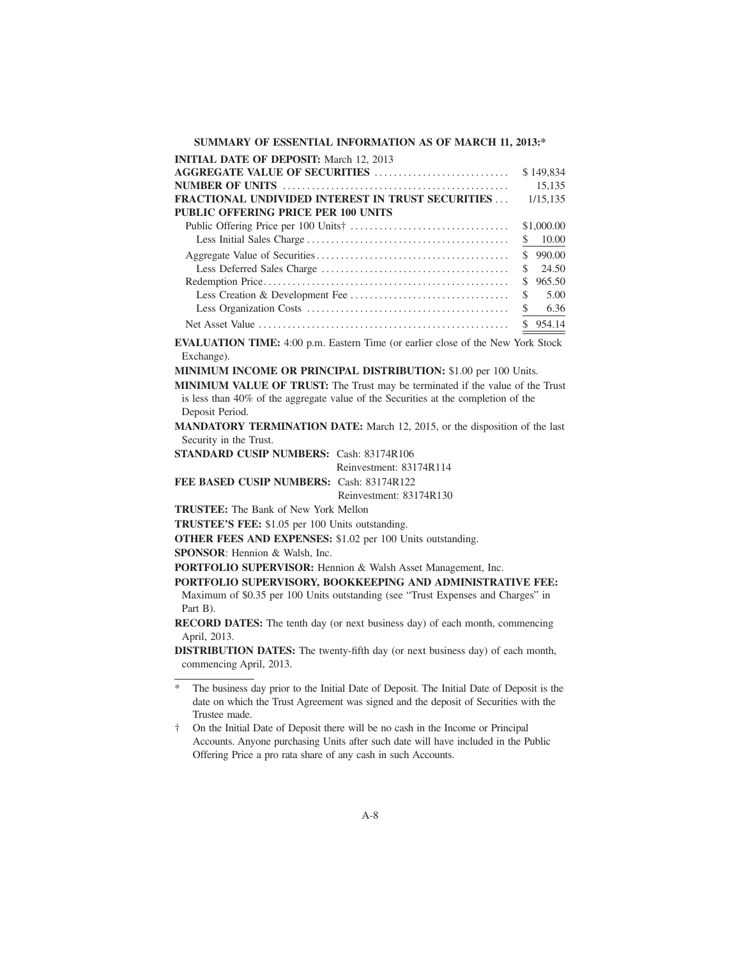# **SUMMARY OF ESSENTIAL INFORMATION AS OF MARCH 11, 2013:\***

| <b>INITIAL DATE OF DEPOSIT:</b> March 12, 2013           |              |
|----------------------------------------------------------|--------------|
|                                                          | \$149,834    |
|                                                          | 15.135       |
| <b>FRACTIONAL UNDIVIDED INTEREST IN TRUST SECURITIES</b> | 1/15.135     |
| <b>PUBLIC OFFERING PRICE PER 100 UNITS</b>               |              |
|                                                          | \$1,000.00   |
|                                                          | 10.00<br>S.  |
|                                                          | \$990.00     |
|                                                          | 24.50<br>S.  |
|                                                          | 965.50<br>S. |
|                                                          | 5.00<br>S.   |
|                                                          | 6.36<br>\$   |
|                                                          | \$954.14     |

**EVALUATION TIME:** 4:00 p.m. Eastern Time (or earlier close of the New York Stock Exchange).

**MINIMUM INCOME OR PRINCIPAL DISTRIBUTION:** \$1.00 per 100 Units.

**MINIMUM VALUE OF TRUST:** The Trust may be terminated if the value of the Trust is less than 40% of the aggregate value of the Securities at the completion of the Deposit Period.

**MANDATORY TERMINATION DATE:** March 12, 2015, or the disposition of the last Security in the Trust.

**STANDARD CUSIP NUMBERS:** Cash: 83174R106

Reinvestment: 83174R114

**FEE BASED CUSIP NUMBERS:** Cash: 83174R122

Reinvestment: 83174R130

**TRUSTEE:** The Bank of New York Mellon

**TRUSTEE'S FEE:** \$1.05 per 100 Units outstanding.

**OTHER FEES AND EXPENSES:** \$1.02 per 100 Units outstanding.

**SPONSOR**: Hennion & Walsh, Inc.

**PORTFOLIO SUPERVISOR:** Hennion & Walsh Asset Management, Inc.

# **PORTFOLIO SUPERVISORY, BOOKKEEPING AND ADMINISTRATIVE FEE:**

Maximum of \$0.35 per 100 Units outstanding (see "Trust Expenses and Charges" in Part B).

**RECORD DATES:** The tenth day (or next business day) of each month, commencing April, 2013.

**DISTRIBUTION DATES:** The twenty-fifth day (or next business day) of each month, commencing April, 2013.

<sup>\*</sup> The business day prior to the Initial Date of Deposit. The Initial Date of Deposit is the date on which the Trust Agreement was signed and the deposit of Securities with the Trustee made.

<sup>†</sup> On the Initial Date of Deposit there will be no cash in the Income or Principal Accounts. Anyone purchasing Units after such date will have included in the Public Offering Price a pro rata share of any cash in such Accounts.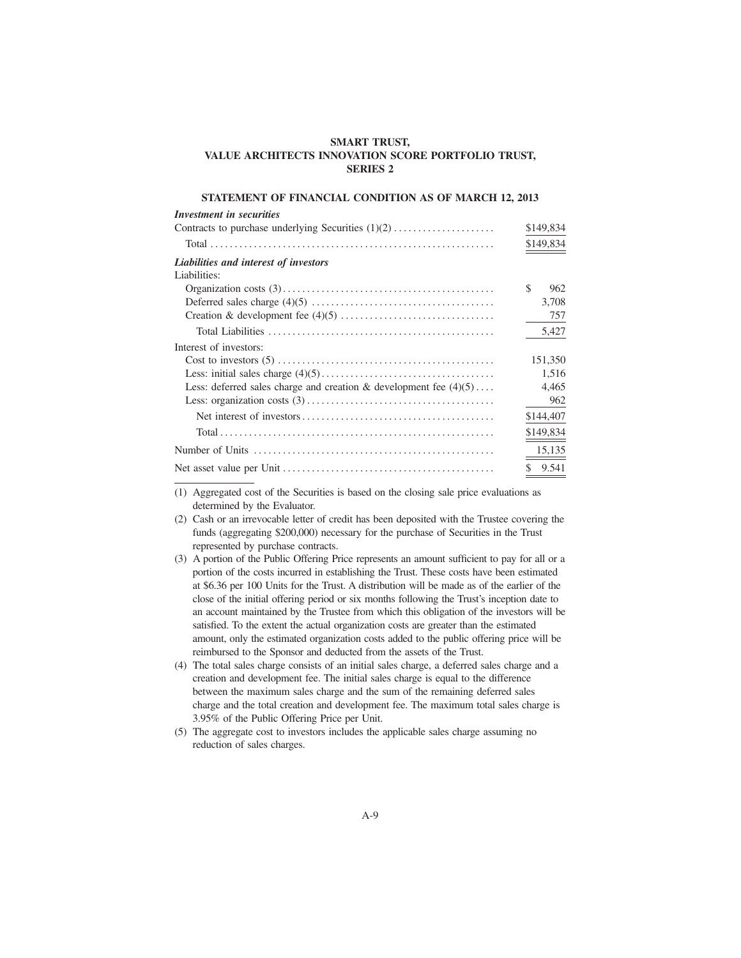# **SMART TRUST, VALUE ARCHITECTS INNOVATION SCORE PORTFOLIO TRUST, SERIES 2**

# **STATEMENT OF FINANCIAL CONDITION AS OF MARCH 12, 2013**

| <b>Investment</b> in securities                                     |           |
|---------------------------------------------------------------------|-----------|
|                                                                     | \$149,834 |
|                                                                     | \$149,834 |
| Liabilities and interest of investors                               |           |
| Liabilities:                                                        |           |
|                                                                     | \$<br>962 |
|                                                                     | 3,708     |
|                                                                     | 757       |
|                                                                     | 5,427     |
| Interest of investors:                                              |           |
|                                                                     | 151,350   |
|                                                                     | 1,516     |
| Less: deferred sales charge and creation & development fee $(4)(5)$ | 4,465     |
|                                                                     | 962       |
|                                                                     | \$144,407 |
|                                                                     | \$149,834 |
|                                                                     | 15,135    |
|                                                                     | \$9.541   |

(1) Aggregated cost of the Securities is based on the closing sale price evaluations as determined by the Evaluator.

- (2) Cash or an irrevocable letter of credit has been deposited with the Trustee covering the funds (aggregating \$200,000) necessary for the purchase of Securities in the Trust represented by purchase contracts.
- (3) A portion of the Public Offering Price represents an amount sufficient to pay for all or a portion of the costs incurred in establishing the Trust. These costs have been estimated at \$6.36 per 100 Units for the Trust. A distribution will be made as of the earlier of the close of the initial offering period or six months following the Trust's inception date to an account maintained by the Trustee from which this obligation of the investors will be satisfied. To the extent the actual organization costs are greater than the estimated amount, only the estimated organization costs added to the public offering price will be reimbursed to the Sponsor and deducted from the assets of the Trust.
- (4) The total sales charge consists of an initial sales charge, a deferred sales charge and a creation and development fee. The initial sales charge is equal to the difference between the maximum sales charge and the sum of the remaining deferred sales charge and the total creation and development fee. The maximum total sales charge is 3.95% of the Public Offering Price per Unit.
- (5) The aggregate cost to investors includes the applicable sales charge assuming no reduction of sales charges.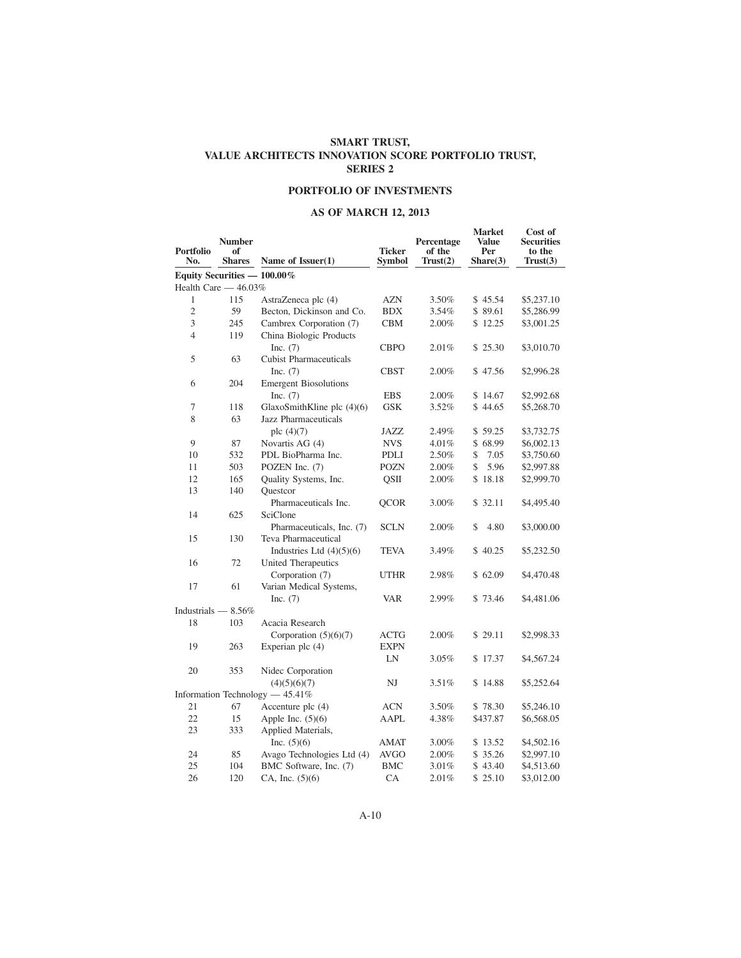# **SMART TRUST, VALUE ARCHITECTS INNOVATION SCORE PORTFOLIO TRUST, SERIES 2**

# **PORTFOLIO OF INVESTMENTS**

# **AS OF MARCH 12, 2013**

| <b>Portfolio</b><br>No. | <b>Number</b><br>of<br><b>Shares</b> | Name of Issuer(1)                 | <b>Ticker</b><br><b>Symbol</b> | Percentage<br>of the<br>Trust(2) | <b>Market</b><br>Value<br>Per<br>Share(3) | Cost of<br><b>Securities</b><br>to the<br>Trust(3) |
|-------------------------|--------------------------------------|-----------------------------------|--------------------------------|----------------------------------|-------------------------------------------|----------------------------------------------------|
|                         | Equity Securities - 100.00%          |                                   |                                |                                  |                                           |                                                    |
|                         | Health Care $-46.03\%$               |                                   |                                |                                  |                                           |                                                    |
| 1                       | 115                                  | AstraZeneca plc (4)               | <b>AZN</b>                     | 3.50%                            | \$45.54                                   | \$5,237.10                                         |
| $\sqrt{2}$              | 59                                   | Becton, Dickinson and Co.         | <b>BDX</b>                     | 3.54%                            | \$89.61                                   | \$5,286.99                                         |
| 3                       | 245                                  | Cambrex Corporation (7)           | <b>CBM</b>                     | 2.00%                            | \$12.25                                   | \$3,001.25                                         |
| $\overline{4}$          | 119                                  | China Biologic Products           |                                |                                  |                                           |                                                    |
|                         |                                      | Inc. $(7)$                        | <b>CBPO</b>                    | 2.01%                            | \$25.30                                   | \$3,010.70                                         |
| 5                       | 63                                   | <b>Cubist Pharmaceuticals</b>     |                                |                                  |                                           |                                                    |
|                         |                                      | Inc. $(7)$                        | <b>CBST</b>                    | 2.00%                            | \$47.56                                   | \$2,996.28                                         |
| 6                       | 204                                  | <b>Emergent Biosolutions</b>      |                                |                                  |                                           |                                                    |
|                         |                                      | Inc. $(7)$                        | <b>EBS</b>                     | 2.00%                            | \$14.67                                   | \$2,992.68                                         |
| 7                       | 118                                  | GlaxoSmithKline plc $(4)(6)$      | <b>GSK</b>                     | 3.52%                            | \$44.65                                   | \$5,268.70                                         |
| 8                       | 63                                   | <b>Jazz Pharmaceuticals</b>       |                                |                                  |                                           |                                                    |
|                         |                                      | plc $(4)(7)$                      | JAZZ                           | 2.49%                            | \$59.25                                   | \$3,732.75                                         |
| 9                       | 87                                   | Novartis AG (4)                   | <b>NVS</b>                     | 4.01%                            | \$68.99                                   | \$6,002.13                                         |
| 10                      | 532                                  | PDL BioPharma Inc.                | PDLI                           | 2.50%                            | \$<br>7.05                                | \$3,750.60                                         |
| 11                      | 503                                  | POZEN Inc. (7)                    | <b>POZN</b>                    | $2.00\%$                         | 5.96<br>\$                                | \$2,997.88                                         |
| 12                      | 165                                  | Quality Systems, Inc.             | OSII                           | 2.00%                            | \$18.18                                   | \$2,999.70                                         |
| 13                      | 140                                  | Questcor                          |                                |                                  |                                           |                                                    |
|                         |                                      | Pharmaceuticals Inc.              | <b>QCOR</b>                    | 3.00%                            | \$32.11                                   | \$4,495.40                                         |
| 14                      | 625                                  | SciClone                          |                                |                                  |                                           |                                                    |
|                         |                                      | Pharmaceuticals, Inc. (7)         | <b>SCLN</b>                    | 2.00%                            | 4.80<br>\$                                | \$3,000.00                                         |
| 15                      | 130                                  | Teva Pharmaceutical               |                                |                                  |                                           |                                                    |
|                         |                                      | Industries Ltd $(4)(5)(6)$        | <b>TEVA</b>                    | 3.49%                            | \$40.25                                   | \$5,232.50                                         |
| 16                      | 72                                   | United Therapeutics               |                                |                                  |                                           |                                                    |
|                         |                                      | Corporation (7)                   | UTHR                           | 2.98%                            | \$62.09                                   | \$4,470.48                                         |
| 17                      | 61                                   | Varian Medical Systems,           |                                |                                  |                                           |                                                    |
|                         |                                      | Inc. $(7)$                        | <b>VAR</b>                     | 2.99%                            | \$73.46                                   | \$4,481.06                                         |
| Industrials $-8.56\%$   |                                      |                                   |                                |                                  |                                           |                                                    |
| 18                      | 103                                  | Acacia Research                   |                                |                                  |                                           |                                                    |
|                         |                                      | Corporation $(5)(6)(7)$           | <b>ACTG</b>                    | 2.00%                            | \$29.11                                   | \$2,998.33                                         |
| 19                      | 263                                  | Experian plc $(4)$                | <b>EXPN</b>                    |                                  |                                           |                                                    |
|                         |                                      |                                   | LN                             | 3.05%                            | \$17.37                                   | \$4,567.24                                         |
| 20                      | 353                                  | Nidec Corporation                 |                                |                                  |                                           |                                                    |
|                         |                                      | (4)(5)(6)(7)                      | NJ                             | 3.51%                            | \$14.88                                   | \$5,252.64                                         |
|                         |                                      | Information Technology $-45.41\%$ |                                |                                  |                                           |                                                    |
| 21                      | 67                                   | Accenture plc $(4)$               | ACN                            | 3.50%                            | \$78.30                                   | \$5,246.10                                         |
| 22                      | 15                                   | Apple Inc. $(5)(6)$               | AAPL                           | 4.38%                            | \$437.87                                  | \$6,568.05                                         |
| 23                      | 333                                  | Applied Materials,                |                                |                                  |                                           |                                                    |
|                         |                                      | Inc. $(5)(6)$                     | <b>AMAT</b>                    | 3.00%                            | \$13.52                                   | \$4,502.16                                         |
| 24                      | 85                                   | Avago Technologies Ltd (4)        | <b>AVGO</b>                    | 2.00%                            | \$ 35.26                                  | \$2,997.10                                         |
| 25                      | 104                                  | BMC Software, Inc. (7)            | <b>BMC</b>                     | 3.01%                            | \$43.40                                   | \$4,513.60                                         |
| 26                      | 120                                  | CA, Inc. $(5)(6)$                 | CA                             | 2.01%                            | \$25.10                                   | \$3,012.00                                         |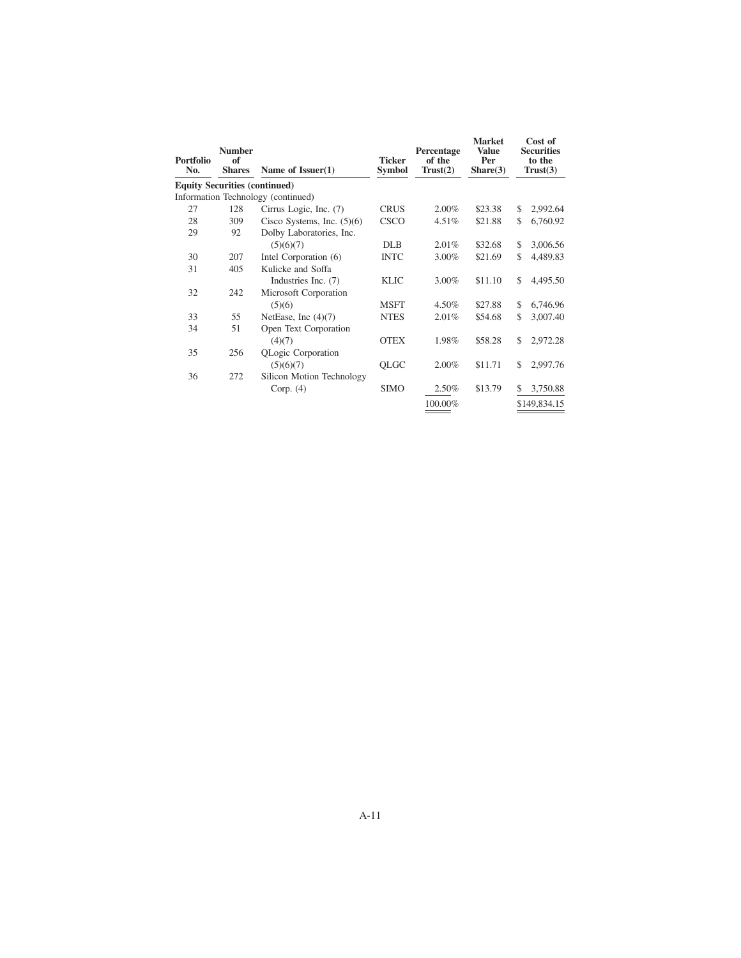| Portfolio<br>No. | <b>Number</b><br>of<br><b>Shares</b> | Name of Issuer(1)                  | <b>Ticker</b><br><b>Symbol</b> | Percentage<br>of the<br>Trust(2) | <b>Market</b><br><b>Value</b><br>Per<br>Share(3) | Cost of<br><b>Securities</b><br>to the<br>Trust(3) |
|------------------|--------------------------------------|------------------------------------|--------------------------------|----------------------------------|--------------------------------------------------|----------------------------------------------------|
|                  | <b>Equity Securities (continued)</b> |                                    |                                |                                  |                                                  |                                                    |
|                  |                                      | Information Technology (continued) |                                |                                  |                                                  |                                                    |
| 27               | 128                                  | Cirrus Logic, Inc. (7)             | <b>CRUS</b>                    | 2.00%                            | \$23.38                                          | \$<br>2,992.64                                     |
| 28               | 309                                  | Cisco Systems, Inc. $(5)(6)$       | <b>CSCO</b>                    | 4.51%                            | \$21.88                                          | \$<br>6,760.92                                     |
| 29               | 92                                   | Dolby Laboratories, Inc.           |                                |                                  |                                                  |                                                    |
|                  |                                      | (5)(6)(7)                          | <b>DLB</b>                     | 2.01%                            | \$32.68                                          | \$<br>3,006.56                                     |
| 30               | 207                                  | Intel Corporation (6)              | <b>INTC</b>                    | 3.00%                            | \$21.69                                          | \$<br>4,489.83                                     |
| 31               | 405                                  | Kulicke and Soffa                  |                                |                                  |                                                  |                                                    |
|                  |                                      | Industries Inc. (7)                | <b>KLIC</b>                    | 3.00%                            | \$11.10                                          | \$<br>4,495.50                                     |
| 32               | 242                                  | Microsoft Corporation              |                                |                                  |                                                  |                                                    |
|                  |                                      | (5)(6)                             | <b>MSFT</b>                    | 4.50%                            | \$27.88                                          | \$<br>6,746.96                                     |
| 33               | 55                                   | NetEase, Inc $(4)(7)$              | <b>NTES</b>                    | 2.01%                            | \$54.68                                          | \$<br>3,007.40                                     |
| 34               | 51                                   | Open Text Corporation              |                                |                                  |                                                  |                                                    |
|                  |                                      | (4)(7)                             | <b>OTEX</b>                    | 1.98%                            | \$58.28                                          | \$<br>2,972.28                                     |
| 35               | 256                                  | QLogic Corporation                 |                                |                                  |                                                  |                                                    |
|                  |                                      | (5)(6)(7)                          | QLGC                           | 2.00%                            | \$11.71                                          | \$<br>2,997.76                                     |
| 36               | 272                                  | Silicon Motion Technology          |                                |                                  |                                                  |                                                    |
|                  |                                      | Corp. $(4)$                        | <b>SIMO</b>                    | 2.50%                            | \$13.79                                          | \$<br>3,750.88                                     |
|                  |                                      |                                    |                                | 100.00%                          |                                                  | \$149,834.15                                       |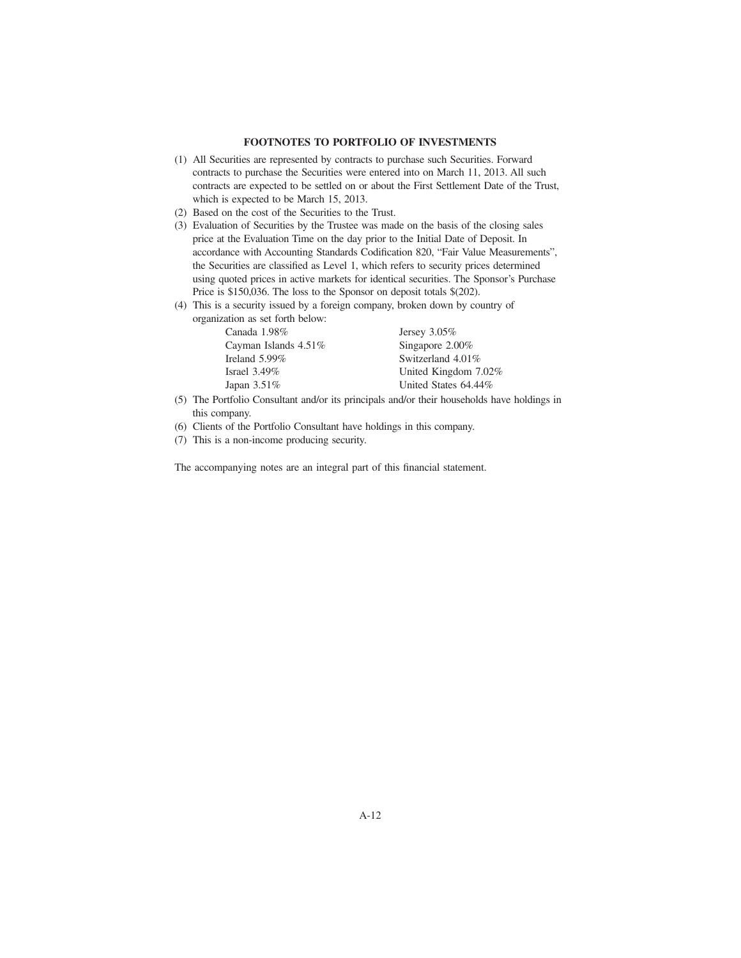## **FOOTNOTES TO PORTFOLIO OF INVESTMENTS**

- (1) All Securities are represented by contracts to purchase such Securities. Forward contracts to purchase the Securities were entered into on March 11, 2013. All such contracts are expected to be settled on or about the First Settlement Date of the Trust, which is expected to be March 15, 2013.
- (2) Based on the cost of the Securities to the Trust.
- (3) Evaluation of Securities by the Trustee was made on the basis of the closing sales price at the Evaluation Time on the day prior to the Initial Date of Deposit. In accordance with Accounting Standards Codification 820, "Fair Value Measurements", the Securities are classified as Level 1, which refers to security prices determined using quoted prices in active markets for identical securities. The Sponsor's Purchase Price is \$150,036. The loss to the Sponsor on deposit totals \$(202).
- (4) This is a security issued by a foreign company, broken down by country of organization as set forth below:

| Canada 1.98%         | Jersey $3.05\%$      |
|----------------------|----------------------|
| Cayman Islands 4.51% | Singapore 2.00%      |
| Ireland 5.99%        | Switzerland 4.01%    |
| Israel $3.49\%$      | United Kingdom 7.02% |
| Japan 3.51%          | United States 64.44% |
|                      |                      |

- (5) The Portfolio Consultant and/or its principals and/or their households have holdings in this company.
- (6) Clients of the Portfolio Consultant have holdings in this company.
- (7) This is a non-income producing security.

The accompanying notes are an integral part of this financial statement.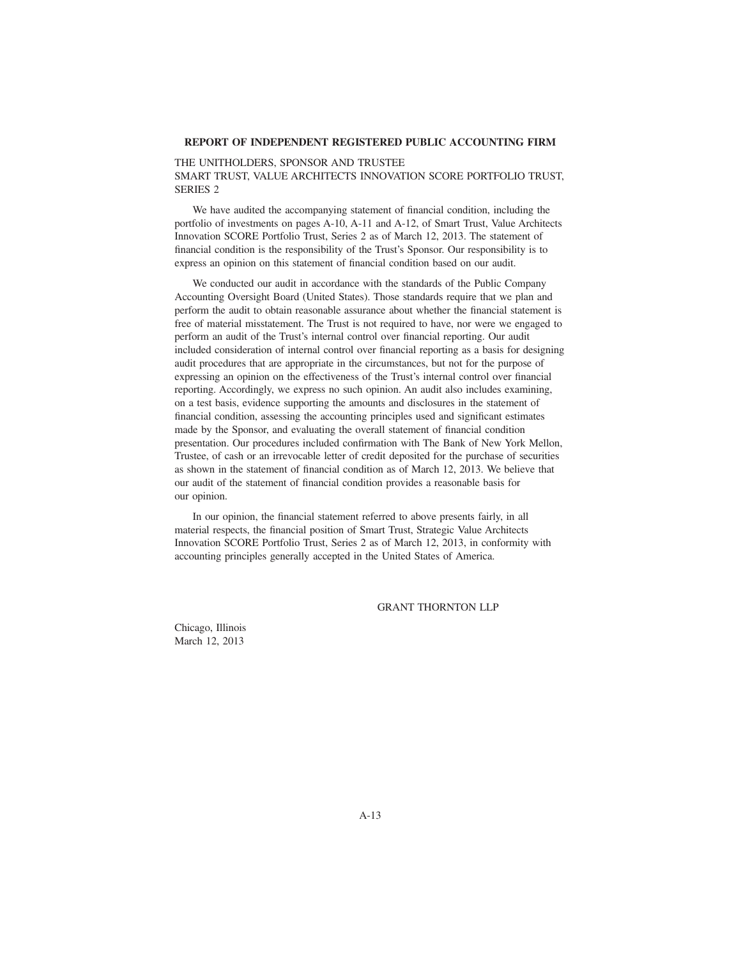### **REPORT OF INDEPENDENT REGISTERED PUBLIC ACCOUNTING FIRM**

# THE UNITHOLDERS, SPONSOR AND TRUSTEE SMART TRUST, VALUE ARCHITECTS INNOVATION SCORE PORTFOLIO TRUST, SERIES 2

We have audited the accompanying statement of financial condition, including the portfolio of investments on pages A-10, A-11 and A-12, of Smart Trust, Value Architects Innovation SCORE Portfolio Trust, Series 2 as of March 12, 2013. The statement of financial condition is the responsibility of the Trust's Sponsor. Our responsibility is to express an opinion on this statement of financial condition based on our audit.

We conducted our audit in accordance with the standards of the Public Company Accounting Oversight Board (United States). Those standards require that we plan and perform the audit to obtain reasonable assurance about whether the financial statement is free of material misstatement. The Trust is not required to have, nor were we engaged to perform an audit of the Trust's internal control over financial reporting. Our audit included consideration of internal control over financial reporting as a basis for designing audit procedures that are appropriate in the circumstances, but not for the purpose of expressing an opinion on the effectiveness of the Trust's internal control over financial reporting. Accordingly, we express no such opinion. An audit also includes examining, on a test basis, evidence supporting the amounts and disclosures in the statement of financial condition, assessing the accounting principles used and significant estimates made by the Sponsor, and evaluating the overall statement of financial condition presentation. Our procedures included confirmation with The Bank of New York Mellon, Trustee, of cash or an irrevocable letter of credit deposited for the purchase of securities as shown in the statement of financial condition as of March 12, 2013. We believe that our audit of the statement of financial condition provides a reasonable basis for our opinion.

In our opinion, the financial statement referred to above presents fairly, in all material respects, the financial position of Smart Trust, Strategic Value Architects Innovation SCORE Portfolio Trust, Series 2 as of March 12, 2013, in conformity with accounting principles generally accepted in the United States of America.

### GRANT THORNTON LLP

Chicago, Illinois March 12, 2013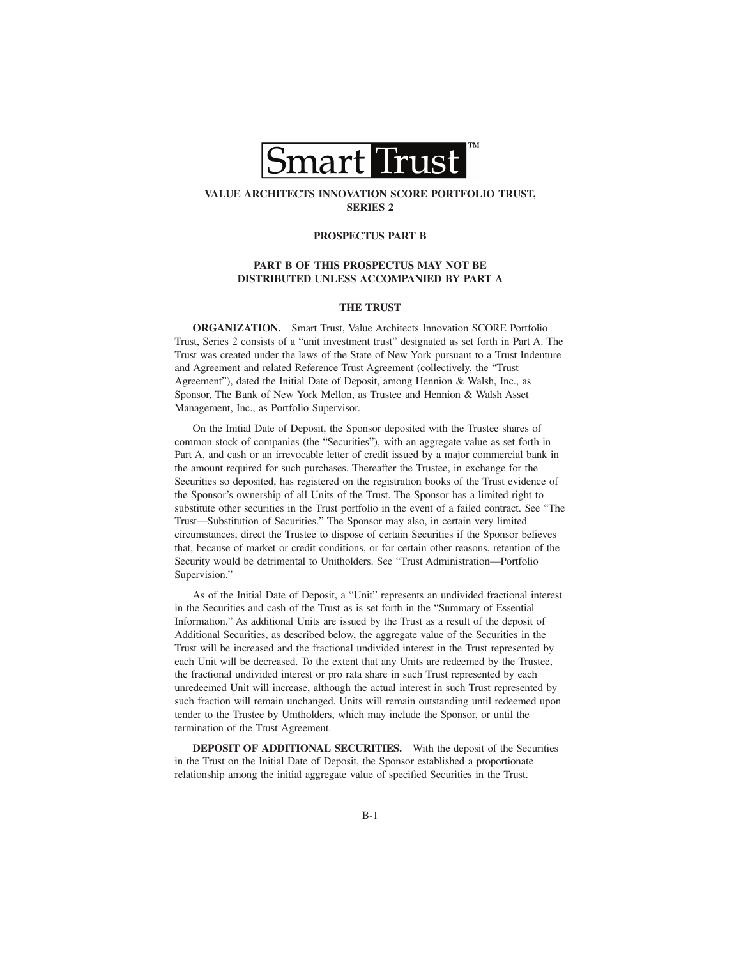

# **VALUE ARCHITECTS INNOVATION SCORE PORTFOLIO TRUST, SERIES 2**

### **PROSPECTUS PART B**

### **PART B OF THIS PROSPECTUS MAY NOT BE DISTRIBUTED UNLESS ACCOMPANIED BY PART A**

#### **THE TRUST**

**ORGANIZATION.** Smart Trust, Value Architects Innovation SCORE Portfolio Trust, Series 2 consists of a "unit investment trust" designated as set forth in Part A. The Trust was created under the laws of the State of New York pursuant to a Trust Indenture and Agreement and related Reference Trust Agreement (collectively, the "Trust Agreement"), dated the Initial Date of Deposit, among Hennion & Walsh, Inc., as Sponsor, The Bank of New York Mellon, as Trustee and Hennion & Walsh Asset Management, Inc., as Portfolio Supervisor.

On the Initial Date of Deposit, the Sponsor deposited with the Trustee shares of common stock of companies (the "Securities"), with an aggregate value as set forth in Part A, and cash or an irrevocable letter of credit issued by a major commercial bank in the amount required for such purchases. Thereafter the Trustee, in exchange for the Securities so deposited, has registered on the registration books of the Trust evidence of the Sponsor's ownership of all Units of the Trust. The Sponsor has a limited right to substitute other securities in the Trust portfolio in the event of a failed contract. See "The Trust—Substitution of Securities." The Sponsor may also, in certain very limited circumstances, direct the Trustee to dispose of certain Securities if the Sponsor believes that, because of market or credit conditions, or for certain other reasons, retention of the Security would be detrimental to Unitholders. See "Trust Administration—Portfolio Supervision."

As of the Initial Date of Deposit, a "Unit" represents an undivided fractional interest in the Securities and cash of the Trust as is set forth in the "Summary of Essential Information." As additional Units are issued by the Trust as a result of the deposit of Additional Securities, as described below, the aggregate value of the Securities in the Trust will be increased and the fractional undivided interest in the Trust represented by each Unit will be decreased. To the extent that any Units are redeemed by the Trustee, the fractional undivided interest or pro rata share in such Trust represented by each unredeemed Unit will increase, although the actual interest in such Trust represented by such fraction will remain unchanged. Units will remain outstanding until redeemed upon tender to the Trustee by Unitholders, which may include the Sponsor, or until the termination of the Trust Agreement.

**DEPOSIT OF ADDITIONAL SECURITIES.** With the deposit of the Securities in the Trust on the Initial Date of Deposit, the Sponsor established a proportionate relationship among the initial aggregate value of specified Securities in the Trust.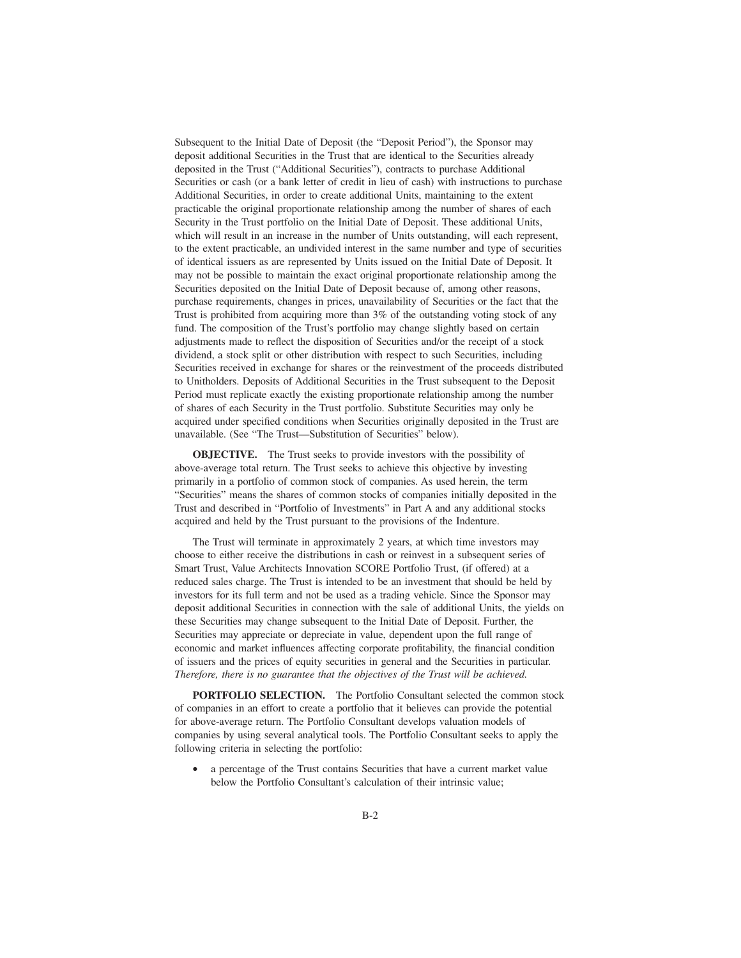Subsequent to the Initial Date of Deposit (the "Deposit Period"), the Sponsor may deposit additional Securities in the Trust that are identical to the Securities already deposited in the Trust ("Additional Securities"), contracts to purchase Additional Securities or cash (or a bank letter of credit in lieu of cash) with instructions to purchase Additional Securities, in order to create additional Units, maintaining to the extent practicable the original proportionate relationship among the number of shares of each Security in the Trust portfolio on the Initial Date of Deposit. These additional Units, which will result in an increase in the number of Units outstanding, will each represent, to the extent practicable, an undivided interest in the same number and type of securities of identical issuers as are represented by Units issued on the Initial Date of Deposit. It may not be possible to maintain the exact original proportionate relationship among the Securities deposited on the Initial Date of Deposit because of, among other reasons, purchase requirements, changes in prices, unavailability of Securities or the fact that the Trust is prohibited from acquiring more than 3% of the outstanding voting stock of any fund. The composition of the Trust's portfolio may change slightly based on certain adjustments made to reflect the disposition of Securities and/or the receipt of a stock dividend, a stock split or other distribution with respect to such Securities, including Securities received in exchange for shares or the reinvestment of the proceeds distributed to Unitholders. Deposits of Additional Securities in the Trust subsequent to the Deposit Period must replicate exactly the existing proportionate relationship among the number of shares of each Security in the Trust portfolio. Substitute Securities may only be acquired under specified conditions when Securities originally deposited in the Trust are unavailable. (See "The Trust—Substitution of Securities" below).

**OBJECTIVE.** The Trust seeks to provide investors with the possibility of above-average total return. The Trust seeks to achieve this objective by investing primarily in a portfolio of common stock of companies. As used herein, the term "Securities" means the shares of common stocks of companies initially deposited in the Trust and described in "Portfolio of Investments" in Part A and any additional stocks acquired and held by the Trust pursuant to the provisions of the Indenture.

The Trust will terminate in approximately 2 years, at which time investors may choose to either receive the distributions in cash or reinvest in a subsequent series of Smart Trust, Value Architects Innovation SCORE Portfolio Trust, (if offered) at a reduced sales charge. The Trust is intended to be an investment that should be held by investors for its full term and not be used as a trading vehicle. Since the Sponsor may deposit additional Securities in connection with the sale of additional Units, the yields on these Securities may change subsequent to the Initial Date of Deposit. Further, the Securities may appreciate or depreciate in value, dependent upon the full range of economic and market influences affecting corporate profitability, the financial condition of issuers and the prices of equity securities in general and the Securities in particular. *Therefore, there is no guarantee that the objectives of the Trust will be achieved.*

**PORTFOLIO SELECTION.** The Portfolio Consultant selected the common stock of companies in an effort to create a portfolio that it believes can provide the potential for above-average return. The Portfolio Consultant develops valuation models of companies by using several analytical tools. The Portfolio Consultant seeks to apply the following criteria in selecting the portfolio:

a percentage of the Trust contains Securities that have a current market value below the Portfolio Consultant's calculation of their intrinsic value;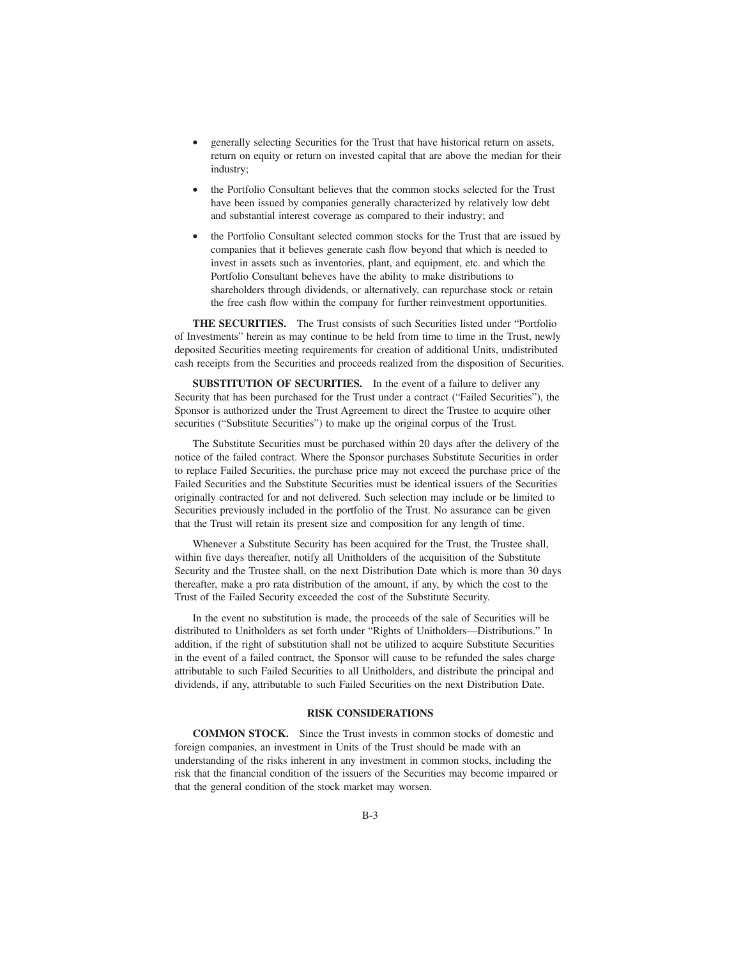- generally selecting Securities for the Trust that have historical return on assets, return on equity or return on invested capital that are above the median for their industry;
- the Portfolio Consultant believes that the common stocks selected for the Trust have been issued by companies generally characterized by relatively low debt and substantial interest coverage as compared to their industry; and
- the Portfolio Consultant selected common stocks for the Trust that are issued by companies that it believes generate cash flow beyond that which is needed to invest in assets such as inventories, plant, and equipment, etc. and which the Portfolio Consultant believes have the ability to make distributions to shareholders through dividends, or alternatively, can repurchase stock or retain the free cash flow within the company for further reinvestment opportunities.

**THE SECURITIES.** The Trust consists of such Securities listed under "Portfolio of Investments" herein as may continue to be held from time to time in the Trust, newly deposited Securities meeting requirements for creation of additional Units, undistributed cash receipts from the Securities and proceeds realized from the disposition of Securities.

**SUBSTITUTION OF SECURITIES.** In the event of a failure to deliver any Security that has been purchased for the Trust under a contract ("Failed Securities"), the Sponsor is authorized under the Trust Agreement to direct the Trustee to acquire other securities ("Substitute Securities") to make up the original corpus of the Trust.

The Substitute Securities must be purchased within 20 days after the delivery of the notice of the failed contract. Where the Sponsor purchases Substitute Securities in order to replace Failed Securities, the purchase price may not exceed the purchase price of the Failed Securities and the Substitute Securities must be identical issuers of the Securities originally contracted for and not delivered. Such selection may include or be limited to Securities previously included in the portfolio of the Trust. No assurance can be given that the Trust will retain its present size and composition for any length of time.

Whenever a Substitute Security has been acquired for the Trust, the Trustee shall, within five days thereafter, notify all Unitholders of the acquisition of the Substitute Security and the Trustee shall, on the next Distribution Date which is more than 30 days thereafter, make a pro rata distribution of the amount, if any, by which the cost to the Trust of the Failed Security exceeded the cost of the Substitute Security.

In the event no substitution is made, the proceeds of the sale of Securities will be distributed to Unitholders as set forth under "Rights of Unitholders—Distributions." In addition, if the right of substitution shall not be utilized to acquire Substitute Securities in the event of a failed contract, the Sponsor will cause to be refunded the sales charge attributable to such Failed Securities to all Unitholders, and distribute the principal and dividends, if any, attributable to such Failed Securities on the next Distribution Date.

# **RISK CONSIDERATIONS**

**COMMON STOCK.** Since the Trust invests in common stocks of domestic and foreign companies, an investment in Units of the Trust should be made with an understanding of the risks inherent in any investment in common stocks, including the risk that the financial condition of the issuers of the Securities may become impaired or that the general condition of the stock market may worsen.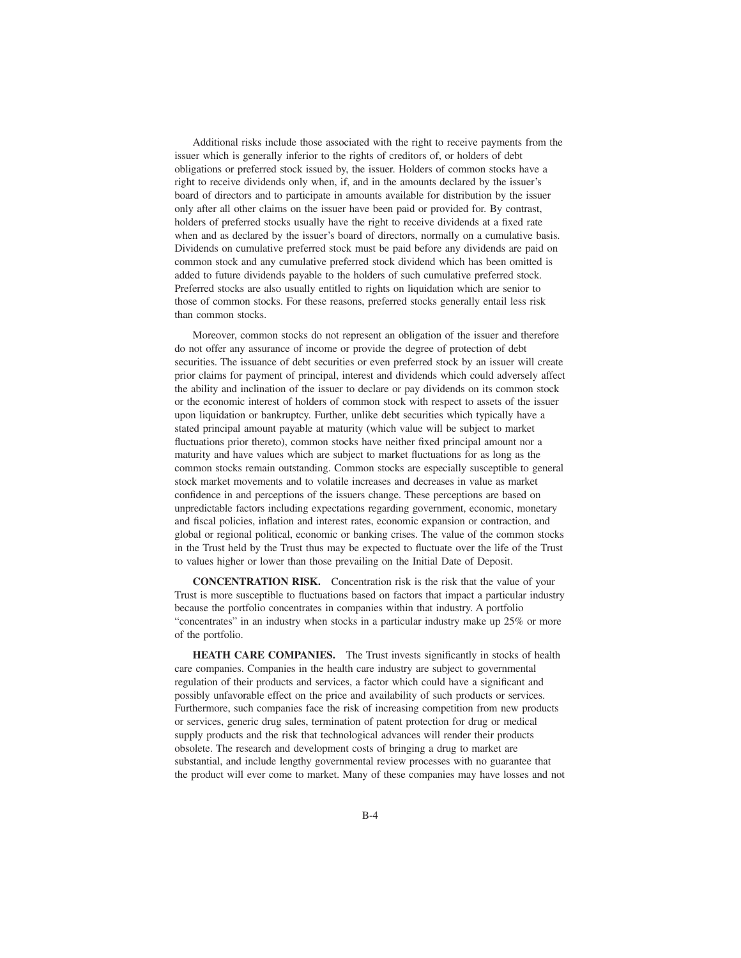Additional risks include those associated with the right to receive payments from the issuer which is generally inferior to the rights of creditors of, or holders of debt obligations or preferred stock issued by, the issuer. Holders of common stocks have a right to receive dividends only when, if, and in the amounts declared by the issuer's board of directors and to participate in amounts available for distribution by the issuer only after all other claims on the issuer have been paid or provided for. By contrast, holders of preferred stocks usually have the right to receive dividends at a fixed rate when and as declared by the issuer's board of directors, normally on a cumulative basis. Dividends on cumulative preferred stock must be paid before any dividends are paid on common stock and any cumulative preferred stock dividend which has been omitted is added to future dividends payable to the holders of such cumulative preferred stock. Preferred stocks are also usually entitled to rights on liquidation which are senior to those of common stocks. For these reasons, preferred stocks generally entail less risk than common stocks.

Moreover, common stocks do not represent an obligation of the issuer and therefore do not offer any assurance of income or provide the degree of protection of debt securities. The issuance of debt securities or even preferred stock by an issuer will create prior claims for payment of principal, interest and dividends which could adversely affect the ability and inclination of the issuer to declare or pay dividends on its common stock or the economic interest of holders of common stock with respect to assets of the issuer upon liquidation or bankruptcy. Further, unlike debt securities which typically have a stated principal amount payable at maturity (which value will be subject to market fluctuations prior thereto), common stocks have neither fixed principal amount nor a maturity and have values which are subject to market fluctuations for as long as the common stocks remain outstanding. Common stocks are especially susceptible to general stock market movements and to volatile increases and decreases in value as market confidence in and perceptions of the issuers change. These perceptions are based on unpredictable factors including expectations regarding government, economic, monetary and fiscal policies, inflation and interest rates, economic expansion or contraction, and global or regional political, economic or banking crises. The value of the common stocks in the Trust held by the Trust thus may be expected to fluctuate over the life of the Trust to values higher or lower than those prevailing on the Initial Date of Deposit.

**CONCENTRATION RISK.** Concentration risk is the risk that the value of your Trust is more susceptible to fluctuations based on factors that impact a particular industry because the portfolio concentrates in companies within that industry. A portfolio "concentrates" in an industry when stocks in a particular industry make up 25% or more of the portfolio.

**HEATH CARE COMPANIES.** The Trust invests significantly in stocks of health care companies. Companies in the health care industry are subject to governmental regulation of their products and services, a factor which could have a significant and possibly unfavorable effect on the price and availability of such products or services. Furthermore, such companies face the risk of increasing competition from new products or services, generic drug sales, termination of patent protection for drug or medical supply products and the risk that technological advances will render their products obsolete. The research and development costs of bringing a drug to market are substantial, and include lengthy governmental review processes with no guarantee that the product will ever come to market. Many of these companies may have losses and not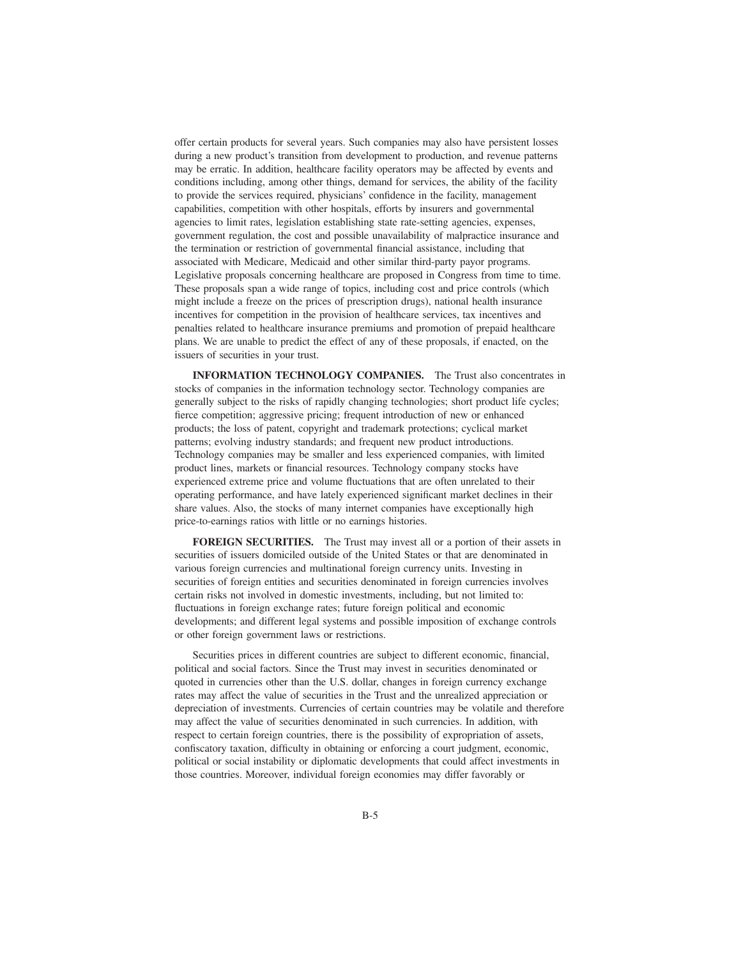offer certain products for several years. Such companies may also have persistent losses during a new product's transition from development to production, and revenue patterns may be erratic. In addition, healthcare facility operators may be affected by events and conditions including, among other things, demand for services, the ability of the facility to provide the services required, physicians' confidence in the facility, management capabilities, competition with other hospitals, efforts by insurers and governmental agencies to limit rates, legislation establishing state rate-setting agencies, expenses, government regulation, the cost and possible unavailability of malpractice insurance and the termination or restriction of governmental financial assistance, including that associated with Medicare, Medicaid and other similar third-party payor programs. Legislative proposals concerning healthcare are proposed in Congress from time to time. These proposals span a wide range of topics, including cost and price controls (which might include a freeze on the prices of prescription drugs), national health insurance incentives for competition in the provision of healthcare services, tax incentives and penalties related to healthcare insurance premiums and promotion of prepaid healthcare plans. We are unable to predict the effect of any of these proposals, if enacted, on the issuers of securities in your trust.

**INFORMATION TECHNOLOGY COMPANIES.** The Trust also concentrates in stocks of companies in the information technology sector. Technology companies are generally subject to the risks of rapidly changing technologies; short product life cycles; fierce competition; aggressive pricing; frequent introduction of new or enhanced products; the loss of patent, copyright and trademark protections; cyclical market patterns; evolving industry standards; and frequent new product introductions. Technology companies may be smaller and less experienced companies, with limited product lines, markets or financial resources. Technology company stocks have experienced extreme price and volume fluctuations that are often unrelated to their operating performance, and have lately experienced significant market declines in their share values. Also, the stocks of many internet companies have exceptionally high price-to-earnings ratios with little or no earnings histories.

**FOREIGN SECURITIES.** The Trust may invest all or a portion of their assets in securities of issuers domiciled outside of the United States or that are denominated in various foreign currencies and multinational foreign currency units. Investing in securities of foreign entities and securities denominated in foreign currencies involves certain risks not involved in domestic investments, including, but not limited to: fluctuations in foreign exchange rates; future foreign political and economic developments; and different legal systems and possible imposition of exchange controls or other foreign government laws or restrictions.

Securities prices in different countries are subject to different economic, financial, political and social factors. Since the Trust may invest in securities denominated or quoted in currencies other than the U.S. dollar, changes in foreign currency exchange rates may affect the value of securities in the Trust and the unrealized appreciation or depreciation of investments. Currencies of certain countries may be volatile and therefore may affect the value of securities denominated in such currencies. In addition, with respect to certain foreign countries, there is the possibility of expropriation of assets, confiscatory taxation, difficulty in obtaining or enforcing a court judgment, economic, political or social instability or diplomatic developments that could affect investments in those countries. Moreover, individual foreign economies may differ favorably or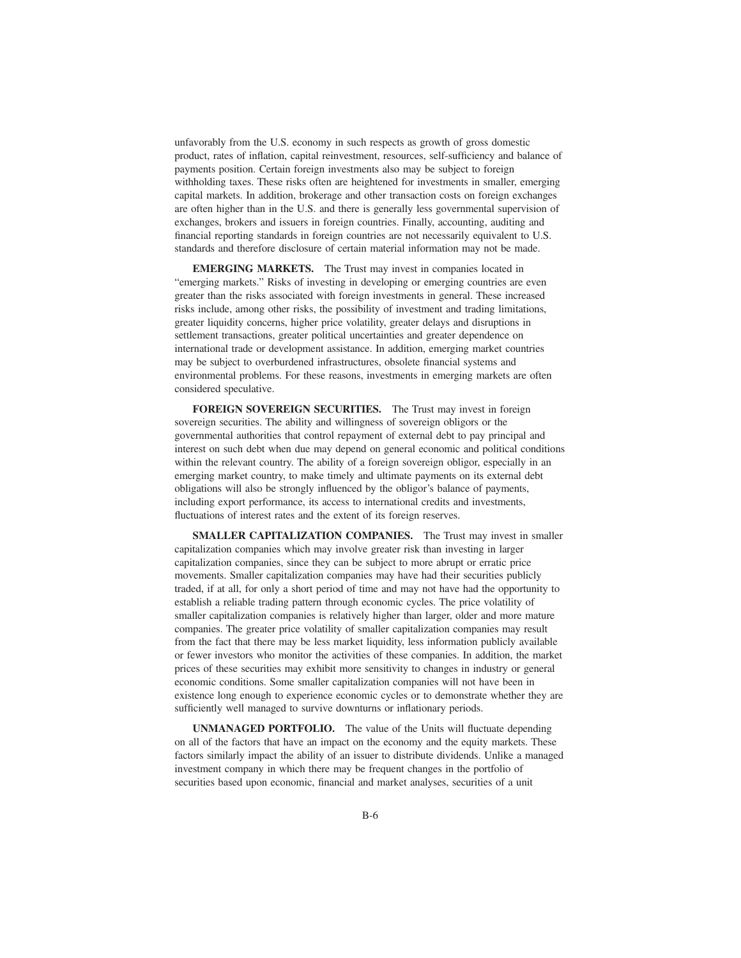unfavorably from the U.S. economy in such respects as growth of gross domestic product, rates of inflation, capital reinvestment, resources, self-sufficiency and balance of payments position. Certain foreign investments also may be subject to foreign withholding taxes. These risks often are heightened for investments in smaller, emerging capital markets. In addition, brokerage and other transaction costs on foreign exchanges are often higher than in the U.S. and there is generally less governmental supervision of exchanges, brokers and issuers in foreign countries. Finally, accounting, auditing and financial reporting standards in foreign countries are not necessarily equivalent to U.S. standards and therefore disclosure of certain material information may not be made.

**EMERGING MARKETS.** The Trust may invest in companies located in "emerging markets." Risks of investing in developing or emerging countries are even greater than the risks associated with foreign investments in general. These increased risks include, among other risks, the possibility of investment and trading limitations, greater liquidity concerns, higher price volatility, greater delays and disruptions in settlement transactions, greater political uncertainties and greater dependence on international trade or development assistance. In addition, emerging market countries may be subject to overburdened infrastructures, obsolete financial systems and environmental problems. For these reasons, investments in emerging markets are often considered speculative.

**FOREIGN SOVEREIGN SECURITIES.** The Trust may invest in foreign sovereign securities. The ability and willingness of sovereign obligors or the governmental authorities that control repayment of external debt to pay principal and interest on such debt when due may depend on general economic and political conditions within the relevant country. The ability of a foreign sovereign obligor, especially in an emerging market country, to make timely and ultimate payments on its external debt obligations will also be strongly influenced by the obligor's balance of payments, including export performance, its access to international credits and investments, fluctuations of interest rates and the extent of its foreign reserves.

**SMALLER CAPITALIZATION COMPANIES.** The Trust may invest in smaller capitalization companies which may involve greater risk than investing in larger capitalization companies, since they can be subject to more abrupt or erratic price movements. Smaller capitalization companies may have had their securities publicly traded, if at all, for only a short period of time and may not have had the opportunity to establish a reliable trading pattern through economic cycles. The price volatility of smaller capitalization companies is relatively higher than larger, older and more mature companies. The greater price volatility of smaller capitalization companies may result from the fact that there may be less market liquidity, less information publicly available or fewer investors who monitor the activities of these companies. In addition, the market prices of these securities may exhibit more sensitivity to changes in industry or general economic conditions. Some smaller capitalization companies will not have been in existence long enough to experience economic cycles or to demonstrate whether they are sufficiently well managed to survive downturns or inflationary periods.

**UNMANAGED PORTFOLIO.** The value of the Units will fluctuate depending on all of the factors that have an impact on the economy and the equity markets. These factors similarly impact the ability of an issuer to distribute dividends. Unlike a managed investment company in which there may be frequent changes in the portfolio of securities based upon economic, financial and market analyses, securities of a unit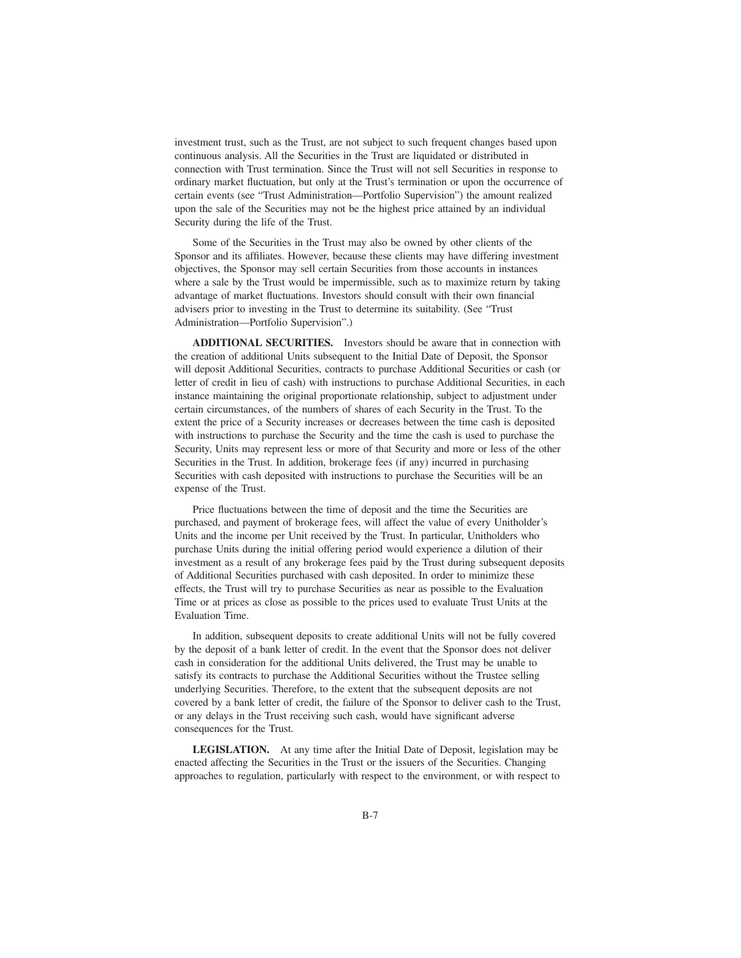investment trust, such as the Trust, are not subject to such frequent changes based upon continuous analysis. All the Securities in the Trust are liquidated or distributed in connection with Trust termination. Since the Trust will not sell Securities in response to ordinary market fluctuation, but only at the Trust's termination or upon the occurrence of certain events (see "Trust Administration—Portfolio Supervision") the amount realized upon the sale of the Securities may not be the highest price attained by an individual Security during the life of the Trust.

Some of the Securities in the Trust may also be owned by other clients of the Sponsor and its affiliates. However, because these clients may have differing investment objectives, the Sponsor may sell certain Securities from those accounts in instances where a sale by the Trust would be impermissible, such as to maximize return by taking advantage of market fluctuations. Investors should consult with their own financial advisers prior to investing in the Trust to determine its suitability. (See "Trust Administration—Portfolio Supervision".)

**ADDITIONAL SECURITIES.** Investors should be aware that in connection with the creation of additional Units subsequent to the Initial Date of Deposit, the Sponsor will deposit Additional Securities, contracts to purchase Additional Securities or cash (or letter of credit in lieu of cash) with instructions to purchase Additional Securities, in each instance maintaining the original proportionate relationship, subject to adjustment under certain circumstances, of the numbers of shares of each Security in the Trust. To the extent the price of a Security increases or decreases between the time cash is deposited with instructions to purchase the Security and the time the cash is used to purchase the Security, Units may represent less or more of that Security and more or less of the other Securities in the Trust. In addition, brokerage fees (if any) incurred in purchasing Securities with cash deposited with instructions to purchase the Securities will be an expense of the Trust.

Price fluctuations between the time of deposit and the time the Securities are purchased, and payment of brokerage fees, will affect the value of every Unitholder's Units and the income per Unit received by the Trust. In particular, Unitholders who purchase Units during the initial offering period would experience a dilution of their investment as a result of any brokerage fees paid by the Trust during subsequent deposits of Additional Securities purchased with cash deposited. In order to minimize these effects, the Trust will try to purchase Securities as near as possible to the Evaluation Time or at prices as close as possible to the prices used to evaluate Trust Units at the Evaluation Time.

In addition, subsequent deposits to create additional Units will not be fully covered by the deposit of a bank letter of credit. In the event that the Sponsor does not deliver cash in consideration for the additional Units delivered, the Trust may be unable to satisfy its contracts to purchase the Additional Securities without the Trustee selling underlying Securities. Therefore, to the extent that the subsequent deposits are not covered by a bank letter of credit, the failure of the Sponsor to deliver cash to the Trust, or any delays in the Trust receiving such cash, would have significant adverse consequences for the Trust.

**LEGISLATION.** At any time after the Initial Date of Deposit, legislation may be enacted affecting the Securities in the Trust or the issuers of the Securities. Changing approaches to regulation, particularly with respect to the environment, or with respect to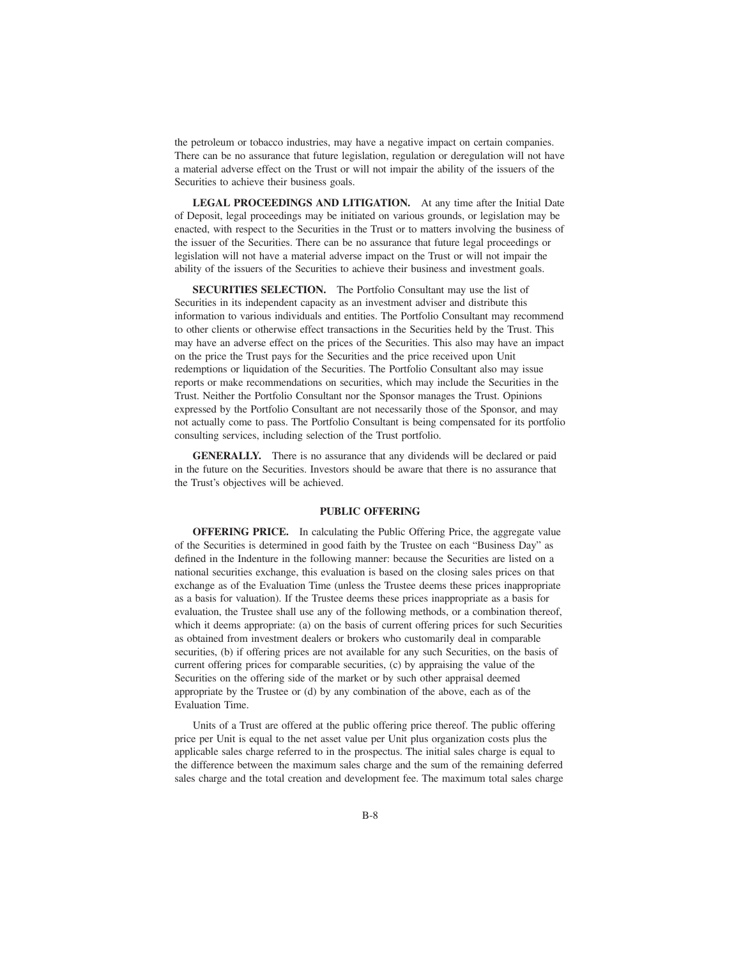the petroleum or tobacco industries, may have a negative impact on certain companies. There can be no assurance that future legislation, regulation or deregulation will not have a material adverse effect on the Trust or will not impair the ability of the issuers of the Securities to achieve their business goals.

**LEGAL PROCEEDINGS AND LITIGATION.** At any time after the Initial Date of Deposit, legal proceedings may be initiated on various grounds, or legislation may be enacted, with respect to the Securities in the Trust or to matters involving the business of the issuer of the Securities. There can be no assurance that future legal proceedings or legislation will not have a material adverse impact on the Trust or will not impair the ability of the issuers of the Securities to achieve their business and investment goals.

**SECURITIES SELECTION.** The Portfolio Consultant may use the list of Securities in its independent capacity as an investment adviser and distribute this information to various individuals and entities. The Portfolio Consultant may recommend to other clients or otherwise effect transactions in the Securities held by the Trust. This may have an adverse effect on the prices of the Securities. This also may have an impact on the price the Trust pays for the Securities and the price received upon Unit redemptions or liquidation of the Securities. The Portfolio Consultant also may issue reports or make recommendations on securities, which may include the Securities in the Trust. Neither the Portfolio Consultant nor the Sponsor manages the Trust. Opinions expressed by the Portfolio Consultant are not necessarily those of the Sponsor, and may not actually come to pass. The Portfolio Consultant is being compensated for its portfolio consulting services, including selection of the Trust portfolio.

**GENERALLY.** There is no assurance that any dividends will be declared or paid in the future on the Securities. Investors should be aware that there is no assurance that the Trust's objectives will be achieved.

#### **PUBLIC OFFERING**

**OFFERING PRICE.** In calculating the Public Offering Price, the aggregate value of the Securities is determined in good faith by the Trustee on each "Business Day" as defined in the Indenture in the following manner: because the Securities are listed on a national securities exchange, this evaluation is based on the closing sales prices on that exchange as of the Evaluation Time (unless the Trustee deems these prices inappropriate as a basis for valuation). If the Trustee deems these prices inappropriate as a basis for evaluation, the Trustee shall use any of the following methods, or a combination thereof, which it deems appropriate: (a) on the basis of current offering prices for such Securities as obtained from investment dealers or brokers who customarily deal in comparable securities, (b) if offering prices are not available for any such Securities, on the basis of current offering prices for comparable securities, (c) by appraising the value of the Securities on the offering side of the market or by such other appraisal deemed appropriate by the Trustee or (d) by any combination of the above, each as of the Evaluation Time.

Units of a Trust are offered at the public offering price thereof. The public offering price per Unit is equal to the net asset value per Unit plus organization costs plus the applicable sales charge referred to in the prospectus. The initial sales charge is equal to the difference between the maximum sales charge and the sum of the remaining deferred sales charge and the total creation and development fee. The maximum total sales charge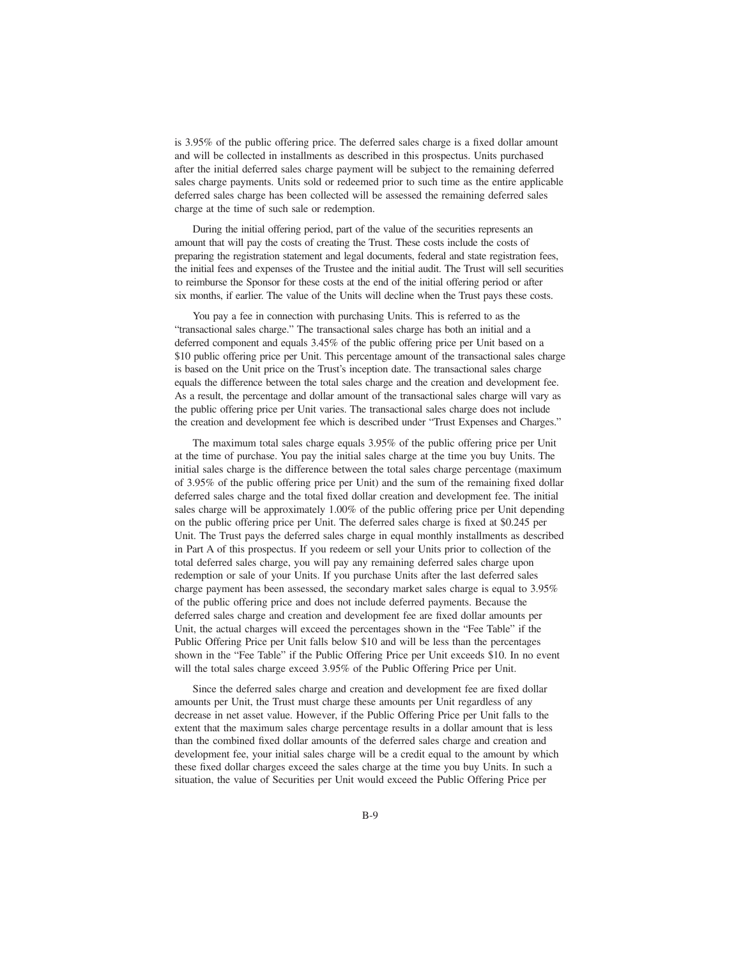is 3.95% of the public offering price. The deferred sales charge is a fixed dollar amount and will be collected in installments as described in this prospectus. Units purchased after the initial deferred sales charge payment will be subject to the remaining deferred sales charge payments. Units sold or redeemed prior to such time as the entire applicable deferred sales charge has been collected will be assessed the remaining deferred sales charge at the time of such sale or redemption.

During the initial offering period, part of the value of the securities represents an amount that will pay the costs of creating the Trust. These costs include the costs of preparing the registration statement and legal documents, federal and state registration fees, the initial fees and expenses of the Trustee and the initial audit. The Trust will sell securities to reimburse the Sponsor for these costs at the end of the initial offering period or after six months, if earlier. The value of the Units will decline when the Trust pays these costs.

You pay a fee in connection with purchasing Units. This is referred to as the "transactional sales charge." The transactional sales charge has both an initial and a deferred component and equals 3.45% of the public offering price per Unit based on a \$10 public offering price per Unit. This percentage amount of the transactional sales charge is based on the Unit price on the Trust's inception date. The transactional sales charge equals the difference between the total sales charge and the creation and development fee. As a result, the percentage and dollar amount of the transactional sales charge will vary as the public offering price per Unit varies. The transactional sales charge does not include the creation and development fee which is described under "Trust Expenses and Charges."

The maximum total sales charge equals 3.95% of the public offering price per Unit at the time of purchase. You pay the initial sales charge at the time you buy Units. The initial sales charge is the difference between the total sales charge percentage (maximum of 3.95% of the public offering price per Unit) and the sum of the remaining fixed dollar deferred sales charge and the total fixed dollar creation and development fee. The initial sales charge will be approximately 1.00% of the public offering price per Unit depending on the public offering price per Unit. The deferred sales charge is fixed at \$0.245 per Unit. The Trust pays the deferred sales charge in equal monthly installments as described in Part A of this prospectus. If you redeem or sell your Units prior to collection of the total deferred sales charge, you will pay any remaining deferred sales charge upon redemption or sale of your Units. If you purchase Units after the last deferred sales charge payment has been assessed, the secondary market sales charge is equal to 3.95% of the public offering price and does not include deferred payments. Because the deferred sales charge and creation and development fee are fixed dollar amounts per Unit, the actual charges will exceed the percentages shown in the "Fee Table" if the Public Offering Price per Unit falls below \$10 and will be less than the percentages shown in the "Fee Table" if the Public Offering Price per Unit exceeds \$10. In no event will the total sales charge exceed 3.95% of the Public Offering Price per Unit.

Since the deferred sales charge and creation and development fee are fixed dollar amounts per Unit, the Trust must charge these amounts per Unit regardless of any decrease in net asset value. However, if the Public Offering Price per Unit falls to the extent that the maximum sales charge percentage results in a dollar amount that is less than the combined fixed dollar amounts of the deferred sales charge and creation and development fee, your initial sales charge will be a credit equal to the amount by which these fixed dollar charges exceed the sales charge at the time you buy Units. In such a situation, the value of Securities per Unit would exceed the Public Offering Price per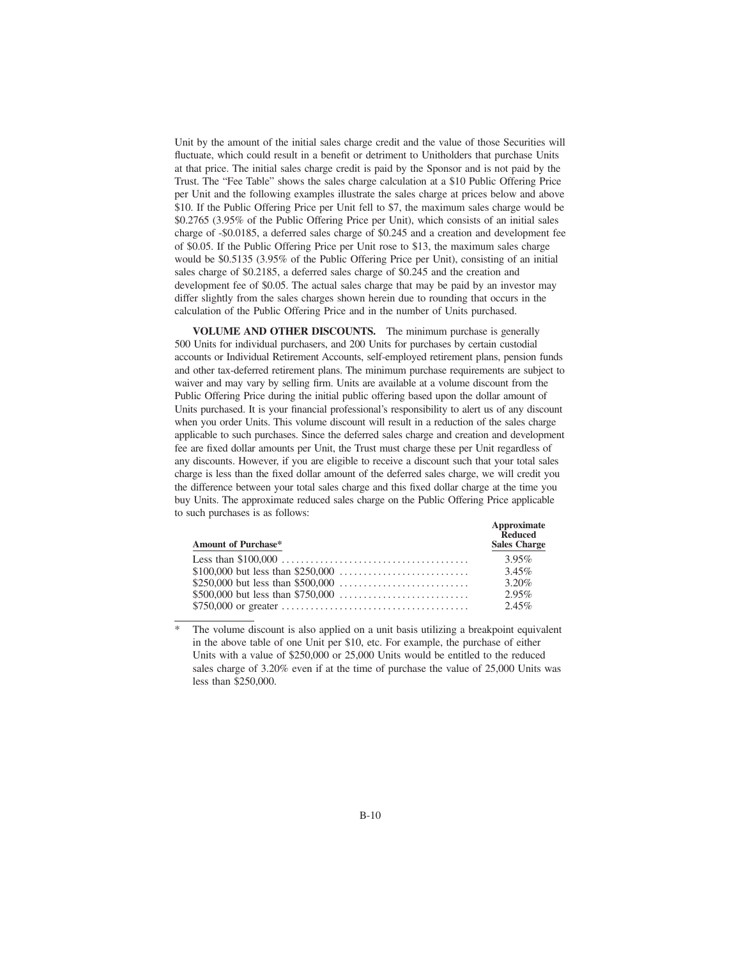Unit by the amount of the initial sales charge credit and the value of those Securities will fluctuate, which could result in a benefit or detriment to Unitholders that purchase Units at that price. The initial sales charge credit is paid by the Sponsor and is not paid by the Trust. The "Fee Table" shows the sales charge calculation at a \$10 Public Offering Price per Unit and the following examples illustrate the sales charge at prices below and above \$10. If the Public Offering Price per Unit fell to \$7, the maximum sales charge would be \$0.2765 (3.95% of the Public Offering Price per Unit), which consists of an initial sales charge of -\$0.0185, a deferred sales charge of \$0.245 and a creation and development fee of \$0.05. If the Public Offering Price per Unit rose to \$13, the maximum sales charge would be \$0.5135 (3.95% of the Public Offering Price per Unit), consisting of an initial sales charge of \$0.2185, a deferred sales charge of \$0.245 and the creation and development fee of \$0.05. The actual sales charge that may be paid by an investor may differ slightly from the sales charges shown herein due to rounding that occurs in the calculation of the Public Offering Price and in the number of Units purchased.

**VOLUME AND OTHER DISCOUNTS.** The minimum purchase is generally 500 Units for individual purchasers, and 200 Units for purchases by certain custodial accounts or Individual Retirement Accounts, self-employed retirement plans, pension funds and other tax-deferred retirement plans. The minimum purchase requirements are subject to waiver and may vary by selling firm. Units are available at a volume discount from the Public Offering Price during the initial public offering based upon the dollar amount of Units purchased. It is your financial professional's responsibility to alert us of any discount when you order Units. This volume discount will result in a reduction of the sales charge applicable to such purchases. Since the deferred sales charge and creation and development fee are fixed dollar amounts per Unit, the Trust must charge these per Unit regardless of any discounts. However, if you are eligible to receive a discount such that your total sales charge is less than the fixed dollar amount of the deferred sales charge, we will credit you the difference between your total sales charge and this fixed dollar charge at the time you buy Units. The approximate reduced sales charge on the Public Offering Price applicable to such purchases is as follows:

| <b>Amount of Purchase*</b> | Approximate<br>Reduced<br><b>Sales Charge</b> |
|----------------------------|-----------------------------------------------|
|                            | 3.95%                                         |
|                            | 3.45%                                         |
|                            | 3.20%                                         |
|                            | 2.95%                                         |
|                            | 2.45%                                         |

<sup>\*</sup> The volume discount is also applied on a unit basis utilizing a breakpoint equivalent in the above table of one Unit per \$10, etc. For example, the purchase of either Units with a value of \$250,000 or 25,000 Units would be entitled to the reduced sales charge of 3.20% even if at the time of purchase the value of 25,000 Units was less than \$250,000.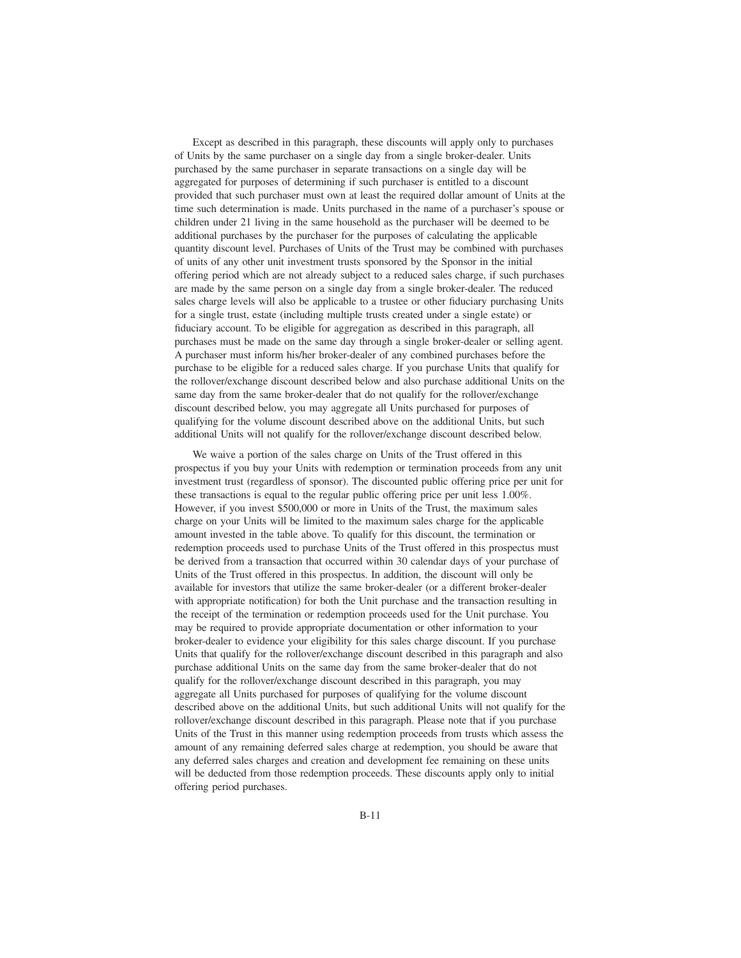Except as described in this paragraph, these discounts will apply only to purchases of Units by the same purchaser on a single day from a single broker-dealer. Units purchased by the same purchaser in separate transactions on a single day will be aggregated for purposes of determining if such purchaser is entitled to a discount provided that such purchaser must own at least the required dollar amount of Units at the time such determination is made. Units purchased in the name of a purchaser's spouse or children under 21 living in the same household as the purchaser will be deemed to be additional purchases by the purchaser for the purposes of calculating the applicable quantity discount level. Purchases of Units of the Trust may be combined with purchases of units of any other unit investment trusts sponsored by the Sponsor in the initial offering period which are not already subject to a reduced sales charge, if such purchases are made by the same person on a single day from a single broker-dealer. The reduced sales charge levels will also be applicable to a trustee or other fiduciary purchasing Units for a single trust, estate (including multiple trusts created under a single estate) or fiduciary account. To be eligible for aggregation as described in this paragraph, all purchases must be made on the same day through a single broker-dealer or selling agent. A purchaser must inform his/her broker-dealer of any combined purchases before the purchase to be eligible for a reduced sales charge. If you purchase Units that qualify for the rollover/exchange discount described below and also purchase additional Units on the same day from the same broker-dealer that do not qualify for the rollover/exchange discount described below, you may aggregate all Units purchased for purposes of qualifying for the volume discount described above on the additional Units, but such additional Units will not qualify for the rollover/exchange discount described below.

We waive a portion of the sales charge on Units of the Trust offered in this prospectus if you buy your Units with redemption or termination proceeds from any unit investment trust (regardless of sponsor). The discounted public offering price per unit for these transactions is equal to the regular public offering price per unit less 1.00%. However, if you invest \$500,000 or more in Units of the Trust, the maximum sales charge on your Units will be limited to the maximum sales charge for the applicable amount invested in the table above. To qualify for this discount, the termination or redemption proceeds used to purchase Units of the Trust offered in this prospectus must be derived from a transaction that occurred within 30 calendar days of your purchase of Units of the Trust offered in this prospectus. In addition, the discount will only be available for investors that utilize the same broker-dealer (or a different broker-dealer with appropriate notification) for both the Unit purchase and the transaction resulting in the receipt of the termination or redemption proceeds used for the Unit purchase. You may be required to provide appropriate documentation or other information to your broker-dealer to evidence your eligibility for this sales charge discount. If you purchase Units that qualify for the rollover/exchange discount described in this paragraph and also purchase additional Units on the same day from the same broker-dealer that do not qualify for the rollover/exchange discount described in this paragraph, you may aggregate all Units purchased for purposes of qualifying for the volume discount described above on the additional Units, but such additional Units will not qualify for the rollover/exchange discount described in this paragraph. Please note that if you purchase Units of the Trust in this manner using redemption proceeds from trusts which assess the amount of any remaining deferred sales charge at redemption, you should be aware that any deferred sales charges and creation and development fee remaining on these units will be deducted from those redemption proceeds. These discounts apply only to initial offering period purchases.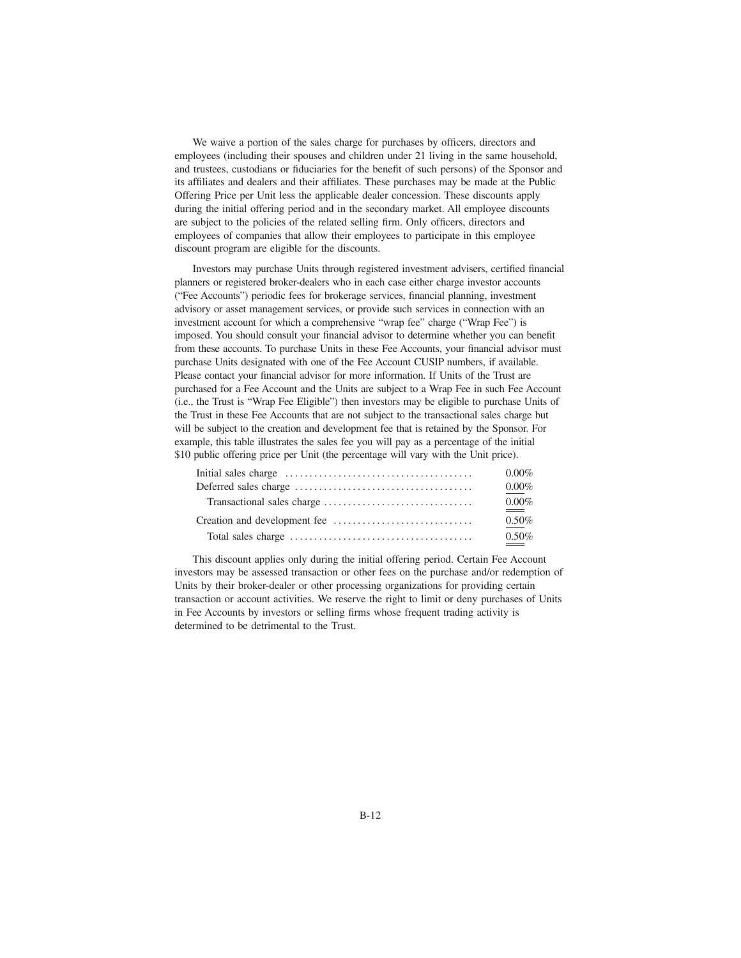We waive a portion of the sales charge for purchases by officers, directors and employees (including their spouses and children under 21 living in the same household, and trustees, custodians or fiduciaries for the benefit of such persons) of the Sponsor and its affiliates and dealers and their affiliates. These purchases may be made at the Public Offering Price per Unit less the applicable dealer concession. These discounts apply during the initial offering period and in the secondary market. All employee discounts are subject to the policies of the related selling firm. Only officers, directors and employees of companies that allow their employees to participate in this employee discount program are eligible for the discounts.

Investors may purchase Units through registered investment advisers, certified financial planners or registered broker-dealers who in each case either charge investor accounts ("Fee Accounts") periodic fees for brokerage services, financial planning, investment advisory or asset management services, or provide such services in connection with an investment account for which a comprehensive "wrap fee" charge ("Wrap Fee") is imposed. You should consult your financial advisor to determine whether you can benefit from these accounts. To purchase Units in these Fee Accounts, your financial advisor must purchase Units designated with one of the Fee Account CUSIP numbers, if available. Please contact your financial advisor for more information. If Units of the Trust are purchased for a Fee Account and the Units are subject to a Wrap Fee in such Fee Account (i.e., the Trust is "Wrap Fee Eligible") then investors may be eligible to purchase Units of the Trust in these Fee Accounts that are not subject to the transactional sales charge but will be subject to the creation and development fee that is retained by the Sponsor. For example, this table illustrates the sales fee you will pay as a percentage of the initial \$10 public offering price per Unit (the percentage will vary with the Unit price).

| $0.00\%$             |
|----------------------|
| $0.00\%$             |
| $0.00\%$<br>$\equiv$ |
| $0.50\%$             |
| $0.50\%$             |

This discount applies only during the initial offering period. Certain Fee Account investors may be assessed transaction or other fees on the purchase and/or redemption of Units by their broker-dealer or other processing organizations for providing certain transaction or account activities. We reserve the right to limit or deny purchases of Units in Fee Accounts by investors or selling firms whose frequent trading activity is determined to be detrimental to the Trust.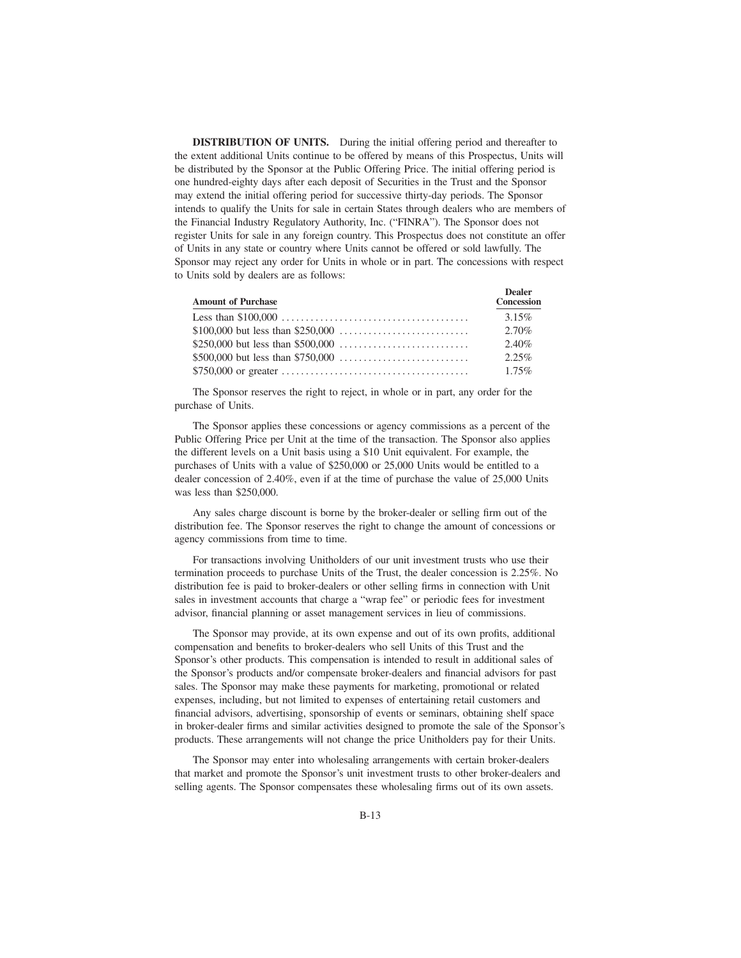**DISTRIBUTION OF UNITS.** During the initial offering period and thereafter to the extent additional Units continue to be offered by means of this Prospectus, Units will be distributed by the Sponsor at the Public Offering Price. The initial offering period is one hundred-eighty days after each deposit of Securities in the Trust and the Sponsor may extend the initial offering period for successive thirty-day periods. The Sponsor intends to qualify the Units for sale in certain States through dealers who are members of the Financial Industry Regulatory Authority, Inc. ("FINRA"). The Sponsor does not register Units for sale in any foreign country. This Prospectus does not constitute an offer of Units in any state or country where Units cannot be offered or sold lawfully. The Sponsor may reject any order for Units in whole or in part. The concessions with respect to Units sold by dealers are as follows:

| <b>Amount of Purchase</b> | <b>Dealer</b><br><b>Concession</b> |
|---------------------------|------------------------------------|
|                           | 3.15%                              |
|                           | $2.70\%$                           |
|                           | 2.40%                              |
|                           | 2.25%                              |
|                           | 1.75%                              |

The Sponsor reserves the right to reject, in whole or in part, any order for the purchase of Units.

The Sponsor applies these concessions or agency commissions as a percent of the Public Offering Price per Unit at the time of the transaction. The Sponsor also applies the different levels on a Unit basis using a \$10 Unit equivalent. For example, the purchases of Units with a value of \$250,000 or 25,000 Units would be entitled to a dealer concession of 2.40%, even if at the time of purchase the value of 25,000 Units was less than \$250,000.

Any sales charge discount is borne by the broker-dealer or selling firm out of the distribution fee. The Sponsor reserves the right to change the amount of concessions or agency commissions from time to time.

For transactions involving Unitholders of our unit investment trusts who use their termination proceeds to purchase Units of the Trust, the dealer concession is 2.25%. No distribution fee is paid to broker-dealers or other selling firms in connection with Unit sales in investment accounts that charge a "wrap fee" or periodic fees for investment advisor, financial planning or asset management services in lieu of commissions.

The Sponsor may provide, at its own expense and out of its own profits, additional compensation and benefits to broker-dealers who sell Units of this Trust and the Sponsor's other products. This compensation is intended to result in additional sales of the Sponsor's products and/or compensate broker-dealers and financial advisors for past sales. The Sponsor may make these payments for marketing, promotional or related expenses, including, but not limited to expenses of entertaining retail customers and financial advisors, advertising, sponsorship of events or seminars, obtaining shelf space in broker-dealer firms and similar activities designed to promote the sale of the Sponsor's products. These arrangements will not change the price Unitholders pay for their Units.

The Sponsor may enter into wholesaling arrangements with certain broker-dealers that market and promote the Sponsor's unit investment trusts to other broker-dealers and selling agents. The Sponsor compensates these wholesaling firms out of its own assets.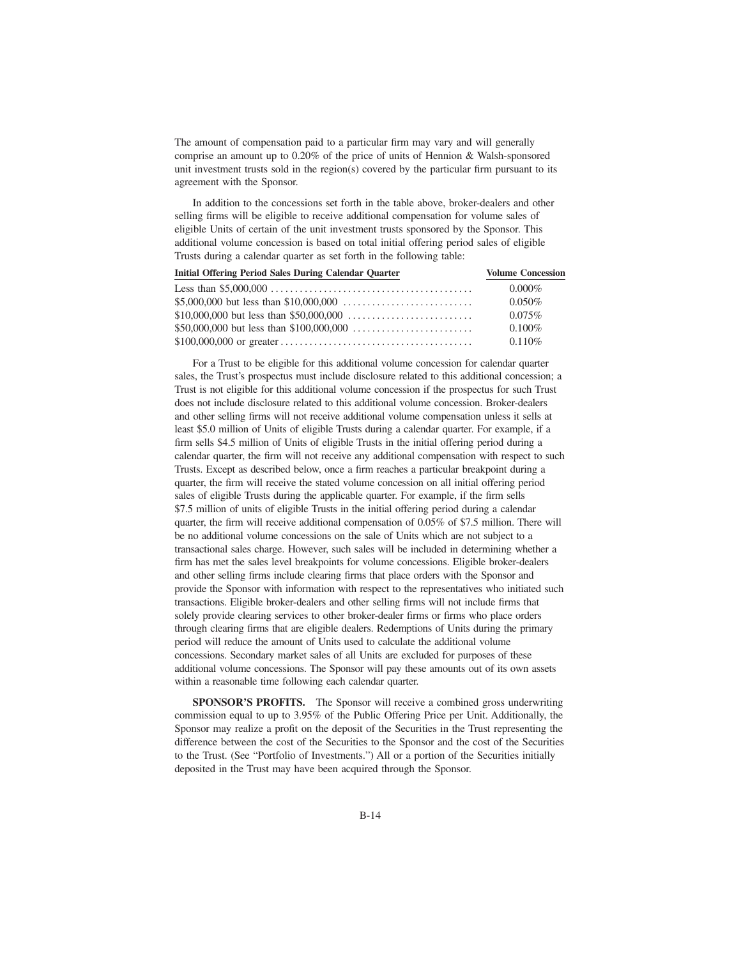The amount of compensation paid to a particular firm may vary and will generally comprise an amount up to 0.20% of the price of units of Hennion & Walsh-sponsored unit investment trusts sold in the region(s) covered by the particular firm pursuant to its agreement with the Sponsor.

In addition to the concessions set forth in the table above, broker-dealers and other selling firms will be eligible to receive additional compensation for volume sales of eligible Units of certain of the unit investment trusts sponsored by the Sponsor. This additional volume concession is based on total initial offering period sales of eligible Trusts during a calendar quarter as set forth in the following table:

| <b>Initial Offering Period Sales During Calendar Ouarter</b> | <b>Volume Concession</b> |
|--------------------------------------------------------------|--------------------------|
|                                                              | $0.000\%$                |
|                                                              | $0.050\%$                |
|                                                              | $0.075\%$                |
|                                                              | $0.100\%$                |
|                                                              | $0.110\%$                |

For a Trust to be eligible for this additional volume concession for calendar quarter sales, the Trust's prospectus must include disclosure related to this additional concession; a Trust is not eligible for this additional volume concession if the prospectus for such Trust does not include disclosure related to this additional volume concession. Broker-dealers and other selling firms will not receive additional volume compensation unless it sells at least \$5.0 million of Units of eligible Trusts during a calendar quarter. For example, if a firm sells \$4.5 million of Units of eligible Trusts in the initial offering period during a calendar quarter, the firm will not receive any additional compensation with respect to such Trusts. Except as described below, once a firm reaches a particular breakpoint during a quarter, the firm will receive the stated volume concession on all initial offering period sales of eligible Trusts during the applicable quarter. For example, if the firm sells \$7.5 million of units of eligible Trusts in the initial offering period during a calendar quarter, the firm will receive additional compensation of 0.05% of \$7.5 million. There will be no additional volume concessions on the sale of Units which are not subject to a transactional sales charge. However, such sales will be included in determining whether a firm has met the sales level breakpoints for volume concessions. Eligible broker-dealers and other selling firms include clearing firms that place orders with the Sponsor and provide the Sponsor with information with respect to the representatives who initiated such transactions. Eligible broker-dealers and other selling firms will not include firms that solely provide clearing services to other broker-dealer firms or firms who place orders through clearing firms that are eligible dealers. Redemptions of Units during the primary period will reduce the amount of Units used to calculate the additional volume concessions. Secondary market sales of all Units are excluded for purposes of these additional volume concessions. The Sponsor will pay these amounts out of its own assets within a reasonable time following each calendar quarter.

**SPONSOR'S PROFITS.** The Sponsor will receive a combined gross underwriting commission equal to up to 3.95% of the Public Offering Price per Unit. Additionally, the Sponsor may realize a profit on the deposit of the Securities in the Trust representing the difference between the cost of the Securities to the Sponsor and the cost of the Securities to the Trust. (See "Portfolio of Investments.") All or a portion of the Securities initially deposited in the Trust may have been acquired through the Sponsor.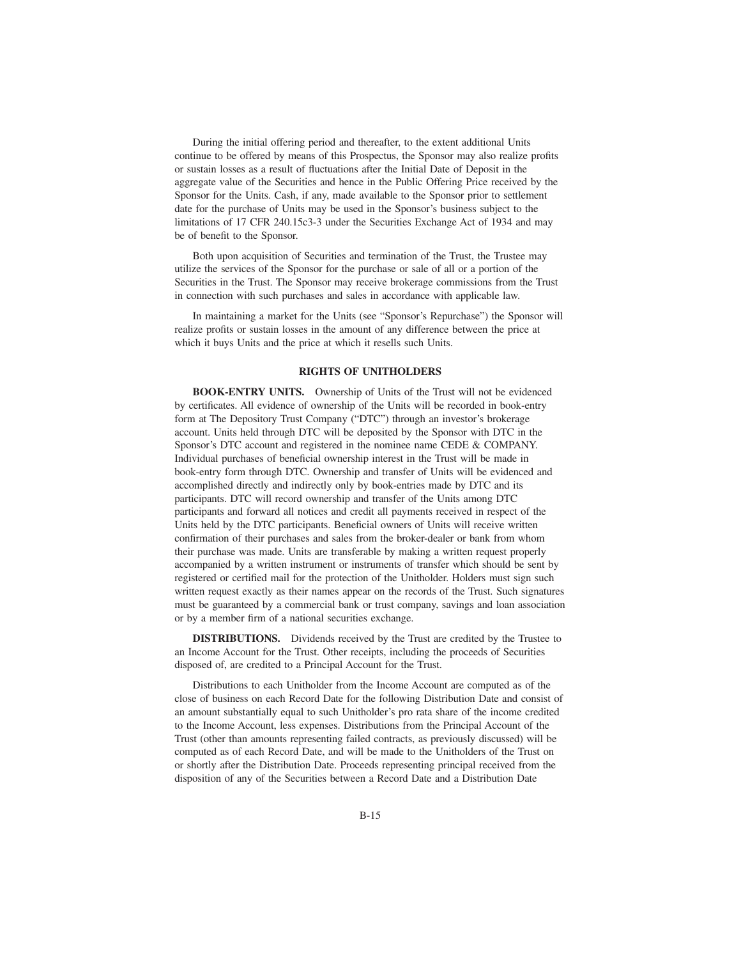During the initial offering period and thereafter, to the extent additional Units continue to be offered by means of this Prospectus, the Sponsor may also realize profits or sustain losses as a result of fluctuations after the Initial Date of Deposit in the aggregate value of the Securities and hence in the Public Offering Price received by the Sponsor for the Units. Cash, if any, made available to the Sponsor prior to settlement date for the purchase of Units may be used in the Sponsor's business subject to the limitations of 17 CFR 240.15c3-3 under the Securities Exchange Act of 1934 and may be of benefit to the Sponsor.

Both upon acquisition of Securities and termination of the Trust, the Trustee may utilize the services of the Sponsor for the purchase or sale of all or a portion of the Securities in the Trust. The Sponsor may receive brokerage commissions from the Trust in connection with such purchases and sales in accordance with applicable law.

In maintaining a market for the Units (see "Sponsor's Repurchase") the Sponsor will realize profits or sustain losses in the amount of any difference between the price at which it buys Units and the price at which it resells such Units.

### **RIGHTS OF UNITHOLDERS**

**BOOK-ENTRY UNITS.** Ownership of Units of the Trust will not be evidenced by certificates. All evidence of ownership of the Units will be recorded in book-entry form at The Depository Trust Company ("DTC") through an investor's brokerage account. Units held through DTC will be deposited by the Sponsor with DTC in the Sponsor's DTC account and registered in the nominee name CEDE & COMPANY. Individual purchases of beneficial ownership interest in the Trust will be made in book-entry form through DTC. Ownership and transfer of Units will be evidenced and accomplished directly and indirectly only by book-entries made by DTC and its participants. DTC will record ownership and transfer of the Units among DTC participants and forward all notices and credit all payments received in respect of the Units held by the DTC participants. Beneficial owners of Units will receive written confirmation of their purchases and sales from the broker-dealer or bank from whom their purchase was made. Units are transferable by making a written request properly accompanied by a written instrument or instruments of transfer which should be sent by registered or certified mail for the protection of the Unitholder. Holders must sign such written request exactly as their names appear on the records of the Trust. Such signatures must be guaranteed by a commercial bank or trust company, savings and loan association or by a member firm of a national securities exchange.

**DISTRIBUTIONS.** Dividends received by the Trust are credited by the Trustee to an Income Account for the Trust. Other receipts, including the proceeds of Securities disposed of, are credited to a Principal Account for the Trust.

Distributions to each Unitholder from the Income Account are computed as of the close of business on each Record Date for the following Distribution Date and consist of an amount substantially equal to such Unitholder's pro rata share of the income credited to the Income Account, less expenses. Distributions from the Principal Account of the Trust (other than amounts representing failed contracts, as previously discussed) will be computed as of each Record Date, and will be made to the Unitholders of the Trust on or shortly after the Distribution Date. Proceeds representing principal received from the disposition of any of the Securities between a Record Date and a Distribution Date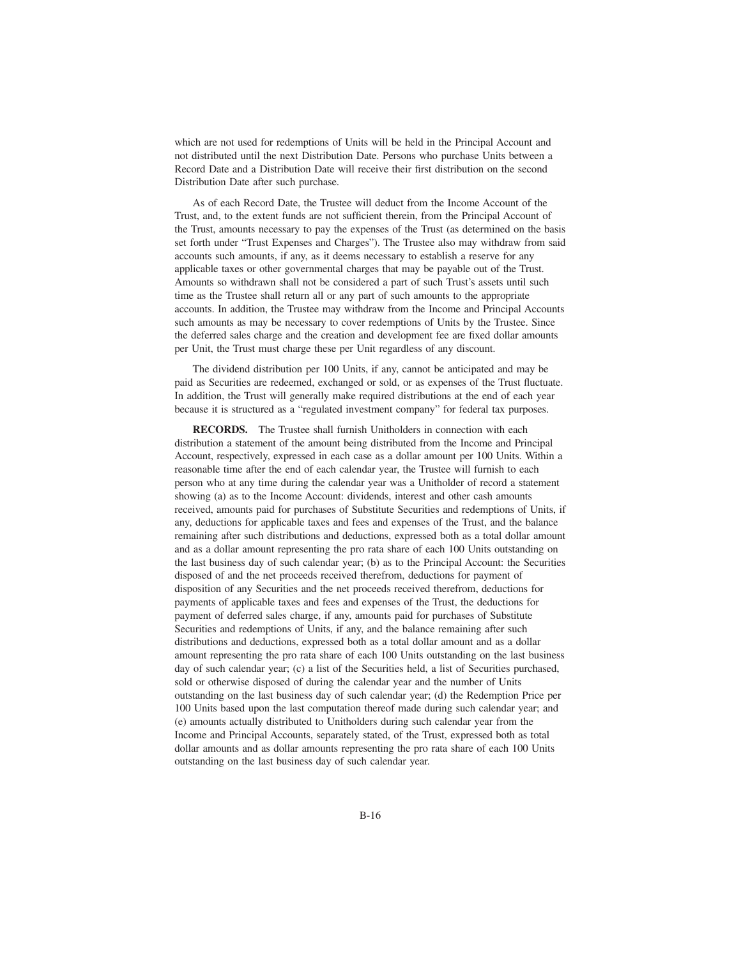which are not used for redemptions of Units will be held in the Principal Account and not distributed until the next Distribution Date. Persons who purchase Units between a Record Date and a Distribution Date will receive their first distribution on the second Distribution Date after such purchase.

As of each Record Date, the Trustee will deduct from the Income Account of the Trust, and, to the extent funds are not sufficient therein, from the Principal Account of the Trust, amounts necessary to pay the expenses of the Trust (as determined on the basis set forth under "Trust Expenses and Charges"). The Trustee also may withdraw from said accounts such amounts, if any, as it deems necessary to establish a reserve for any applicable taxes or other governmental charges that may be payable out of the Trust. Amounts so withdrawn shall not be considered a part of such Trust's assets until such time as the Trustee shall return all or any part of such amounts to the appropriate accounts. In addition, the Trustee may withdraw from the Income and Principal Accounts such amounts as may be necessary to cover redemptions of Units by the Trustee. Since the deferred sales charge and the creation and development fee are fixed dollar amounts per Unit, the Trust must charge these per Unit regardless of any discount.

The dividend distribution per 100 Units, if any, cannot be anticipated and may be paid as Securities are redeemed, exchanged or sold, or as expenses of the Trust fluctuate. In addition, the Trust will generally make required distributions at the end of each year because it is structured as a "regulated investment company" for federal tax purposes.

**RECORDS.** The Trustee shall furnish Unitholders in connection with each distribution a statement of the amount being distributed from the Income and Principal Account, respectively, expressed in each case as a dollar amount per 100 Units. Within a reasonable time after the end of each calendar year, the Trustee will furnish to each person who at any time during the calendar year was a Unitholder of record a statement showing (a) as to the Income Account: dividends, interest and other cash amounts received, amounts paid for purchases of Substitute Securities and redemptions of Units, if any, deductions for applicable taxes and fees and expenses of the Trust, and the balance remaining after such distributions and deductions, expressed both as a total dollar amount and as a dollar amount representing the pro rata share of each 100 Units outstanding on the last business day of such calendar year; (b) as to the Principal Account: the Securities disposed of and the net proceeds received therefrom, deductions for payment of disposition of any Securities and the net proceeds received therefrom, deductions for payments of applicable taxes and fees and expenses of the Trust, the deductions for payment of deferred sales charge, if any, amounts paid for purchases of Substitute Securities and redemptions of Units, if any, and the balance remaining after such distributions and deductions, expressed both as a total dollar amount and as a dollar amount representing the pro rata share of each 100 Units outstanding on the last business day of such calendar year; (c) a list of the Securities held, a list of Securities purchased, sold or otherwise disposed of during the calendar year and the number of Units outstanding on the last business day of such calendar year; (d) the Redemption Price per 100 Units based upon the last computation thereof made during such calendar year; and (e) amounts actually distributed to Unitholders during such calendar year from the Income and Principal Accounts, separately stated, of the Trust, expressed both as total dollar amounts and as dollar amounts representing the pro rata share of each 100 Units outstanding on the last business day of such calendar year.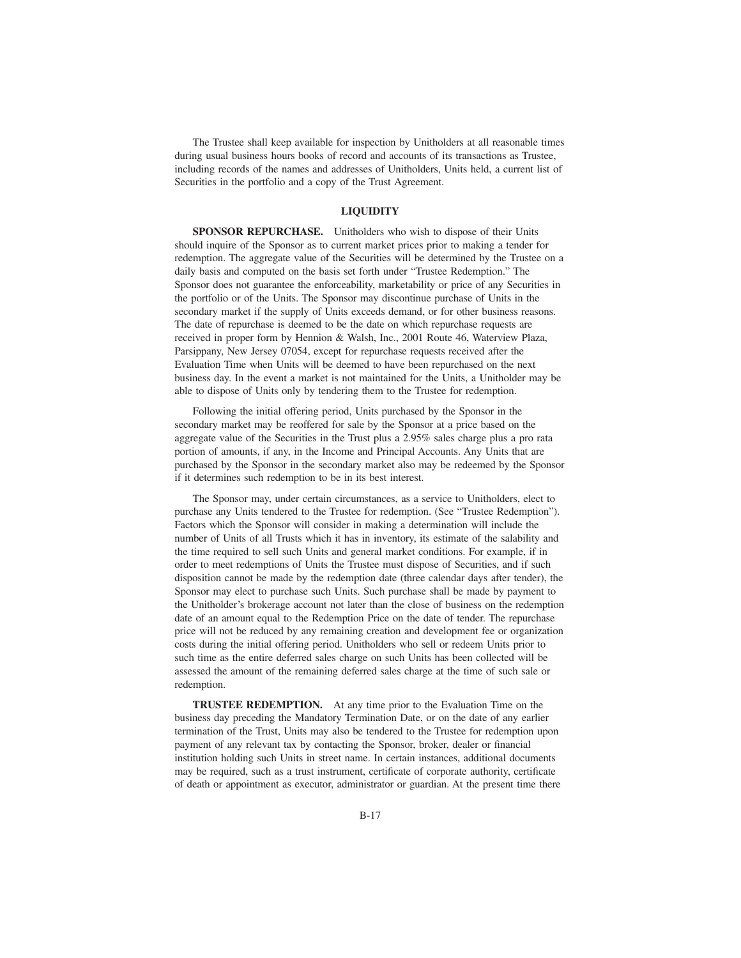The Trustee shall keep available for inspection by Unitholders at all reasonable times during usual business hours books of record and accounts of its transactions as Trustee, including records of the names and addresses of Unitholders, Units held, a current list of Securities in the portfolio and a copy of the Trust Agreement.

#### **LIQUIDITY**

**SPONSOR REPURCHASE.** Unitholders who wish to dispose of their Units should inquire of the Sponsor as to current market prices prior to making a tender for redemption. The aggregate value of the Securities will be determined by the Trustee on a daily basis and computed on the basis set forth under "Trustee Redemption." The Sponsor does not guarantee the enforceability, marketability or price of any Securities in the portfolio or of the Units. The Sponsor may discontinue purchase of Units in the secondary market if the supply of Units exceeds demand, or for other business reasons. The date of repurchase is deemed to be the date on which repurchase requests are received in proper form by Hennion & Walsh, Inc., 2001 Route 46, Waterview Plaza, Parsippany, New Jersey 07054, except for repurchase requests received after the Evaluation Time when Units will be deemed to have been repurchased on the next business day. In the event a market is not maintained for the Units, a Unitholder may be able to dispose of Units only by tendering them to the Trustee for redemption.

Following the initial offering period, Units purchased by the Sponsor in the secondary market may be reoffered for sale by the Sponsor at a price based on the aggregate value of the Securities in the Trust plus a 2.95% sales charge plus a pro rata portion of amounts, if any, in the Income and Principal Accounts. Any Units that are purchased by the Sponsor in the secondary market also may be redeemed by the Sponsor if it determines such redemption to be in its best interest.

The Sponsor may, under certain circumstances, as a service to Unitholders, elect to purchase any Units tendered to the Trustee for redemption. (See "Trustee Redemption"). Factors which the Sponsor will consider in making a determination will include the number of Units of all Trusts which it has in inventory, its estimate of the salability and the time required to sell such Units and general market conditions. For example, if in order to meet redemptions of Units the Trustee must dispose of Securities, and if such disposition cannot be made by the redemption date (three calendar days after tender), the Sponsor may elect to purchase such Units. Such purchase shall be made by payment to the Unitholder's brokerage account not later than the close of business on the redemption date of an amount equal to the Redemption Price on the date of tender. The repurchase price will not be reduced by any remaining creation and development fee or organization costs during the initial offering period. Unitholders who sell or redeem Units prior to such time as the entire deferred sales charge on such Units has been collected will be assessed the amount of the remaining deferred sales charge at the time of such sale or redemption.

**TRUSTEE REDEMPTION.** At any time prior to the Evaluation Time on the business day preceding the Mandatory Termination Date, or on the date of any earlier termination of the Trust, Units may also be tendered to the Trustee for redemption upon payment of any relevant tax by contacting the Sponsor, broker, dealer or financial institution holding such Units in street name. In certain instances, additional documents may be required, such as a trust instrument, certificate of corporate authority, certificate of death or appointment as executor, administrator or guardian. At the present time there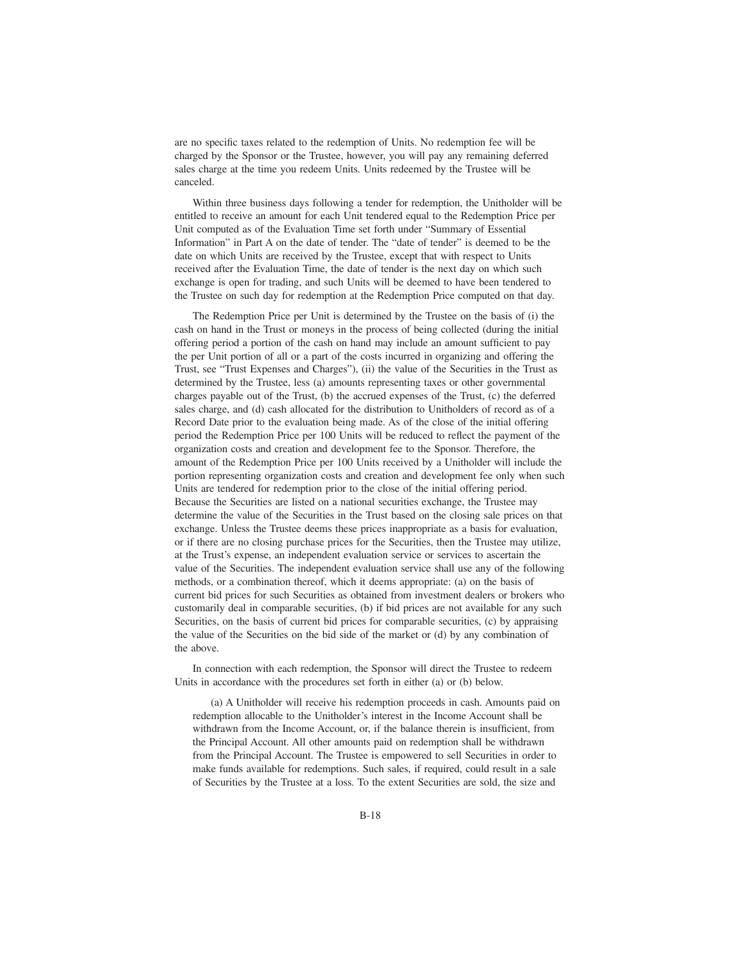are no specific taxes related to the redemption of Units. No redemption fee will be charged by the Sponsor or the Trustee, however, you will pay any remaining deferred sales charge at the time you redeem Units. Units redeemed by the Trustee will be canceled.

Within three business days following a tender for redemption, the Unitholder will be entitled to receive an amount for each Unit tendered equal to the Redemption Price per Unit computed as of the Evaluation Time set forth under "Summary of Essential Information" in Part A on the date of tender. The "date of tender" is deemed to be the date on which Units are received by the Trustee, except that with respect to Units received after the Evaluation Time, the date of tender is the next day on which such exchange is open for trading, and such Units will be deemed to have been tendered to the Trustee on such day for redemption at the Redemption Price computed on that day.

The Redemption Price per Unit is determined by the Trustee on the basis of (i) the cash on hand in the Trust or moneys in the process of being collected (during the initial offering period a portion of the cash on hand may include an amount sufficient to pay the per Unit portion of all or a part of the costs incurred in organizing and offering the Trust, see "Trust Expenses and Charges"), (ii) the value of the Securities in the Trust as determined by the Trustee, less (a) amounts representing taxes or other governmental charges payable out of the Trust, (b) the accrued expenses of the Trust, (c) the deferred sales charge, and (d) cash allocated for the distribution to Unitholders of record as of a Record Date prior to the evaluation being made. As of the close of the initial offering period the Redemption Price per 100 Units will be reduced to reflect the payment of the organization costs and creation and development fee to the Sponsor. Therefore, the amount of the Redemption Price per 100 Units received by a Unitholder will include the portion representing organization costs and creation and development fee only when such Units are tendered for redemption prior to the close of the initial offering period. Because the Securities are listed on a national securities exchange, the Trustee may determine the value of the Securities in the Trust based on the closing sale prices on that exchange. Unless the Trustee deems these prices inappropriate as a basis for evaluation, or if there are no closing purchase prices for the Securities, then the Trustee may utilize, at the Trust's expense, an independent evaluation service or services to ascertain the value of the Securities. The independent evaluation service shall use any of the following methods, or a combination thereof, which it deems appropriate: (a) on the basis of current bid prices for such Securities as obtained from investment dealers or brokers who customarily deal in comparable securities, (b) if bid prices are not available for any such Securities, on the basis of current bid prices for comparable securities, (c) by appraising the value of the Securities on the bid side of the market or (d) by any combination of the above.

In connection with each redemption, the Sponsor will direct the Trustee to redeem Units in accordance with the procedures set forth in either (a) or (b) below.

(a) A Unitholder will receive his redemption proceeds in cash. Amounts paid on redemption allocable to the Unitholder's interest in the Income Account shall be withdrawn from the Income Account, or, if the balance therein is insufficient, from the Principal Account. All other amounts paid on redemption shall be withdrawn from the Principal Account. The Trustee is empowered to sell Securities in order to make funds available for redemptions. Such sales, if required, could result in a sale of Securities by the Trustee at a loss. To the extent Securities are sold, the size and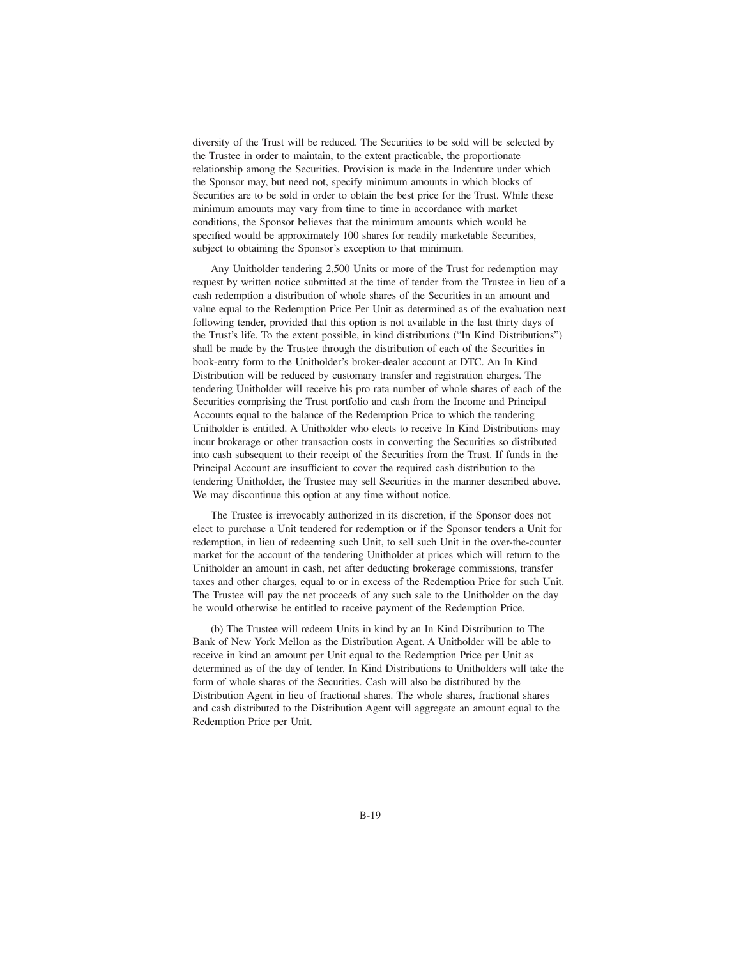diversity of the Trust will be reduced. The Securities to be sold will be selected by the Trustee in order to maintain, to the extent practicable, the proportionate relationship among the Securities. Provision is made in the Indenture under which the Sponsor may, but need not, specify minimum amounts in which blocks of Securities are to be sold in order to obtain the best price for the Trust. While these minimum amounts may vary from time to time in accordance with market conditions, the Sponsor believes that the minimum amounts which would be specified would be approximately 100 shares for readily marketable Securities, subject to obtaining the Sponsor's exception to that minimum.

Any Unitholder tendering 2,500 Units or more of the Trust for redemption may request by written notice submitted at the time of tender from the Trustee in lieu of a cash redemption a distribution of whole shares of the Securities in an amount and value equal to the Redemption Price Per Unit as determined as of the evaluation next following tender, provided that this option is not available in the last thirty days of the Trust's life. To the extent possible, in kind distributions ("In Kind Distributions") shall be made by the Trustee through the distribution of each of the Securities in book-entry form to the Unitholder's broker-dealer account at DTC. An In Kind Distribution will be reduced by customary transfer and registration charges. The tendering Unitholder will receive his pro rata number of whole shares of each of the Securities comprising the Trust portfolio and cash from the Income and Principal Accounts equal to the balance of the Redemption Price to which the tendering Unitholder is entitled. A Unitholder who elects to receive In Kind Distributions may incur brokerage or other transaction costs in converting the Securities so distributed into cash subsequent to their receipt of the Securities from the Trust. If funds in the Principal Account are insufficient to cover the required cash distribution to the tendering Unitholder, the Trustee may sell Securities in the manner described above. We may discontinue this option at any time without notice.

The Trustee is irrevocably authorized in its discretion, if the Sponsor does not elect to purchase a Unit tendered for redemption or if the Sponsor tenders a Unit for redemption, in lieu of redeeming such Unit, to sell such Unit in the over-the-counter market for the account of the tendering Unitholder at prices which will return to the Unitholder an amount in cash, net after deducting brokerage commissions, transfer taxes and other charges, equal to or in excess of the Redemption Price for such Unit. The Trustee will pay the net proceeds of any such sale to the Unitholder on the day he would otherwise be entitled to receive payment of the Redemption Price.

(b) The Trustee will redeem Units in kind by an In Kind Distribution to The Bank of New York Mellon as the Distribution Agent. A Unitholder will be able to receive in kind an amount per Unit equal to the Redemption Price per Unit as determined as of the day of tender. In Kind Distributions to Unitholders will take the form of whole shares of the Securities. Cash will also be distributed by the Distribution Agent in lieu of fractional shares. The whole shares, fractional shares and cash distributed to the Distribution Agent will aggregate an amount equal to the Redemption Price per Unit.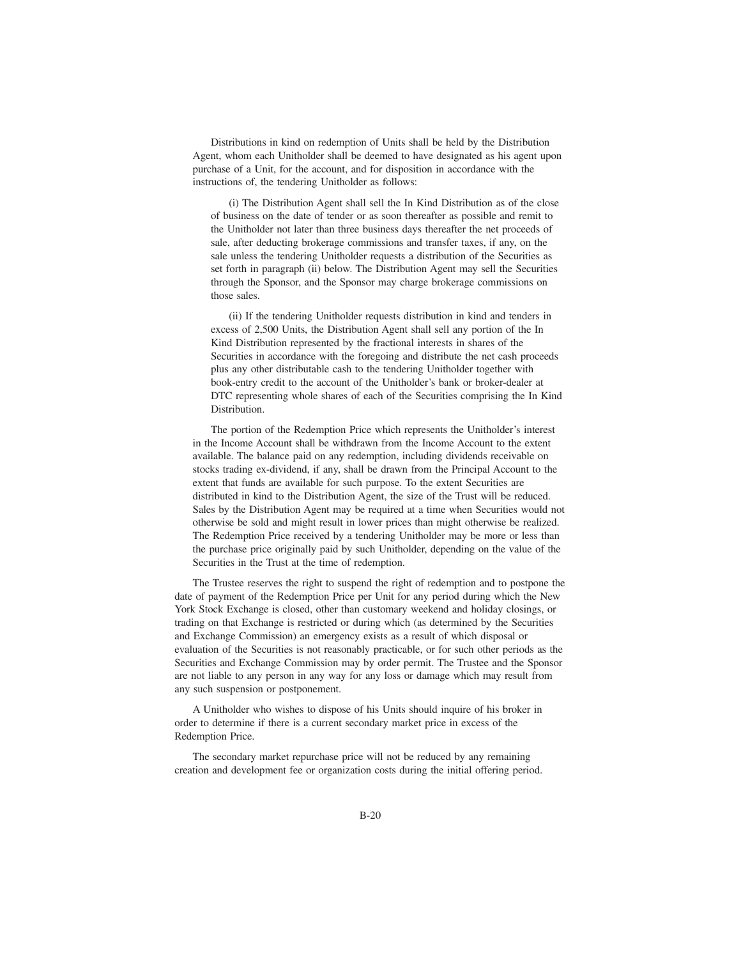Distributions in kind on redemption of Units shall be held by the Distribution Agent, whom each Unitholder shall be deemed to have designated as his agent upon purchase of a Unit, for the account, and for disposition in accordance with the instructions of, the tendering Unitholder as follows:

(i) The Distribution Agent shall sell the In Kind Distribution as of the close of business on the date of tender or as soon thereafter as possible and remit to the Unitholder not later than three business days thereafter the net proceeds of sale, after deducting brokerage commissions and transfer taxes, if any, on the sale unless the tendering Unitholder requests a distribution of the Securities as set forth in paragraph (ii) below. The Distribution Agent may sell the Securities through the Sponsor, and the Sponsor may charge brokerage commissions on those sales.

(ii) If the tendering Unitholder requests distribution in kind and tenders in excess of 2,500 Units, the Distribution Agent shall sell any portion of the In Kind Distribution represented by the fractional interests in shares of the Securities in accordance with the foregoing and distribute the net cash proceeds plus any other distributable cash to the tendering Unitholder together with book-entry credit to the account of the Unitholder's bank or broker-dealer at DTC representing whole shares of each of the Securities comprising the In Kind Distribution.

The portion of the Redemption Price which represents the Unitholder's interest in the Income Account shall be withdrawn from the Income Account to the extent available. The balance paid on any redemption, including dividends receivable on stocks trading ex-dividend, if any, shall be drawn from the Principal Account to the extent that funds are available for such purpose. To the extent Securities are distributed in kind to the Distribution Agent, the size of the Trust will be reduced. Sales by the Distribution Agent may be required at a time when Securities would not otherwise be sold and might result in lower prices than might otherwise be realized. The Redemption Price received by a tendering Unitholder may be more or less than the purchase price originally paid by such Unitholder, depending on the value of the Securities in the Trust at the time of redemption.

The Trustee reserves the right to suspend the right of redemption and to postpone the date of payment of the Redemption Price per Unit for any period during which the New York Stock Exchange is closed, other than customary weekend and holiday closings, or trading on that Exchange is restricted or during which (as determined by the Securities and Exchange Commission) an emergency exists as a result of which disposal or evaluation of the Securities is not reasonably practicable, or for such other periods as the Securities and Exchange Commission may by order permit. The Trustee and the Sponsor are not liable to any person in any way for any loss or damage which may result from any such suspension or postponement.

A Unitholder who wishes to dispose of his Units should inquire of his broker in order to determine if there is a current secondary market price in excess of the Redemption Price.

The secondary market repurchase price will not be reduced by any remaining creation and development fee or organization costs during the initial offering period.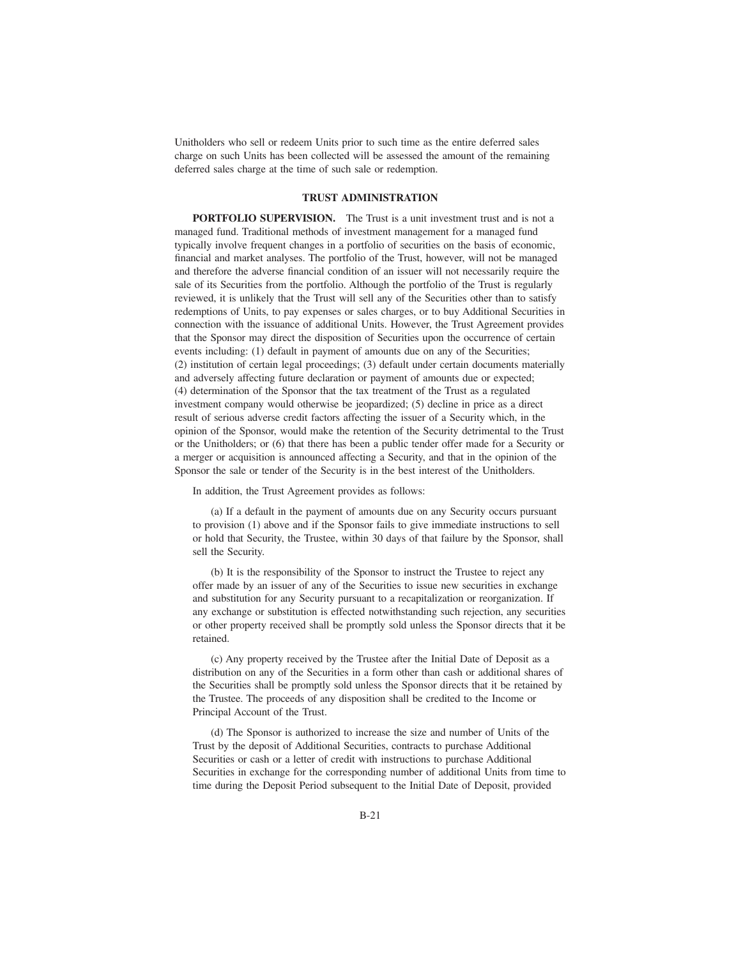Unitholders who sell or redeem Units prior to such time as the entire deferred sales charge on such Units has been collected will be assessed the amount of the remaining deferred sales charge at the time of such sale or redemption.

#### **TRUST ADMINISTRATION**

**PORTFOLIO SUPERVISION.** The Trust is a unit investment trust and is not a managed fund. Traditional methods of investment management for a managed fund typically involve frequent changes in a portfolio of securities on the basis of economic, financial and market analyses. The portfolio of the Trust, however, will not be managed and therefore the adverse financial condition of an issuer will not necessarily require the sale of its Securities from the portfolio. Although the portfolio of the Trust is regularly reviewed, it is unlikely that the Trust will sell any of the Securities other than to satisfy redemptions of Units, to pay expenses or sales charges, or to buy Additional Securities in connection with the issuance of additional Units. However, the Trust Agreement provides that the Sponsor may direct the disposition of Securities upon the occurrence of certain events including: (1) default in payment of amounts due on any of the Securities; (2) institution of certain legal proceedings; (3) default under certain documents materially and adversely affecting future declaration or payment of amounts due or expected; (4) determination of the Sponsor that the tax treatment of the Trust as a regulated investment company would otherwise be jeopardized; (5) decline in price as a direct result of serious adverse credit factors affecting the issuer of a Security which, in the opinion of the Sponsor, would make the retention of the Security detrimental to the Trust or the Unitholders; or (6) that there has been a public tender offer made for a Security or a merger or acquisition is announced affecting a Security, and that in the opinion of the Sponsor the sale or tender of the Security is in the best interest of the Unitholders.

In addition, the Trust Agreement provides as follows:

(a) If a default in the payment of amounts due on any Security occurs pursuant to provision (1) above and if the Sponsor fails to give immediate instructions to sell or hold that Security, the Trustee, within 30 days of that failure by the Sponsor, shall sell the Security.

(b) It is the responsibility of the Sponsor to instruct the Trustee to reject any offer made by an issuer of any of the Securities to issue new securities in exchange and substitution for any Security pursuant to a recapitalization or reorganization. If any exchange or substitution is effected notwithstanding such rejection, any securities or other property received shall be promptly sold unless the Sponsor directs that it be retained.

(c) Any property received by the Trustee after the Initial Date of Deposit as a distribution on any of the Securities in a form other than cash or additional shares of the Securities shall be promptly sold unless the Sponsor directs that it be retained by the Trustee. The proceeds of any disposition shall be credited to the Income or Principal Account of the Trust.

(d) The Sponsor is authorized to increase the size and number of Units of the Trust by the deposit of Additional Securities, contracts to purchase Additional Securities or cash or a letter of credit with instructions to purchase Additional Securities in exchange for the corresponding number of additional Units from time to time during the Deposit Period subsequent to the Initial Date of Deposit, provided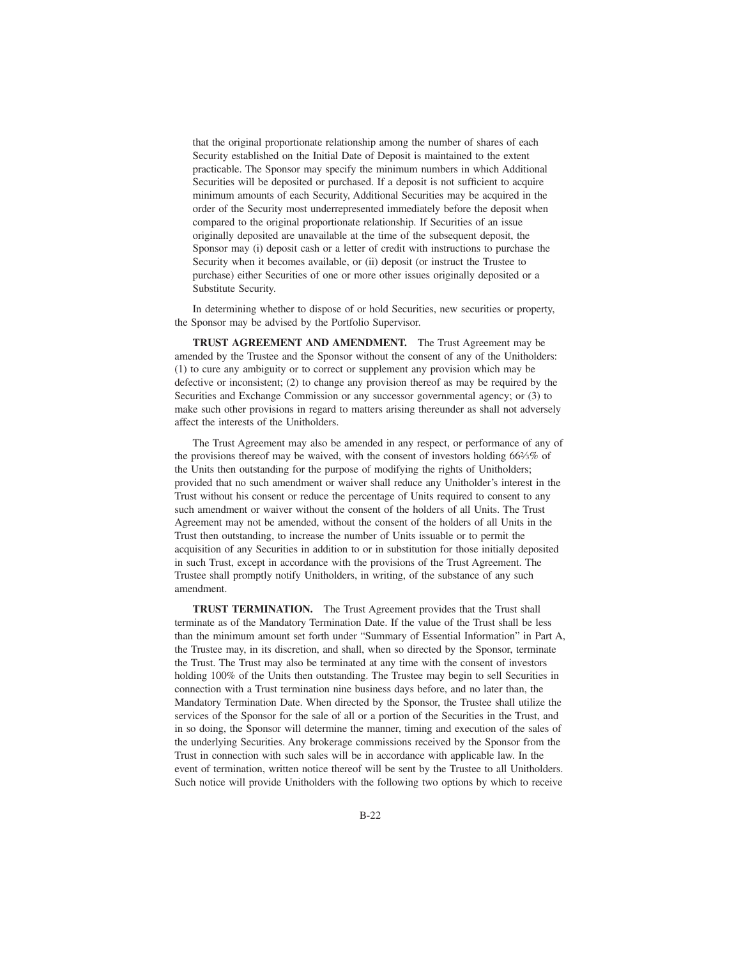that the original proportionate relationship among the number of shares of each Security established on the Initial Date of Deposit is maintained to the extent practicable. The Sponsor may specify the minimum numbers in which Additional Securities will be deposited or purchased. If a deposit is not sufficient to acquire minimum amounts of each Security, Additional Securities may be acquired in the order of the Security most underrepresented immediately before the deposit when compared to the original proportionate relationship. If Securities of an issue originally deposited are unavailable at the time of the subsequent deposit, the Sponsor may (i) deposit cash or a letter of credit with instructions to purchase the Security when it becomes available, or (ii) deposit (or instruct the Trustee to purchase) either Securities of one or more other issues originally deposited or a Substitute Security.

In determining whether to dispose of or hold Securities, new securities or property, the Sponsor may be advised by the Portfolio Supervisor.

**TRUST AGREEMENT AND AMENDMENT.** The Trust Agreement may be amended by the Trustee and the Sponsor without the consent of any of the Unitholders: (1) to cure any ambiguity or to correct or supplement any provision which may be defective or inconsistent; (2) to change any provision thereof as may be required by the Securities and Exchange Commission or any successor governmental agency; or (3) to make such other provisions in regard to matters arising thereunder as shall not adversely affect the interests of the Unitholders.

The Trust Agreement may also be amended in any respect, or performance of any of the provisions thereof may be waived, with the consent of investors holding 662⁄3% of the Units then outstanding for the purpose of modifying the rights of Unitholders; provided that no such amendment or waiver shall reduce any Unitholder's interest in the Trust without his consent or reduce the percentage of Units required to consent to any such amendment or waiver without the consent of the holders of all Units. The Trust Agreement may not be amended, without the consent of the holders of all Units in the Trust then outstanding, to increase the number of Units issuable or to permit the acquisition of any Securities in addition to or in substitution for those initially deposited in such Trust, except in accordance with the provisions of the Trust Agreement. The Trustee shall promptly notify Unitholders, in writing, of the substance of any such amendment.

**TRUST TERMINATION.** The Trust Agreement provides that the Trust shall terminate as of the Mandatory Termination Date. If the value of the Trust shall be less than the minimum amount set forth under "Summary of Essential Information" in Part A, the Trustee may, in its discretion, and shall, when so directed by the Sponsor, terminate the Trust. The Trust may also be terminated at any time with the consent of investors holding 100% of the Units then outstanding. The Trustee may begin to sell Securities in connection with a Trust termination nine business days before, and no later than, the Mandatory Termination Date. When directed by the Sponsor, the Trustee shall utilize the services of the Sponsor for the sale of all or a portion of the Securities in the Trust, and in so doing, the Sponsor will determine the manner, timing and execution of the sales of the underlying Securities. Any brokerage commissions received by the Sponsor from the Trust in connection with such sales will be in accordance with applicable law. In the event of termination, written notice thereof will be sent by the Trustee to all Unitholders. Such notice will provide Unitholders with the following two options by which to receive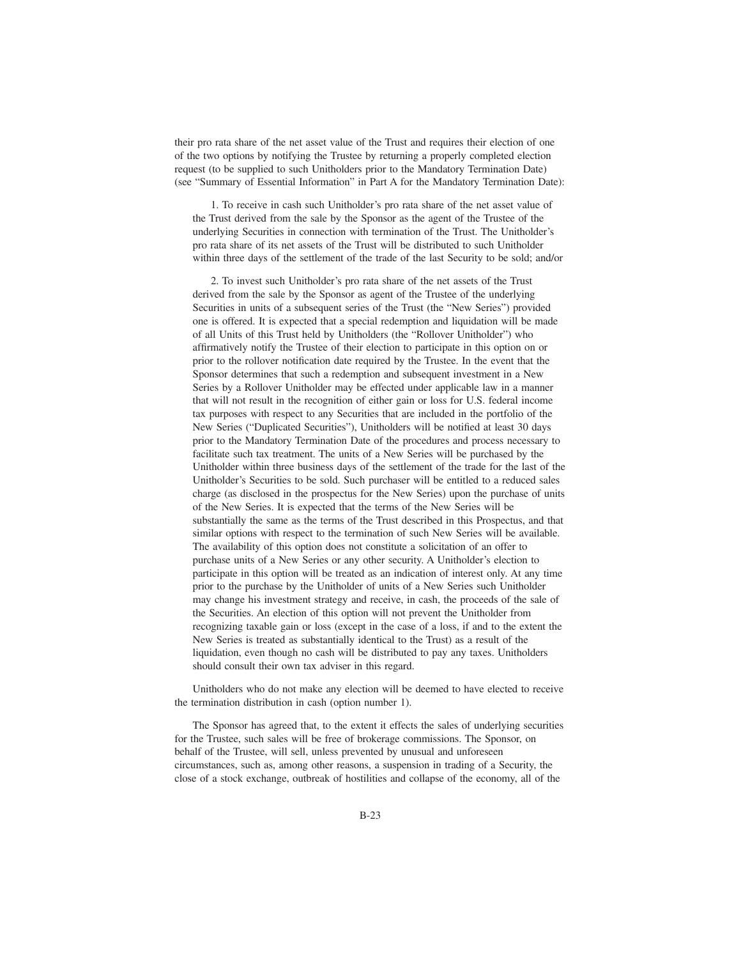their pro rata share of the net asset value of the Trust and requires their election of one of the two options by notifying the Trustee by returning a properly completed election request (to be supplied to such Unitholders prior to the Mandatory Termination Date) (see "Summary of Essential Information" in Part A for the Mandatory Termination Date):

1. To receive in cash such Unitholder's pro rata share of the net asset value of the Trust derived from the sale by the Sponsor as the agent of the Trustee of the underlying Securities in connection with termination of the Trust. The Unitholder's pro rata share of its net assets of the Trust will be distributed to such Unitholder within three days of the settlement of the trade of the last Security to be sold; and/or

2. To invest such Unitholder's pro rata share of the net assets of the Trust derived from the sale by the Sponsor as agent of the Trustee of the underlying Securities in units of a subsequent series of the Trust (the "New Series") provided one is offered. It is expected that a special redemption and liquidation will be made of all Units of this Trust held by Unitholders (the "Rollover Unitholder") who affirmatively notify the Trustee of their election to participate in this option on or prior to the rollover notification date required by the Trustee. In the event that the Sponsor determines that such a redemption and subsequent investment in a New Series by a Rollover Unitholder may be effected under applicable law in a manner that will not result in the recognition of either gain or loss for U.S. federal income tax purposes with respect to any Securities that are included in the portfolio of the New Series ("Duplicated Securities"), Unitholders will be notified at least 30 days prior to the Mandatory Termination Date of the procedures and process necessary to facilitate such tax treatment. The units of a New Series will be purchased by the Unitholder within three business days of the settlement of the trade for the last of the Unitholder's Securities to be sold. Such purchaser will be entitled to a reduced sales charge (as disclosed in the prospectus for the New Series) upon the purchase of units of the New Series. It is expected that the terms of the New Series will be substantially the same as the terms of the Trust described in this Prospectus, and that similar options with respect to the termination of such New Series will be available. The availability of this option does not constitute a solicitation of an offer to purchase units of a New Series or any other security. A Unitholder's election to participate in this option will be treated as an indication of interest only. At any time prior to the purchase by the Unitholder of units of a New Series such Unitholder may change his investment strategy and receive, in cash, the proceeds of the sale of the Securities. An election of this option will not prevent the Unitholder from recognizing taxable gain or loss (except in the case of a loss, if and to the extent the New Series is treated as substantially identical to the Trust) as a result of the liquidation, even though no cash will be distributed to pay any taxes. Unitholders should consult their own tax adviser in this regard.

Unitholders who do not make any election will be deemed to have elected to receive the termination distribution in cash (option number 1).

The Sponsor has agreed that, to the extent it effects the sales of underlying securities for the Trustee, such sales will be free of brokerage commissions. The Sponsor, on behalf of the Trustee, will sell, unless prevented by unusual and unforeseen circumstances, such as, among other reasons, a suspension in trading of a Security, the close of a stock exchange, outbreak of hostilities and collapse of the economy, all of the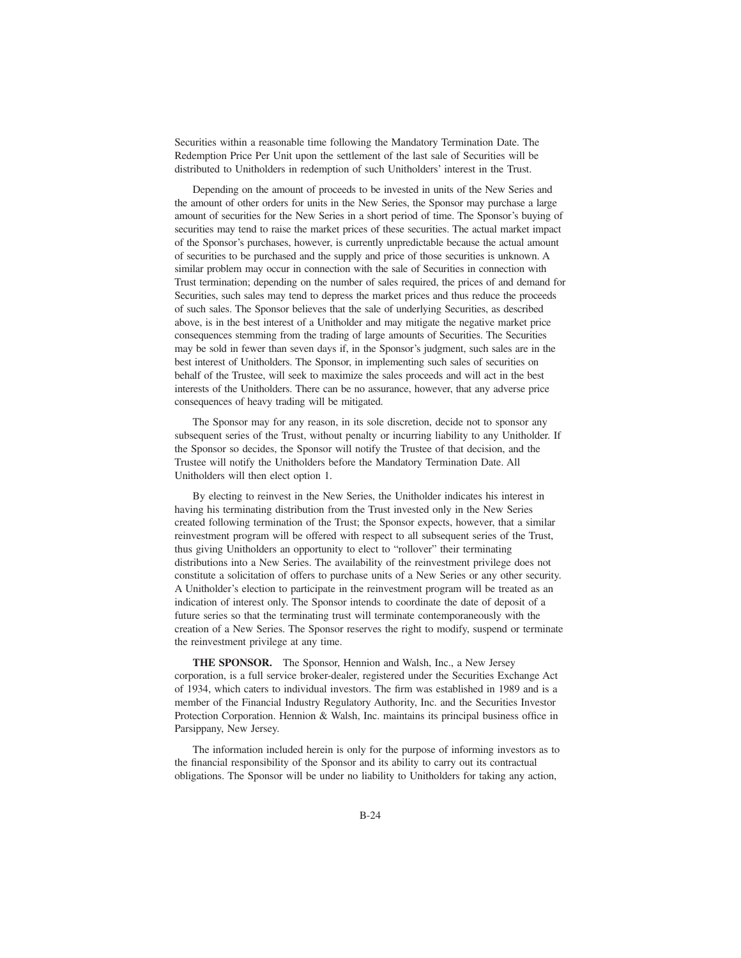Securities within a reasonable time following the Mandatory Termination Date. The Redemption Price Per Unit upon the settlement of the last sale of Securities will be distributed to Unitholders in redemption of such Unitholders' interest in the Trust.

Depending on the amount of proceeds to be invested in units of the New Series and the amount of other orders for units in the New Series, the Sponsor may purchase a large amount of securities for the New Series in a short period of time. The Sponsor's buying of securities may tend to raise the market prices of these securities. The actual market impact of the Sponsor's purchases, however, is currently unpredictable because the actual amount of securities to be purchased and the supply and price of those securities is unknown. A similar problem may occur in connection with the sale of Securities in connection with Trust termination; depending on the number of sales required, the prices of and demand for Securities, such sales may tend to depress the market prices and thus reduce the proceeds of such sales. The Sponsor believes that the sale of underlying Securities, as described above, is in the best interest of a Unitholder and may mitigate the negative market price consequences stemming from the trading of large amounts of Securities. The Securities may be sold in fewer than seven days if, in the Sponsor's judgment, such sales are in the best interest of Unitholders. The Sponsor, in implementing such sales of securities on behalf of the Trustee, will seek to maximize the sales proceeds and will act in the best interests of the Unitholders. There can be no assurance, however, that any adverse price consequences of heavy trading will be mitigated.

The Sponsor may for any reason, in its sole discretion, decide not to sponsor any subsequent series of the Trust, without penalty or incurring liability to any Unitholder. If the Sponsor so decides, the Sponsor will notify the Trustee of that decision, and the Trustee will notify the Unitholders before the Mandatory Termination Date. All Unitholders will then elect option 1.

By electing to reinvest in the New Series, the Unitholder indicates his interest in having his terminating distribution from the Trust invested only in the New Series created following termination of the Trust; the Sponsor expects, however, that a similar reinvestment program will be offered with respect to all subsequent series of the Trust, thus giving Unitholders an opportunity to elect to "rollover" their terminating distributions into a New Series. The availability of the reinvestment privilege does not constitute a solicitation of offers to purchase units of a New Series or any other security. A Unitholder's election to participate in the reinvestment program will be treated as an indication of interest only. The Sponsor intends to coordinate the date of deposit of a future series so that the terminating trust will terminate contemporaneously with the creation of a New Series. The Sponsor reserves the right to modify, suspend or terminate the reinvestment privilege at any time.

**THE SPONSOR.** The Sponsor, Hennion and Walsh, Inc., a New Jersey corporation, is a full service broker-dealer, registered under the Securities Exchange Act of 1934, which caters to individual investors. The firm was established in 1989 and is a member of the Financial Industry Regulatory Authority, Inc. and the Securities Investor Protection Corporation. Hennion & Walsh, Inc. maintains its principal business office in Parsippany, New Jersey.

The information included herein is only for the purpose of informing investors as to the financial responsibility of the Sponsor and its ability to carry out its contractual obligations. The Sponsor will be under no liability to Unitholders for taking any action,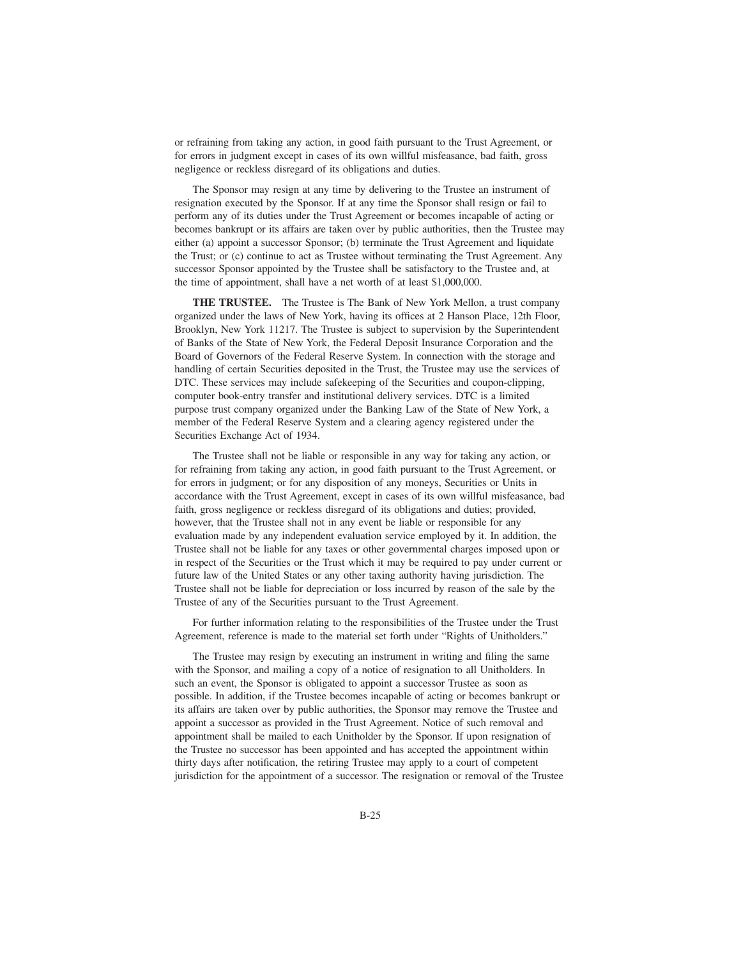or refraining from taking any action, in good faith pursuant to the Trust Agreement, or for errors in judgment except in cases of its own willful misfeasance, bad faith, gross negligence or reckless disregard of its obligations and duties.

The Sponsor may resign at any time by delivering to the Trustee an instrument of resignation executed by the Sponsor. If at any time the Sponsor shall resign or fail to perform any of its duties under the Trust Agreement or becomes incapable of acting or becomes bankrupt or its affairs are taken over by public authorities, then the Trustee may either (a) appoint a successor Sponsor; (b) terminate the Trust Agreement and liquidate the Trust; or (c) continue to act as Trustee without terminating the Trust Agreement. Any successor Sponsor appointed by the Trustee shall be satisfactory to the Trustee and, at the time of appointment, shall have a net worth of at least \$1,000,000.

**THE TRUSTEE.** The Trustee is The Bank of New York Mellon, a trust company organized under the laws of New York, having its offices at 2 Hanson Place, 12th Floor, Brooklyn, New York 11217. The Trustee is subject to supervision by the Superintendent of Banks of the State of New York, the Federal Deposit Insurance Corporation and the Board of Governors of the Federal Reserve System. In connection with the storage and handling of certain Securities deposited in the Trust, the Trustee may use the services of DTC. These services may include safekeeping of the Securities and coupon-clipping, computer book-entry transfer and institutional delivery services. DTC is a limited purpose trust company organized under the Banking Law of the State of New York, a member of the Federal Reserve System and a clearing agency registered under the Securities Exchange Act of 1934.

The Trustee shall not be liable or responsible in any way for taking any action, or for refraining from taking any action, in good faith pursuant to the Trust Agreement, or for errors in judgment; or for any disposition of any moneys, Securities or Units in accordance with the Trust Agreement, except in cases of its own willful misfeasance, bad faith, gross negligence or reckless disregard of its obligations and duties; provided, however, that the Trustee shall not in any event be liable or responsible for any evaluation made by any independent evaluation service employed by it. In addition, the Trustee shall not be liable for any taxes or other governmental charges imposed upon or in respect of the Securities or the Trust which it may be required to pay under current or future law of the United States or any other taxing authority having jurisdiction. The Trustee shall not be liable for depreciation or loss incurred by reason of the sale by the Trustee of any of the Securities pursuant to the Trust Agreement.

For further information relating to the responsibilities of the Trustee under the Trust Agreement, reference is made to the material set forth under "Rights of Unitholders."

The Trustee may resign by executing an instrument in writing and filing the same with the Sponsor, and mailing a copy of a notice of resignation to all Unitholders. In such an event, the Sponsor is obligated to appoint a successor Trustee as soon as possible. In addition, if the Trustee becomes incapable of acting or becomes bankrupt or its affairs are taken over by public authorities, the Sponsor may remove the Trustee and appoint a successor as provided in the Trust Agreement. Notice of such removal and appointment shall be mailed to each Unitholder by the Sponsor. If upon resignation of the Trustee no successor has been appointed and has accepted the appointment within thirty days after notification, the retiring Trustee may apply to a court of competent jurisdiction for the appointment of a successor. The resignation or removal of the Trustee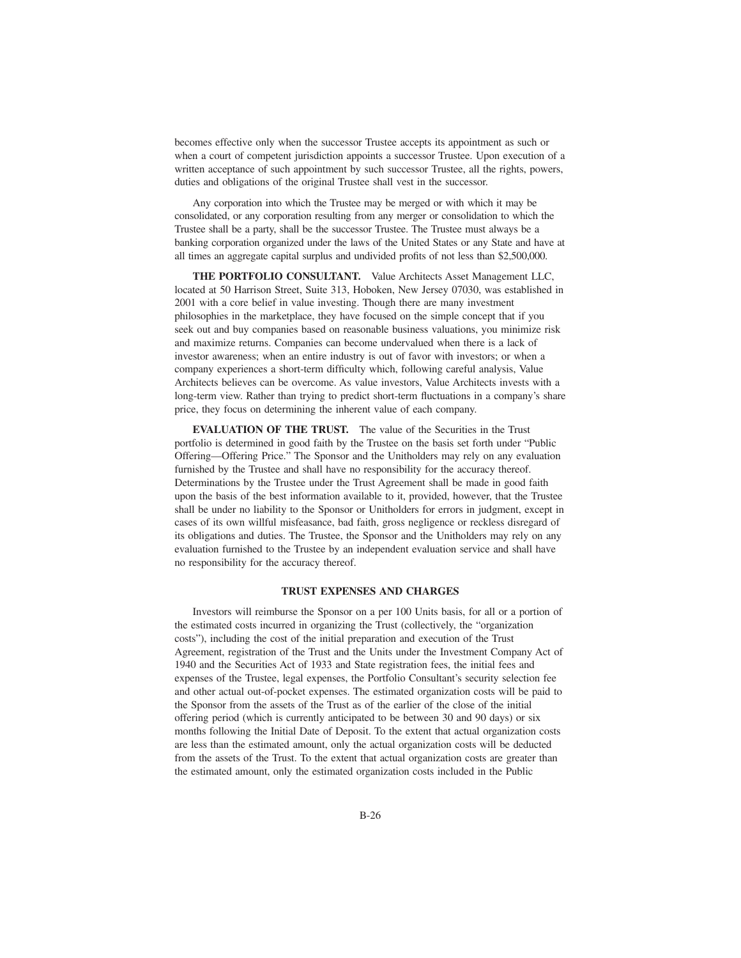becomes effective only when the successor Trustee accepts its appointment as such or when a court of competent jurisdiction appoints a successor Trustee. Upon execution of a written acceptance of such appointment by such successor Trustee, all the rights, powers, duties and obligations of the original Trustee shall vest in the successor.

Any corporation into which the Trustee may be merged or with which it may be consolidated, or any corporation resulting from any merger or consolidation to which the Trustee shall be a party, shall be the successor Trustee. The Trustee must always be a banking corporation organized under the laws of the United States or any State and have at all times an aggregate capital surplus and undivided profits of not less than \$2,500,000.

**THE PORTFOLIO CONSULTANT.** Value Architects Asset Management LLC, located at 50 Harrison Street, Suite 313, Hoboken, New Jersey 07030, was established in 2001 with a core belief in value investing. Though there are many investment philosophies in the marketplace, they have focused on the simple concept that if you seek out and buy companies based on reasonable business valuations, you minimize risk and maximize returns. Companies can become undervalued when there is a lack of investor awareness; when an entire industry is out of favor with investors; or when a company experiences a short-term difficulty which, following careful analysis, Value Architects believes can be overcome. As value investors, Value Architects invests with a long-term view. Rather than trying to predict short-term fluctuations in a company's share price, they focus on determining the inherent value of each company.

**EVALUATION OF THE TRUST.** The value of the Securities in the Trust portfolio is determined in good faith by the Trustee on the basis set forth under "Public Offering—Offering Price." The Sponsor and the Unitholders may rely on any evaluation furnished by the Trustee and shall have no responsibility for the accuracy thereof. Determinations by the Trustee under the Trust Agreement shall be made in good faith upon the basis of the best information available to it, provided, however, that the Trustee shall be under no liability to the Sponsor or Unitholders for errors in judgment, except in cases of its own willful misfeasance, bad faith, gross negligence or reckless disregard of its obligations and duties. The Trustee, the Sponsor and the Unitholders may rely on any evaluation furnished to the Trustee by an independent evaluation service and shall have no responsibility for the accuracy thereof.

#### **TRUST EXPENSES AND CHARGES**

Investors will reimburse the Sponsor on a per 100 Units basis, for all or a portion of the estimated costs incurred in organizing the Trust (collectively, the "organization costs"), including the cost of the initial preparation and execution of the Trust Agreement, registration of the Trust and the Units under the Investment Company Act of 1940 and the Securities Act of 1933 and State registration fees, the initial fees and expenses of the Trustee, legal expenses, the Portfolio Consultant's security selection fee and other actual out-of-pocket expenses. The estimated organization costs will be paid to the Sponsor from the assets of the Trust as of the earlier of the close of the initial offering period (which is currently anticipated to be between 30 and 90 days) or six months following the Initial Date of Deposit. To the extent that actual organization costs are less than the estimated amount, only the actual organization costs will be deducted from the assets of the Trust. To the extent that actual organization costs are greater than the estimated amount, only the estimated organization costs included in the Public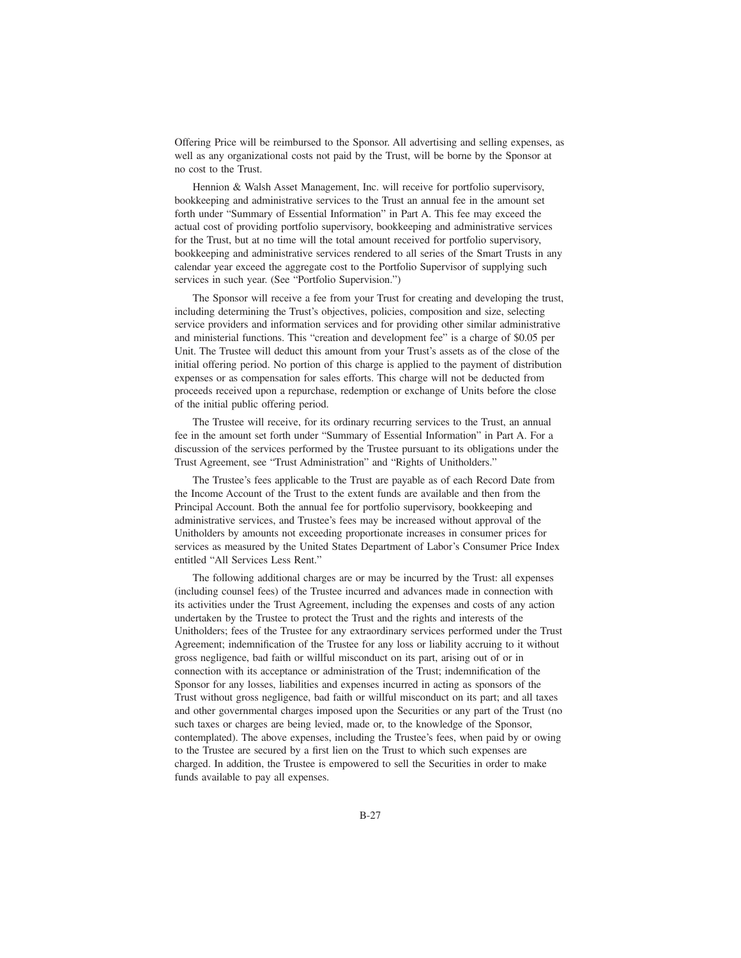Offering Price will be reimbursed to the Sponsor. All advertising and selling expenses, as well as any organizational costs not paid by the Trust, will be borne by the Sponsor at no cost to the Trust.

Hennion & Walsh Asset Management, Inc. will receive for portfolio supervisory, bookkeeping and administrative services to the Trust an annual fee in the amount set forth under "Summary of Essential Information" in Part A. This fee may exceed the actual cost of providing portfolio supervisory, bookkeeping and administrative services for the Trust, but at no time will the total amount received for portfolio supervisory, bookkeeping and administrative services rendered to all series of the Smart Trusts in any calendar year exceed the aggregate cost to the Portfolio Supervisor of supplying such services in such year. (See "Portfolio Supervision.")

The Sponsor will receive a fee from your Trust for creating and developing the trust, including determining the Trust's objectives, policies, composition and size, selecting service providers and information services and for providing other similar administrative and ministerial functions. This "creation and development fee" is a charge of \$0.05 per Unit. The Trustee will deduct this amount from your Trust's assets as of the close of the initial offering period. No portion of this charge is applied to the payment of distribution expenses or as compensation for sales efforts. This charge will not be deducted from proceeds received upon a repurchase, redemption or exchange of Units before the close of the initial public offering period.

The Trustee will receive, for its ordinary recurring services to the Trust, an annual fee in the amount set forth under "Summary of Essential Information" in Part A. For a discussion of the services performed by the Trustee pursuant to its obligations under the Trust Agreement, see "Trust Administration" and "Rights of Unitholders."

The Trustee's fees applicable to the Trust are payable as of each Record Date from the Income Account of the Trust to the extent funds are available and then from the Principal Account. Both the annual fee for portfolio supervisory, bookkeeping and administrative services, and Trustee's fees may be increased without approval of the Unitholders by amounts not exceeding proportionate increases in consumer prices for services as measured by the United States Department of Labor's Consumer Price Index entitled "All Services Less Rent."

The following additional charges are or may be incurred by the Trust: all expenses (including counsel fees) of the Trustee incurred and advances made in connection with its activities under the Trust Agreement, including the expenses and costs of any action undertaken by the Trustee to protect the Trust and the rights and interests of the Unitholders; fees of the Trustee for any extraordinary services performed under the Trust Agreement; indemnification of the Trustee for any loss or liability accruing to it without gross negligence, bad faith or willful misconduct on its part, arising out of or in connection with its acceptance or administration of the Trust; indemnification of the Sponsor for any losses, liabilities and expenses incurred in acting as sponsors of the Trust without gross negligence, bad faith or willful misconduct on its part; and all taxes and other governmental charges imposed upon the Securities or any part of the Trust (no such taxes or charges are being levied, made or, to the knowledge of the Sponsor, contemplated). The above expenses, including the Trustee's fees, when paid by or owing to the Trustee are secured by a first lien on the Trust to which such expenses are charged. In addition, the Trustee is empowered to sell the Securities in order to make funds available to pay all expenses.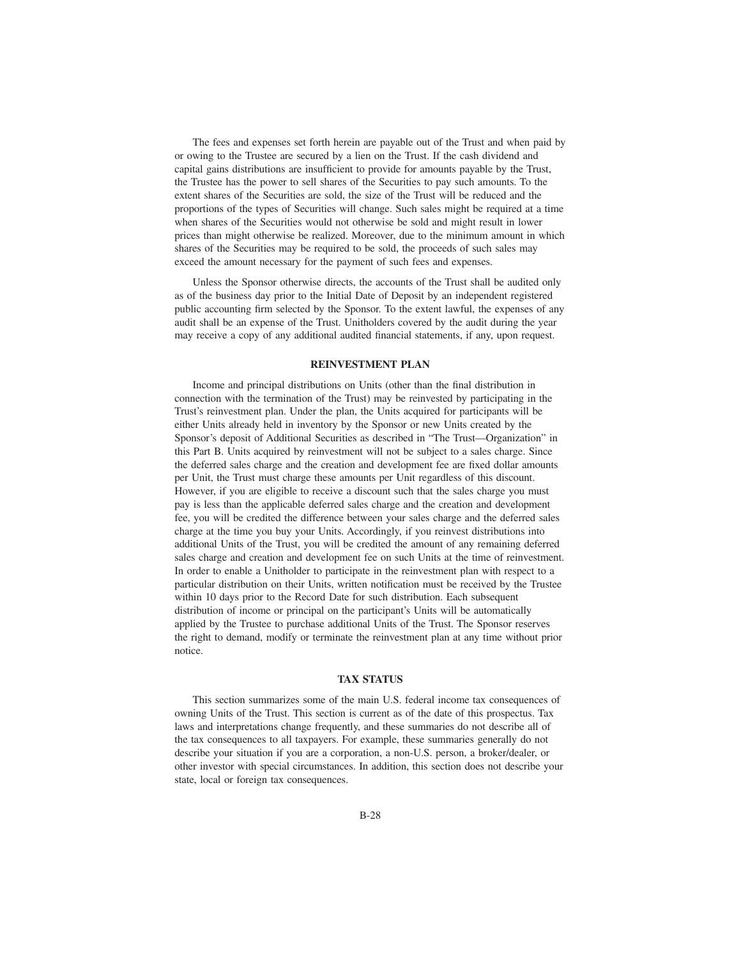The fees and expenses set forth herein are payable out of the Trust and when paid by or owing to the Trustee are secured by a lien on the Trust. If the cash dividend and capital gains distributions are insufficient to provide for amounts payable by the Trust, the Trustee has the power to sell shares of the Securities to pay such amounts. To the extent shares of the Securities are sold, the size of the Trust will be reduced and the proportions of the types of Securities will change. Such sales might be required at a time when shares of the Securities would not otherwise be sold and might result in lower prices than might otherwise be realized. Moreover, due to the minimum amount in which shares of the Securities may be required to be sold, the proceeds of such sales may exceed the amount necessary for the payment of such fees and expenses.

Unless the Sponsor otherwise directs, the accounts of the Trust shall be audited only as of the business day prior to the Initial Date of Deposit by an independent registered public accounting firm selected by the Sponsor. To the extent lawful, the expenses of any audit shall be an expense of the Trust. Unitholders covered by the audit during the year may receive a copy of any additional audited financial statements, if any, upon request.

### **REINVESTMENT PLAN**

Income and principal distributions on Units (other than the final distribution in connection with the termination of the Trust) may be reinvested by participating in the Trust's reinvestment plan. Under the plan, the Units acquired for participants will be either Units already held in inventory by the Sponsor or new Units created by the Sponsor's deposit of Additional Securities as described in "The Trust—Organization" in this Part B. Units acquired by reinvestment will not be subject to a sales charge. Since the deferred sales charge and the creation and development fee are fixed dollar amounts per Unit, the Trust must charge these amounts per Unit regardless of this discount. However, if you are eligible to receive a discount such that the sales charge you must pay is less than the applicable deferred sales charge and the creation and development fee, you will be credited the difference between your sales charge and the deferred sales charge at the time you buy your Units. Accordingly, if you reinvest distributions into additional Units of the Trust, you will be credited the amount of any remaining deferred sales charge and creation and development fee on such Units at the time of reinvestment. In order to enable a Unitholder to participate in the reinvestment plan with respect to a particular distribution on their Units, written notification must be received by the Trustee within 10 days prior to the Record Date for such distribution. Each subsequent distribution of income or principal on the participant's Units will be automatically applied by the Trustee to purchase additional Units of the Trust. The Sponsor reserves the right to demand, modify or terminate the reinvestment plan at any time without prior notice.

#### **TAX STATUS**

This section summarizes some of the main U.S. federal income tax consequences of owning Units of the Trust. This section is current as of the date of this prospectus. Tax laws and interpretations change frequently, and these summaries do not describe all of the tax consequences to all taxpayers. For example, these summaries generally do not describe your situation if you are a corporation, a non-U.S. person, a broker/dealer, or other investor with special circumstances. In addition, this section does not describe your state, local or foreign tax consequences.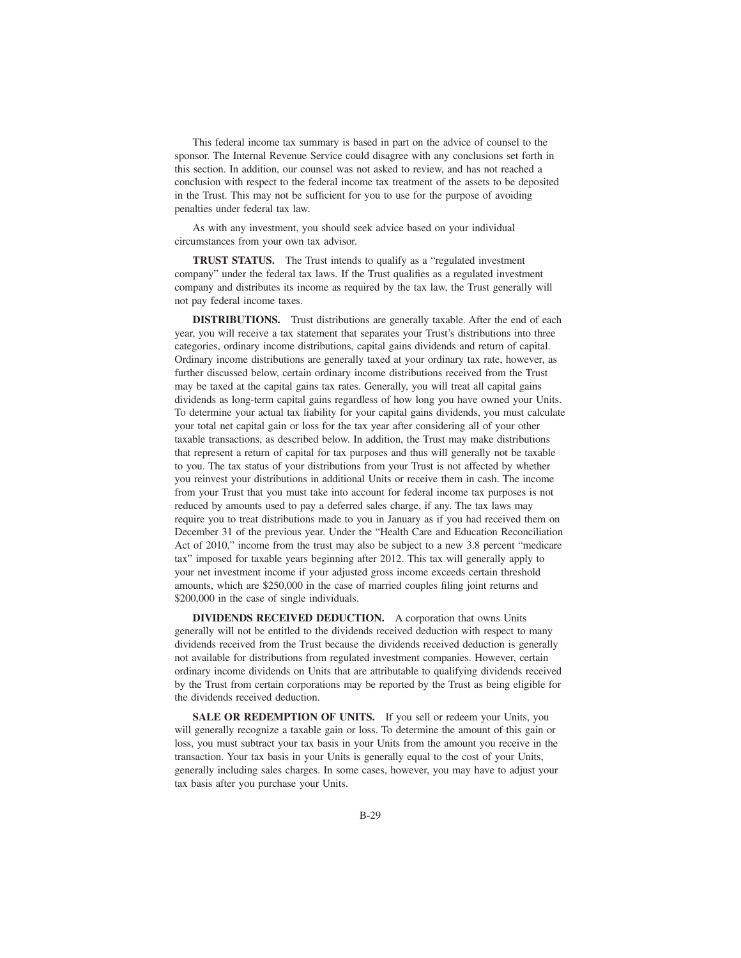This federal income tax summary is based in part on the advice of counsel to the sponsor. The Internal Revenue Service could disagree with any conclusions set forth in this section. In addition, our counsel was not asked to review, and has not reached a conclusion with respect to the federal income tax treatment of the assets to be deposited in the Trust. This may not be sufficient for you to use for the purpose of avoiding penalties under federal tax law.

As with any investment, you should seek advice based on your individual circumstances from your own tax advisor.

**TRUST STATUS.** The Trust intends to qualify as a "regulated investment" company" under the federal tax laws. If the Trust qualifies as a regulated investment company and distributes its income as required by the tax law, the Trust generally will not pay federal income taxes.

**DISTRIBUTIONS.** Trust distributions are generally taxable. After the end of each year, you will receive a tax statement that separates your Trust's distributions into three categories, ordinary income distributions, capital gains dividends and return of capital. Ordinary income distributions are generally taxed at your ordinary tax rate, however, as further discussed below, certain ordinary income distributions received from the Trust may be taxed at the capital gains tax rates. Generally, you will treat all capital gains dividends as long-term capital gains regardless of how long you have owned your Units. To determine your actual tax liability for your capital gains dividends, you must calculate your total net capital gain or loss for the tax year after considering all of your other taxable transactions, as described below. In addition, the Trust may make distributions that represent a return of capital for tax purposes and thus will generally not be taxable to you. The tax status of your distributions from your Trust is not affected by whether you reinvest your distributions in additional Units or receive them in cash. The income from your Trust that you must take into account for federal income tax purposes is not reduced by amounts used to pay a deferred sales charge, if any. The tax laws may require you to treat distributions made to you in January as if you had received them on December 31 of the previous year. Under the "Health Care and Education Reconciliation Act of 2010," income from the trust may also be subject to a new 3.8 percent "medicare tax" imposed for taxable years beginning after 2012. This tax will generally apply to your net investment income if your adjusted gross income exceeds certain threshold amounts, which are \$250,000 in the case of married couples filing joint returns and \$200,000 in the case of single individuals.

**DIVIDENDS RECEIVED DEDUCTION.** A corporation that owns Units generally will not be entitled to the dividends received deduction with respect to many dividends received from the Trust because the dividends received deduction is generally not available for distributions from regulated investment companies. However, certain ordinary income dividends on Units that are attributable to qualifying dividends received by the Trust from certain corporations may be reported by the Trust as being eligible for the dividends received deduction.

SALE OR REDEMPTION OF UNITS. If you sell or redeem your Units, you will generally recognize a taxable gain or loss. To determine the amount of this gain or loss, you must subtract your tax basis in your Units from the amount you receive in the transaction. Your tax basis in your Units is generally equal to the cost of your Units, generally including sales charges. In some cases, however, you may have to adjust your tax basis after you purchase your Units.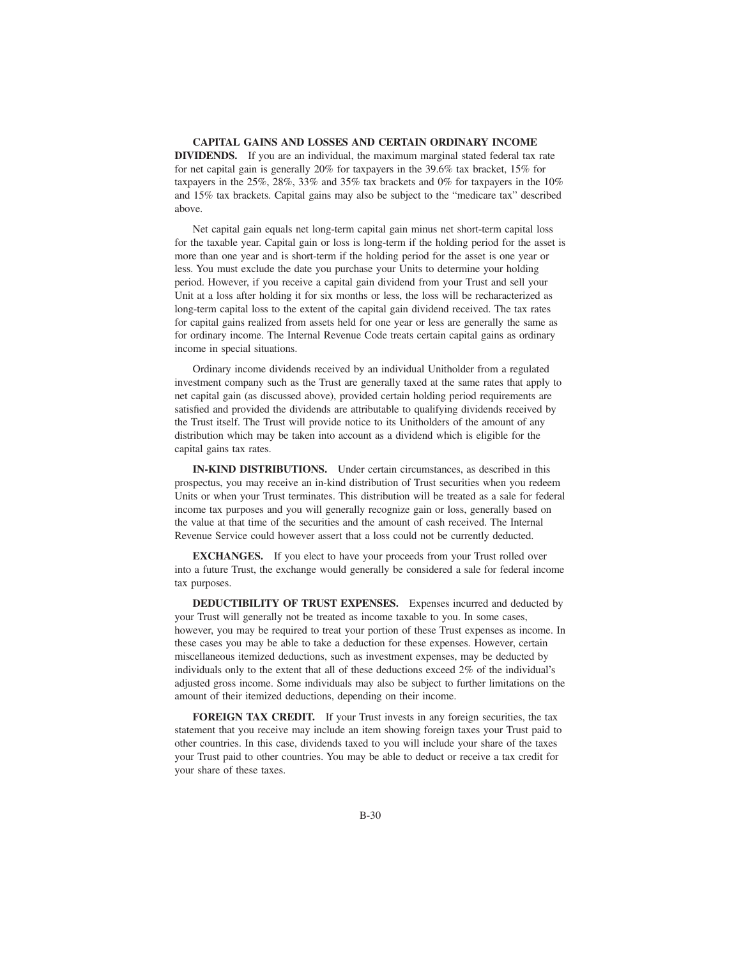## **CAPITAL GAINS AND LOSSES AND CERTAIN ORDINARY INCOME DIVIDENDS.** If you are an individual, the maximum marginal stated federal tax rate for net capital gain is generally 20% for taxpayers in the 39.6% tax bracket, 15% for taxpayers in the 25%, 28%, 33% and 35% tax brackets and 0% for taxpayers in the 10% and 15% tax brackets. Capital gains may also be subject to the "medicare tax" described above.

Net capital gain equals net long-term capital gain minus net short-term capital loss for the taxable year. Capital gain or loss is long-term if the holding period for the asset is more than one year and is short-term if the holding period for the asset is one year or less. You must exclude the date you purchase your Units to determine your holding period. However, if you receive a capital gain dividend from your Trust and sell your Unit at a loss after holding it for six months or less, the loss will be recharacterized as long-term capital loss to the extent of the capital gain dividend received. The tax rates for capital gains realized from assets held for one year or less are generally the same as for ordinary income. The Internal Revenue Code treats certain capital gains as ordinary income in special situations.

Ordinary income dividends received by an individual Unitholder from a regulated investment company such as the Trust are generally taxed at the same rates that apply to net capital gain (as discussed above), provided certain holding period requirements are satisfied and provided the dividends are attributable to qualifying dividends received by the Trust itself. The Trust will provide notice to its Unitholders of the amount of any distribution which may be taken into account as a dividend which is eligible for the capital gains tax rates.

**IN-KIND DISTRIBUTIONS.** Under certain circumstances, as described in this prospectus, you may receive an in-kind distribution of Trust securities when you redeem Units or when your Trust terminates. This distribution will be treated as a sale for federal income tax purposes and you will generally recognize gain or loss, generally based on the value at that time of the securities and the amount of cash received. The Internal Revenue Service could however assert that a loss could not be currently deducted.

**EXCHANGES.** If you elect to have your proceeds from your Trust rolled over into a future Trust, the exchange would generally be considered a sale for federal income tax purposes.

**DEDUCTIBILITY OF TRUST EXPENSES.** Expenses incurred and deducted by your Trust will generally not be treated as income taxable to you. In some cases, however, you may be required to treat your portion of these Trust expenses as income. In these cases you may be able to take a deduction for these expenses. However, certain miscellaneous itemized deductions, such as investment expenses, may be deducted by individuals only to the extent that all of these deductions exceed 2% of the individual's adjusted gross income. Some individuals may also be subject to further limitations on the amount of their itemized deductions, depending on their income.

FOREIGN TAX CREDIT. If your Trust invests in any foreign securities, the tax statement that you receive may include an item showing foreign taxes your Trust paid to other countries. In this case, dividends taxed to you will include your share of the taxes your Trust paid to other countries. You may be able to deduct or receive a tax credit for your share of these taxes.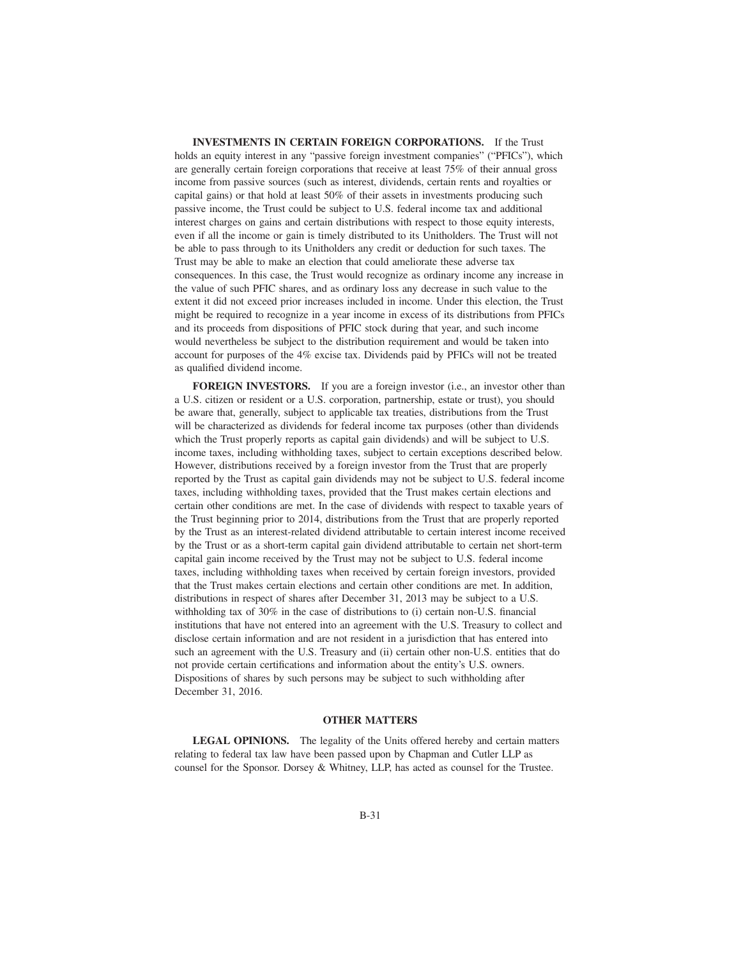**INVESTMENTS IN CERTAIN FOREIGN CORPORATIONS.** If the Trust holds an equity interest in any "passive foreign investment companies" ("PFICs"), which are generally certain foreign corporations that receive at least 75% of their annual gross income from passive sources (such as interest, dividends, certain rents and royalties or capital gains) or that hold at least 50% of their assets in investments producing such passive income, the Trust could be subject to U.S. federal income tax and additional interest charges on gains and certain distributions with respect to those equity interests, even if all the income or gain is timely distributed to its Unitholders. The Trust will not be able to pass through to its Unitholders any credit or deduction for such taxes. The Trust may be able to make an election that could ameliorate these adverse tax consequences. In this case, the Trust would recognize as ordinary income any increase in the value of such PFIC shares, and as ordinary loss any decrease in such value to the extent it did not exceed prior increases included in income. Under this election, the Trust might be required to recognize in a year income in excess of its distributions from PFICs and its proceeds from dispositions of PFIC stock during that year, and such income would nevertheless be subject to the distribution requirement and would be taken into account for purposes of the 4% excise tax. Dividends paid by PFICs will not be treated as qualified dividend income.

**FOREIGN INVESTORS.** If you are a foreign investor (i.e., an investor other than a U.S. citizen or resident or a U.S. corporation, partnership, estate or trust), you should be aware that, generally, subject to applicable tax treaties, distributions from the Trust will be characterized as dividends for federal income tax purposes (other than dividends which the Trust properly reports as capital gain dividends) and will be subject to U.S. income taxes, including withholding taxes, subject to certain exceptions described below. However, distributions received by a foreign investor from the Trust that are properly reported by the Trust as capital gain dividends may not be subject to U.S. federal income taxes, including withholding taxes, provided that the Trust makes certain elections and certain other conditions are met. In the case of dividends with respect to taxable years of the Trust beginning prior to 2014, distributions from the Trust that are properly reported by the Trust as an interest-related dividend attributable to certain interest income received by the Trust or as a short-term capital gain dividend attributable to certain net short-term capital gain income received by the Trust may not be subject to U.S. federal income taxes, including withholding taxes when received by certain foreign investors, provided that the Trust makes certain elections and certain other conditions are met. In addition, distributions in respect of shares after December 31, 2013 may be subject to a U.S. withholding tax of 30% in the case of distributions to (i) certain non-U.S. financial institutions that have not entered into an agreement with the U.S. Treasury to collect and disclose certain information and are not resident in a jurisdiction that has entered into such an agreement with the U.S. Treasury and (ii) certain other non-U.S. entities that do not provide certain certifications and information about the entity's U.S. owners. Dispositions of shares by such persons may be subject to such withholding after December 31, 2016.

#### **OTHER MATTERS**

**LEGAL OPINIONS.** The legality of the Units offered hereby and certain matters relating to federal tax law have been passed upon by Chapman and Cutler LLP as counsel for the Sponsor. Dorsey & Whitney, LLP, has acted as counsel for the Trustee.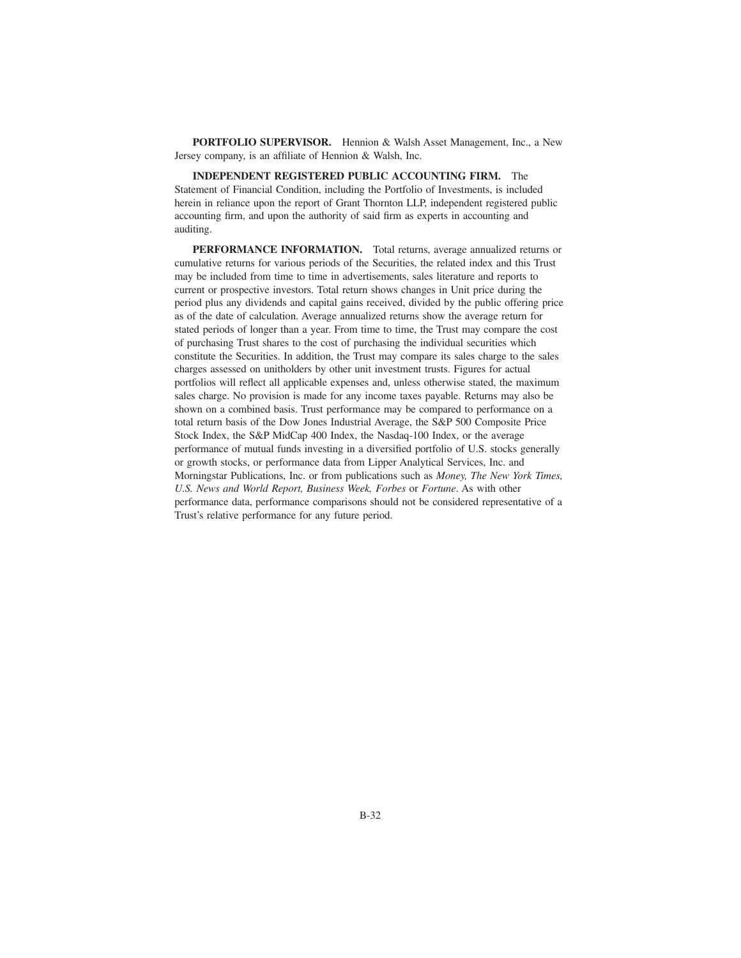**PORTFOLIO SUPERVISOR.** Hennion & Walsh Asset Management, Inc., a New Jersey company, is an affiliate of Hennion & Walsh, Inc.

**INDEPENDENT REGISTERED PUBLIC ACCOUNTING FIRM.** The Statement of Financial Condition, including the Portfolio of Investments, is included herein in reliance upon the report of Grant Thornton LLP, independent registered public accounting firm, and upon the authority of said firm as experts in accounting and auditing.

**PERFORMANCE INFORMATION.** Total returns, average annualized returns or cumulative returns for various periods of the Securities, the related index and this Trust may be included from time to time in advertisements, sales literature and reports to current or prospective investors. Total return shows changes in Unit price during the period plus any dividends and capital gains received, divided by the public offering price as of the date of calculation. Average annualized returns show the average return for stated periods of longer than a year. From time to time, the Trust may compare the cost of purchasing Trust shares to the cost of purchasing the individual securities which constitute the Securities. In addition, the Trust may compare its sales charge to the sales charges assessed on unitholders by other unit investment trusts. Figures for actual portfolios will reflect all applicable expenses and, unless otherwise stated, the maximum sales charge. No provision is made for any income taxes payable. Returns may also be shown on a combined basis. Trust performance may be compared to performance on a total return basis of the Dow Jones Industrial Average, the S&P 500 Composite Price Stock Index, the S&P MidCap 400 Index, the Nasdaq-100 Index, or the average performance of mutual funds investing in a diversified portfolio of U.S. stocks generally or growth stocks, or performance data from Lipper Analytical Services, Inc. and Morningstar Publications, Inc. or from publications such as *Money, The New York Times, U.S. News and World Report, Business Week, Forbes* or *Fortune*. As with other performance data, performance comparisons should not be considered representative of a Trust's relative performance for any future period.